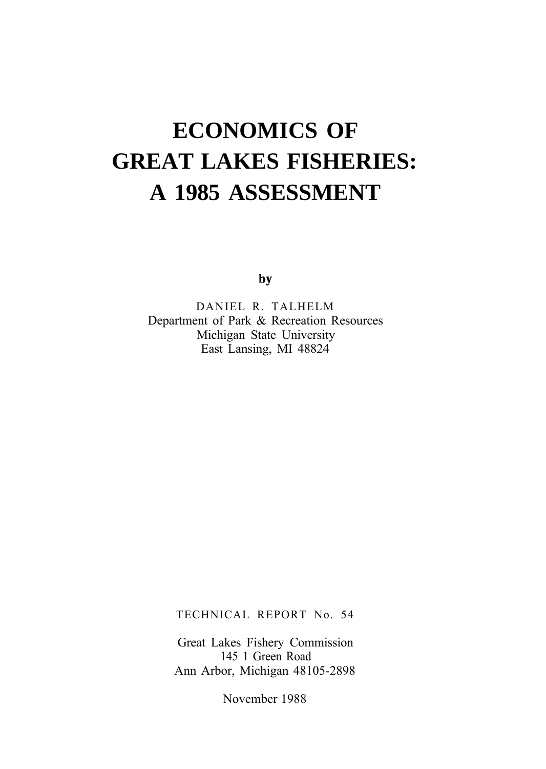# **ECONOMICS OF GREAT LAKES FISHERIES: A 1985 ASSESSMENT**

by

DANIEL R. TALHELM Department of Park & Recreation Resources Michigan State University East Lansing, MI 48824

TECHNICAL REPORT No. 54

Great Lakes Fishery Commission 145 1 Green Road Ann Arbor, Michigan 48105-2898

November 1988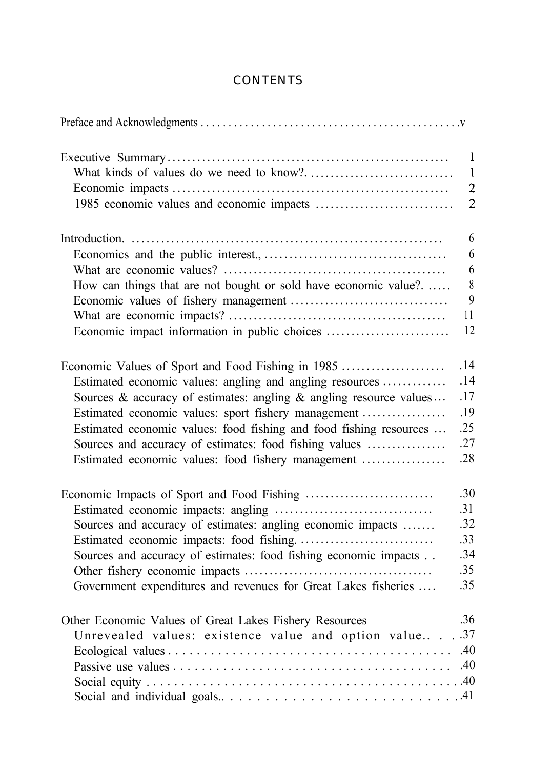## **CONTENTS**

|                                                                                                                              | $\mathbf{I}$<br>$\mathbf{1}$<br>$\overline{2}$<br>$\overline{c}$ |
|------------------------------------------------------------------------------------------------------------------------------|------------------------------------------------------------------|
|                                                                                                                              | 6                                                                |
|                                                                                                                              | 6                                                                |
|                                                                                                                              | 6                                                                |
| How can things that are not bought or sold have economic value?                                                              | 8                                                                |
|                                                                                                                              | 9                                                                |
|                                                                                                                              | 11                                                               |
| Economic impact information in public choices                                                                                | 12                                                               |
|                                                                                                                              | .14                                                              |
| Estimated economic values: angling and angling resources                                                                     | .14                                                              |
| Sources & accuracy of estimates: angling & angling resource values                                                           | .17                                                              |
| Estimated economic values: sport fishery management                                                                          | .19                                                              |
| Estimated economic values: food fishing and food fishing resources<br>Sources and accuracy of estimates: food fishing values | .25<br>.27                                                       |
| Estimated economic values: food fishery management                                                                           | .28                                                              |
|                                                                                                                              |                                                                  |
|                                                                                                                              | .30                                                              |
|                                                                                                                              | .31                                                              |
| Sources and accuracy of estimates: angling economic impacts                                                                  | .32                                                              |
|                                                                                                                              | .33<br>.34                                                       |
| Sources and accuracy of estimates: food fishing economic impacts                                                             | 35                                                               |
| Government expenditures and revenues for Great Lakes fisheries                                                               | .35                                                              |
|                                                                                                                              |                                                                  |
| Other Economic Values of Great Lakes Fishery Resources                                                                       | 36                                                               |
| Unrevealed values: existence value and option value37                                                                        |                                                                  |
|                                                                                                                              |                                                                  |
|                                                                                                                              |                                                                  |
|                                                                                                                              |                                                                  |
|                                                                                                                              |                                                                  |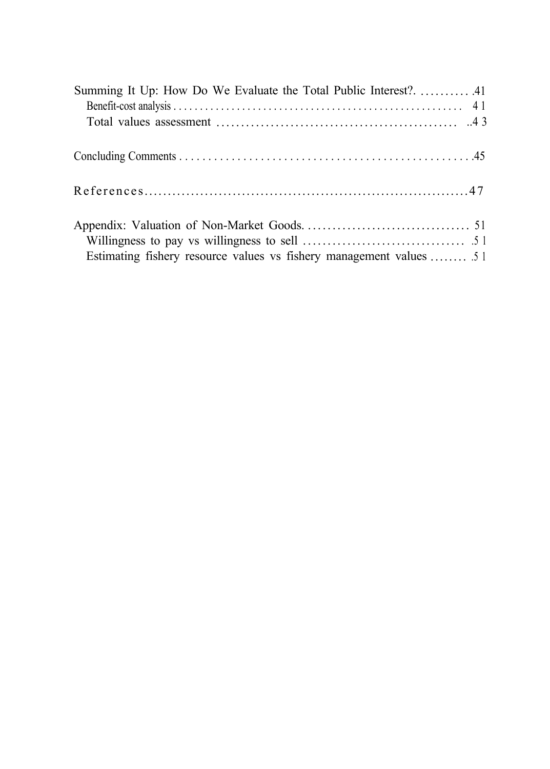| Estimating fishery resource values vs fishery management values  5 1 |  |
|----------------------------------------------------------------------|--|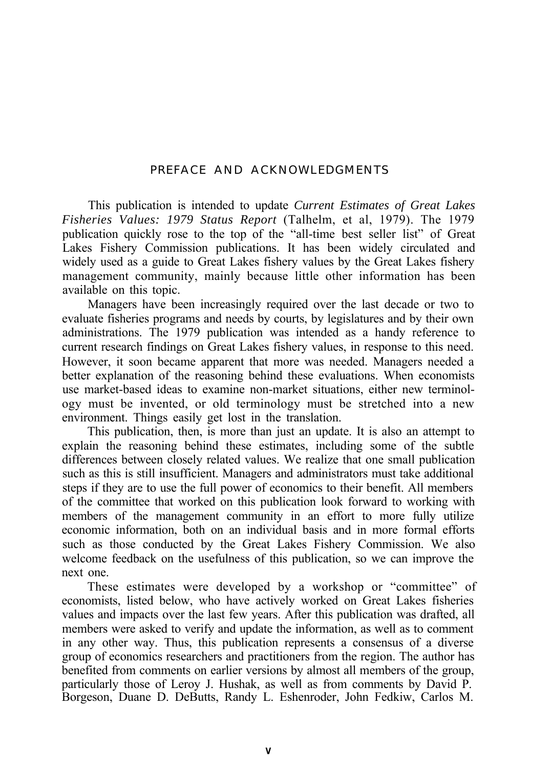## PREFACE AND ACKNOWLEDGMENTS

<span id="page-3-0"></span>This publication is intended to update *Current Estimates of Great Lakes Fisheries Values: 1979 Status Report* (Talhelm, et al, 1979). The 1979 publication quickly rose to the top of the "all-time best seller list" of Great Lakes Fishery Commission publications. It has been widely circulated and widely used as a guide to Great Lakes fishery values by the Great Lakes fishery management community, mainly because little other information has been available on this topic.

Managers have been increasingly required over the last decade or two to evaluate fisheries programs and needs by courts, by legislatures and by their own administrations. The 1979 publication was intended as a handy reference to current research findings on Great Lakes fishery values, in response to this need. However, it soon became apparent that more was needed. Managers needed a better explanation of the reasoning behind these evaluations. When economists use market-based ideas to examine non-market situations, either new terminology must be invented, or old terminology must be stretched into a new environment. Things easily get lost in the translation.

This publication, then, is more than just an update. It is also an attempt to explain the reasoning behind these estimates, including some of the subtle differences between closely related values. We realize that one small publication such as this is still insufficient. Managers and administrators must take additional steps if they are to use the full power of economics to their benefit. All members of the committee that worked on this publication look forward to working with members of the management community in an effort to more fully utilize economic information, both on an individual basis and in more formal efforts such as those conducted by the Great Lakes Fishery Commission. We also welcome feedback on the usefulness of this publication, so we can improve the next one.

These estimates were developed by a workshop or "committee" of economists, listed below, who have actively worked on Great Lakes fisheries values and impacts over the last few years. After this publication was drafted, all members were asked to verify and update the information, as well as to comment in any other way. Thus, this publication represents a consensus of a diverse group of economics researchers and practitioners from the region. The author has benefited from comments on earlier versions by almost all members of the group, particularly those of Leroy J. Hushak, as well as from comments by David P. Borgeson, Duane D. DeButts, Randy L. Eshenroder, John Fedkiw, Carlos M.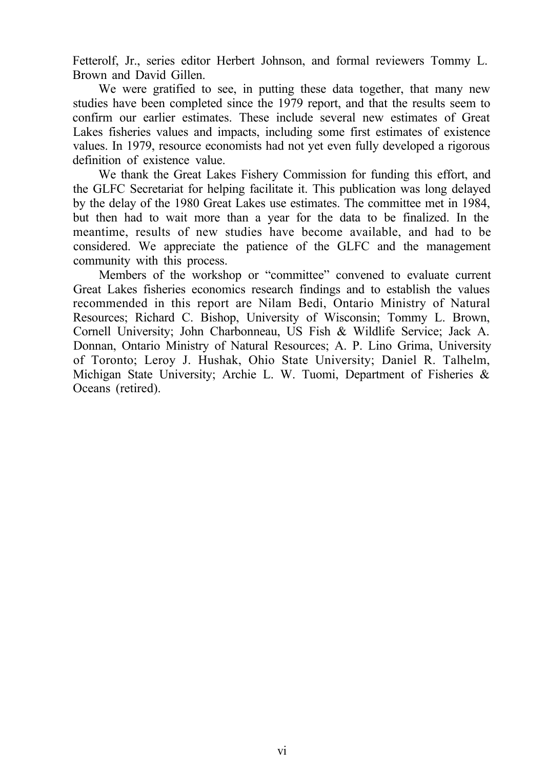Fetterolf, Jr., series editor Herbert Johnson, and formal reviewers Tommy L. Brown and David Gillen.

We were gratified to see, in putting these data together, that many new studies have been completed since the 1979 report, and that the results seem to confirm our earlier estimates. These include several new estimates of Great Lakes fisheries values and impacts, including some first estimates of existence values. In 1979, resource economists had not yet even fully developed a rigorous definition of existence value.

We thank the Great Lakes Fishery Commission for funding this effort, and the GLFC Secretariat for helping facilitate it. This publication was long delayed by the delay of the 1980 Great Lakes use estimates. The committee met in 1984, but then had to wait more than a year for the data to be finalized. In the meantime, results of new studies have become available, and had to be considered. We appreciate the patience of the GLFC and the management community with this process.

Members of the workshop or "committee" convened to evaluate current Great Lakes fisheries economics research findings and to establish the values recommended in this report are Nilam Bedi, Ontario Ministry of Natural Resources; Richard C. Bishop, University of Wisconsin; Tommy L. Brown, Cornell University; John Charbonneau, US Fish & Wildlife Service; Jack A. Donnan, Ontario Ministry of Natural Resources; A. P. Lino Grima, University of Toronto; Leroy J. Hushak, Ohio State University; Daniel R. Talhelm, Michigan State University; Archie L. W. Tuomi, Department of Fisheries & Oceans (retired).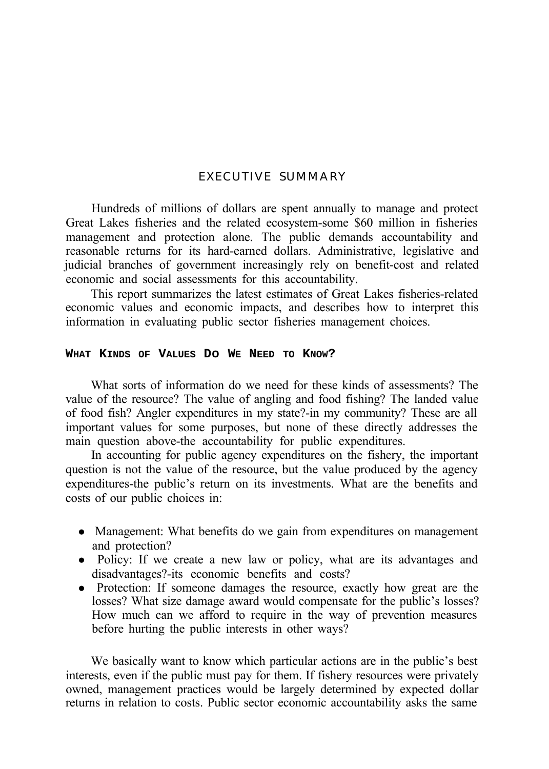## EXECUTIVE SUMMARY

<span id="page-5-0"></span>Hundreds of millions of dollars are spent annually to manage and protect Great Lakes fisheries and the related ecosystem-some \$60 million in fisheries management and protection alone. The public demands accountability and reasonable returns for its hard-earned dollars. Administrative, legislative and judicial branches of government increasingly rely on benefit-cost and related economic and social assessments for this accountability.

This report summarizes the latest estimates of Great Lakes fisheries-related economic values and economic impacts, and describes how to interpret this information in evaluating public sector fisheries management choices.

#### **WHAT KINDS OF VALUES Do WE NEED TO KNOW?**

What sorts of information do we need for these kinds of assessments? The value of the resource? The value of angling and food fishing? The landed value of food fish? Angler expenditures in my state?-in my community? These are all important values for some purposes, but none of these directly addresses the main question above-the accountability for public expenditures.

In accounting for public agency expenditures on the fishery, the important question is not the value of the resource, but the value produced by the agency expenditures-the public's return on its investments. What are the benefits and costs of our public choices in:

- Management: What benefits do we gain from expenditures on management and protection?
- Policy: If we create a new law or policy, what are its advantages and disadvantages?-its economic benefits and costs?
- Protection: If someone damages the resource, exactly how great are the losses? What size damage award would compensate for the public's losses? How much can we afford to require in the way of prevention measures before hurting the public interests in other ways?

We basically want to know which particular actions are in the public's best interests, even if the public must pay for them. If fishery resources were privately owned, management practices would be largely determined by expected dollar returns in relation to costs. Public sector economic accountability asks the same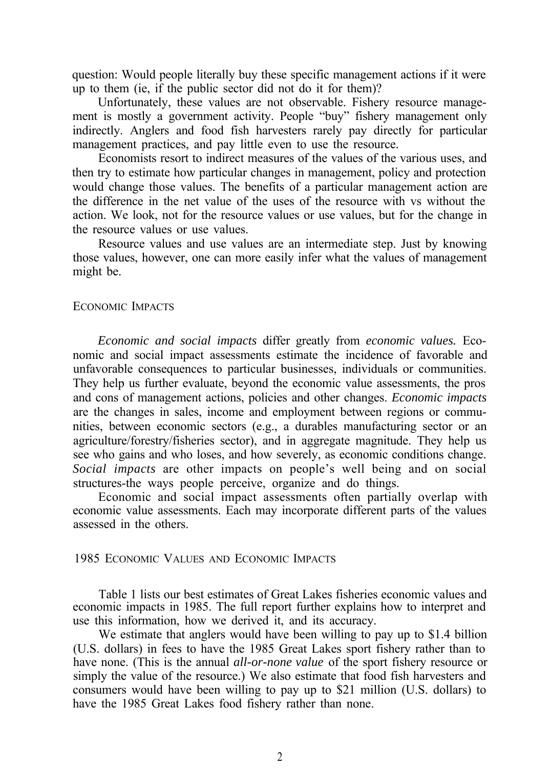<span id="page-6-0"></span>question: Would people literally buy these specific management actions if it were up to them (ie, if the public sector did not do it for them)?

Unfortunately, these values are not observable. Fishery resource management is mostly a government activity. People "buy" fishery management only indirectly. Anglers and food fish harvesters rarely pay directly for particular management practices, and pay little even to use the resource.

Economists resort to indirect measures of the values of the various uses, and then try to estimate how particular changes in management, policy and protection would change those values. The benefits of a particular management action are the difference in the net value of the uses of the resource with vs without the action. We look, not for the resource values or use values, but for the change in the resource values or use values.

Resource values and use values are an intermediate step. Just by knowing those values, however, one can more easily infer what the values of management might be.

#### ECONOMIC IMPACTS

*Economic and social impacts* differ greatly from *economic values.* Economic and social impact assessments estimate the incidence of favorable and unfavorable consequences to particular businesses, individuals or communities. They help us further evaluate, beyond the economic value assessments, the pros and cons of management actions, policies and other changes. *Economic impacts* are the changes in sales, income and employment between regions or communities, between economic sectors (e.g., a durables manufacturing sector or an agriculture/forestry/fisheries sector), and in aggregate magnitude. They help us see who gains and who loses, and how severely, as economic conditions change. *Social impacts* are other impacts on people's well being and on social structures-the ways people perceive, organize and do things.

Economic and social impact assessments often partially overlap with economic value assessments. Each may incorporate different parts of the values assessed in the others.

## 1985 ECONOMIC VALUES AND ECONOMIC IMPACTS

Table 1 lists our best estimates of Great Lakes fisheries economic values and economic impacts in 1985. The full report further explains how to interpret and use this information, how we derived it, and its accuracy.

We estimate that anglers would have been willing to pay up to \$1.4 billion (U.S. dollars) in fees to have the 1985 Great Lakes sport fishery rather than to have none. (This is the annual *all-or-none value* of the sport fishery resource or simply the value of the resource.) We also estimate that food fish harvesters and consumers would have been willing to pay up to \$21 million (U.S. dollars) to have the 1985 Great Lakes food fishery rather than none.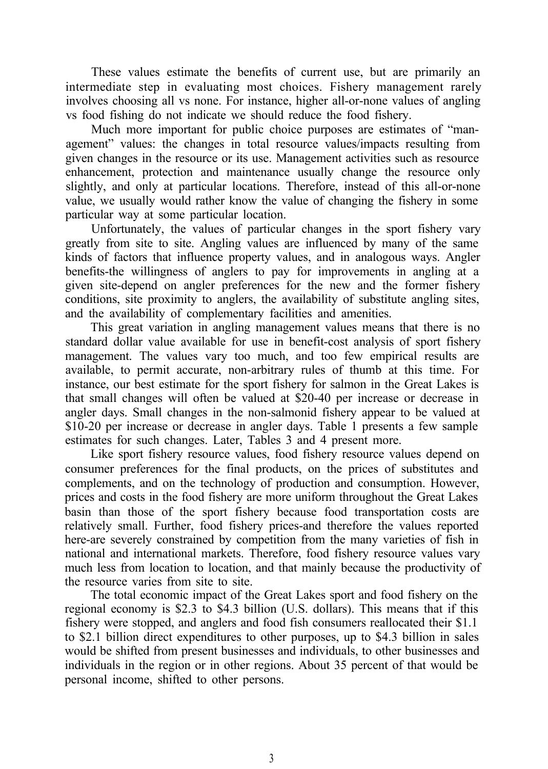These values estimate the benefits of current use, but are primarily an intermediate step in evaluating most choices. Fishery management rarely involves choosing all vs none. For instance, higher all-or-none values of angling vs food fishing do not indicate we should reduce the food fishery.

Much more important for public choice purposes are estimates of "management" values: the changes in total resource values/impacts resulting from given changes in the resource or its use. Management activities such as resource enhancement, protection and maintenance usually change the resource only slightly, and only at particular locations. Therefore, instead of this all-or-none value, we usually would rather know the value of changing the fishery in some particular way at some particular location.

Unfortunately, the values of particular changes in the sport fishery vary greatly from site to site. Angling values are influenced by many of the same kinds of factors that influence property values, and in analogous ways. Angler benefits-the willingness of anglers to pay for improvements in angling at a given site-depend on angler preferences for the new and the former fishery conditions, site proximity to anglers, the availability of substitute angling sites, and the availability of complementary facilities and amenities.

This great variation in angling management values means that there is no standard dollar value available for use in benefit-cost analysis of sport fishery management. The values vary too much, and too few empirical results are available, to permit accurate, non-arbitrary rules of thumb at this time. For instance, our best estimate for the sport fishery for salmon in the Great Lakes is that small changes will often be valued at \$20-40 per increase or decrease in angler days. Small changes in the non-salmonid fishery appear to be valued at \$10-20 per increase or decrease in angler days. Table 1 presents a few sample estimates for such changes. Later, Tables 3 and 4 present more.

Like sport fishery resource values, food fishery resource values depend on consumer preferences for the final products, on the prices of substitutes and complements, and on the technology of production and consumption. However, prices and costs in the food fishery are more uniform throughout the Great Lakes basin than those of the sport fishery because food transportation costs are relatively small. Further, food fishery prices-and therefore the values reported here-are severely constrained by competition from the many varieties of fish in national and international markets. Therefore, food fishery resource values vary much less from location to location, and that mainly because the productivity of the resource varies from site to site.

The total economic impact of the Great Lakes sport and food fishery on the regional economy is \$2.3 to \$4.3 billion (U.S. dollars). This means that if this fishery were stopped, and anglers and food fish consumers reallocated their \$1.1 to \$2.1 billion direct expenditures to other purposes, up to \$4.3 billion in sales would be shifted from present businesses and individuals, to other businesses and individuals in the region or in other regions. About 35 percent of that would be personal income, shifted to other persons.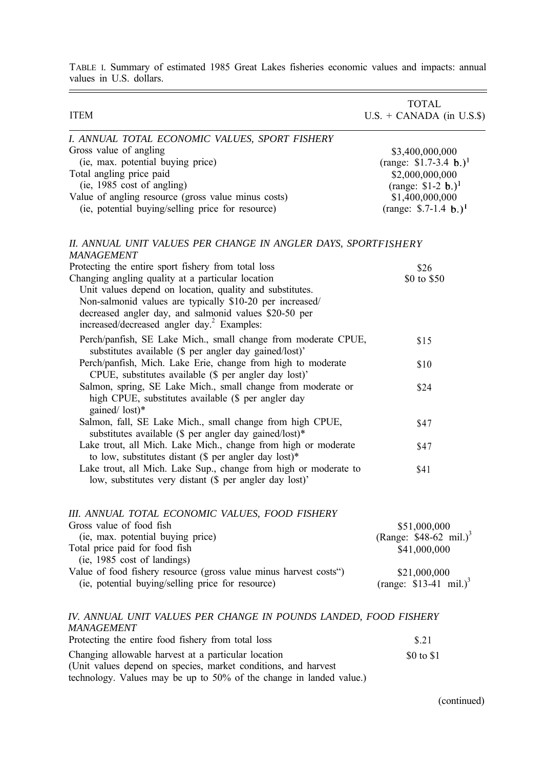| vaiues in U.S. donars.                                                                                                                |                                        |
|---------------------------------------------------------------------------------------------------------------------------------------|----------------------------------------|
| <b>ITEM</b>                                                                                                                           | TOTAL<br>$U.S. + CANADA$ (in $U.S.\$ ) |
| I. ANNUAL TOTAL ECONOMIC VALUES, SPORT FISHERY                                                                                        |                                        |
| Gross value of angling                                                                                                                | \$3,400,000,000                        |
| (ie, max. potential buying price)                                                                                                     | (range: $$1.7-3.4$ b.) <sup>1</sup>    |
| Total angling price paid                                                                                                              | \$2,000,000,000                        |
| (ie, 1985 cost of angling)                                                                                                            | (range: $$1-2$ b.) <sup>1</sup>        |
| Value of angling resource (gross value minus costs)                                                                                   | \$1,400,000,000                        |
| (ie, potential buying/selling price for resource)                                                                                     | (range: $$.7-1.4$ b.) <sup>1</sup>     |
| II. ANNUAL UNIT VALUES PER CHANGE IN ANGLER DAYS, SPORTFISHERY<br><i>MANAGEMENT</i>                                                   |                                        |
| Protecting the entire sport fishery from total loss                                                                                   | \$26                                   |
| Changing angling quality at a particular location                                                                                     | \$0 to \$50                            |
| Unit values depend on location, quality and substitutes.                                                                              |                                        |
| Non-salmonid values are typically \$10-20 per increased/                                                                              |                                        |
| decreased angler day, and salmonid values \$20-50 per                                                                                 |                                        |
| increased/decreased angler day. <sup>2</sup> Examples:                                                                                |                                        |
| Perch/panfish, SE Lake Mich., small change from moderate CPUE,<br>substitutes available (\$ per angler day gained/lost)'              | \$15                                   |
| Perch/panfish, Mich. Lake Erie, change from high to moderate<br>CPUE, substitutes available (\$ per angler day lost)'                 | \$10                                   |
| Salmon, spring, SE Lake Mich., small change from moderate or<br>high CPUE, substitutes available (\$ per angler day<br>gained/lost)*  | \$24                                   |
| Salmon, fall, SE Lake Mich., small change from high CPUE,<br>substitutes available (\$ per angler day gained/lost)*                   | \$47                                   |
| Lake trout, all Mich. Lake Mich., change from high or moderate<br>to low, substitutes distant (\$ per angler day lost)*               | \$47                                   |
| Lake trout, all Mich. Lake Sup., change from high or moderate to<br>low, substitutes very distant (\$ per angler day lost)'           | \$41                                   |
| III. ANNUAL TOTAL ECONOMIC VALUES, FOOD FISHERY                                                                                       |                                        |
| Gross value of food fish                                                                                                              | \$51,000,000                           |
| (ie, max. potential buying price)                                                                                                     | (Range: $$48-62$ mil.) <sup>3</sup>    |
| Total price paid for food fish                                                                                                        | \$41,000,000                           |
| (ie, 1985 cost of landings)                                                                                                           |                                        |
| Value of food fishery resource (gross value minus harvest costs")                                                                     | \$21,000,000                           |
| (ie, potential buying/selling price for resource)                                                                                     | (range: $$13-41$ mil.) <sup>3</sup>    |
| IV. ANNUAL UNIT VALUES PER CHANGE IN POUNDS LANDED, FOOD FISHERY<br>MANAGEMENT                                                        |                                        |
| Protecting the entire food fishery from total loss                                                                                    | \$.21                                  |
| Changing allowable harvest at a particular location                                                                                   | \$0 to \$1                             |
| (Unit values depend on species, market conditions, and harvest<br>technology. Values may be up to 50% of the change in landed value.) |                                        |

TABLE I. Summary of estimated 1985 Great Lakes fisheries economic values and impacts: annual values in U.S. dollars.

(continued)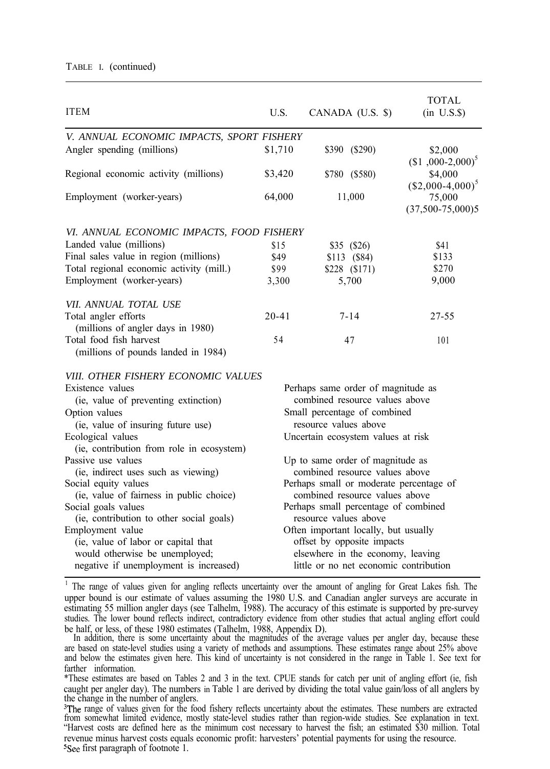| <b>ITEM</b>                                                             | U.S.                               | CANADA (U.S. \$)                        | <b>TOTAL</b><br>(in U.S.S.)        |
|-------------------------------------------------------------------------|------------------------------------|-----------------------------------------|------------------------------------|
| V. ANNUAL ECONOMIC IMPACTS, SPORT FISHERY<br>Angler spending (millions) | \$1,710                            | \$390 (\$290)                           | \$2,000<br>$(1,000-2,000)^5$       |
| Regional economic activity (millions)                                   | \$3,420                            | \$780 (\$580)                           | \$4,000<br>$($ \$2,000-4,000 $)^5$ |
| Employment (worker-years)                                               | 64,000                             | 11,000                                  | 75,000<br>$(37,500-75,000)5$       |
| VI. ANNUAL ECONOMIC IMPACTS, FOOD FISHERY                               |                                    |                                         |                                    |
| Landed value (millions)                                                 | \$15                               | $$35$ (\$26)                            | \$41                               |
| Final sales value in region (millions)                                  | \$49                               | \$113 (\$84)                            | \$133                              |
| Total regional economic activity (mill.)                                | \$99                               | \$228 (\$171)                           | \$270                              |
| Employment (worker-years)                                               | 3,300                              | 5,700                                   | 9,000                              |
| VII. ANNUAL TOTAL USE                                                   |                                    |                                         |                                    |
| Total angler efforts<br>(millions of angler days in 1980)               | $20 - 41$                          | $7 - 14$                                | 27-55                              |
| Total food fish harvest                                                 | 54                                 | 47                                      | 101                                |
| (millions of pounds landed in 1984)                                     |                                    |                                         |                                    |
| VIII. OTHER FISHERY ECONOMIC VALUES                                     |                                    |                                         |                                    |
| Existence values                                                        |                                    | Perhaps same order of magnitude as      |                                    |
| (ie, value of preventing extinction)                                    |                                    | combined resource values above          |                                    |
| Option values                                                           |                                    | Small percentage of combined            |                                    |
| (ie, value of insuring future use)                                      |                                    | resource values above                   |                                    |
| Ecological values                                                       | Uncertain ecosystem values at risk |                                         |                                    |
| (ie, contribution from role in ecosystem)                               |                                    |                                         |                                    |
| Passive use values                                                      |                                    | Up to same order of magnitude as        |                                    |
| (ie, indirect uses such as viewing)                                     |                                    | combined resource values above          |                                    |
| Social equity values                                                    |                                    | Perhaps small or moderate percentage of |                                    |
| (ie, value of fairness in public choice)                                |                                    | combined resource values above          |                                    |
| Social goals values                                                     |                                    | Perhaps small percentage of combined    |                                    |
| (ie, contribution to other social goals)                                |                                    | resource values above                   |                                    |
| Employment value                                                        |                                    | Often important locally, but usually    |                                    |
| (ie, value of labor or capital that                                     |                                    | offset by opposite impacts              |                                    |
| would otherwise be unemployed;                                          |                                    | elsewhere in the economy, leaving       |                                    |
| negative if unemployment is increased)                                  |                                    | little or no net economic contribution  |                                    |

1 The range of values given for angling reflects uncertainty over the amount of angling for Great Lakes fish. The upper bound is our estimate of values assuming the 1980 U.S. and Canadian angler surveys are accurate in estimating 55 million angler days (see Talhelm, 1988). The accuracy of this estimate is supported by pre-survey studies. The lower bound reflects indirect, contradictory evidence from other studies that actual angling effort could be half, or less, of these 1980 estimates (Talhelm, 1988, Appendix D).

In addition, there is some uncertainty about the magnitudes of the average values per angler day, because these are based on state-level studies using a variety of methods and assumptions. These estimates range about 25% above and below the estimates given here. This kind of uncertainty is not considered in the range in Table 1. See text for farther information.

\*These estimates are based on Tables 2 and 3 in the text. CPUE stands for catch per unit of angling effort (ie, fish caught per angler day). The numbers in Table 1 are derived by dividing the total value gain/loss of all anglers by the change in the number of anglers.

The range of values given for the food fishery reflects uncertainty about the estimates. These numbers are extracted<br>from somewhat limited evidence, mostly state-level studies rather than region-wide studies. See explanati "Harvest costs are defined here as the minimum cost necessary to harvest the fish; an estimated \$30 million. Total revenue minus harvest costs equals economic profit: harvesters' potential payments for using the resource. <sup>5</sup>See first paragraph of footnote 1.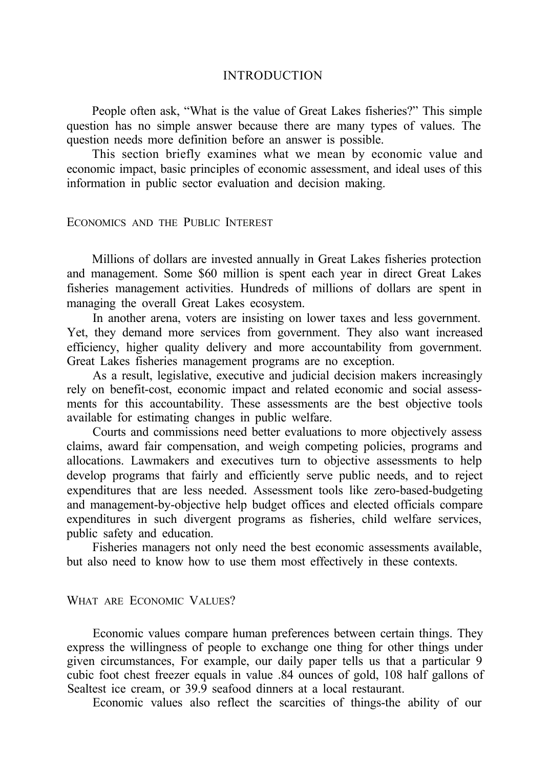#### INTRODUCTION

<span id="page-10-0"></span>People often ask, "What is the value of Great Lakes fisheries?" This simple question has no simple answer because there are many types of values. The question needs more definition before an answer is possible.

This section briefly examines what we mean by economic value and economic impact, basic principles of economic assessment, and ideal uses of this information in public sector evaluation and decision making.

ECONOMICS AND THE PUBLIC INTEREST

Millions of dollars are invested annually in Great Lakes fisheries protection and management. Some \$60 million is spent each year in direct Great Lakes fisheries management activities. Hundreds of millions of dollars are spent in managing the overall Great Lakes ecosystem.

In another arena, voters are insisting on lower taxes and less government. Yet, they demand more services from government. They also want increased efficiency, higher quality delivery and more accountability from government. Great Lakes fisheries management programs are no exception.

As a result, legislative, executive and judicial decision makers increasingly rely on benefit-cost, economic impact and related economic and social assessments for this accountability. These assessments are the best objective tools available for estimating changes in public welfare.

Courts and commissions need better evaluations to more objectively assess claims, award fair compensation, and weigh competing policies, programs and allocations. Lawmakers and executives turn to objective assessments to help develop programs that fairly and efficiently serve public needs, and to reject expenditures that are less needed. Assessment tools like zero-based-budgeting and management-by-objective help budget offices and elected officials compare expenditures in such divergent programs as fisheries, child welfare services, public safety and education.

Fisheries managers not only need the best economic assessments available, but also need to know how to use them most effectively in these contexts.

WHAT ARE ECONOMIC VALUES?

Economic values compare human preferences between certain things. They express the willingness of people to exchange one thing for other things under given circumstances, For example, our daily paper tells us that a particular 9 cubic foot chest freezer equals in value .84 ounces of gold, 108 half gallons of Sealtest ice cream, or 39.9 seafood dinners at a local restaurant.

Economic values also reflect the scarcities of things-the ability of our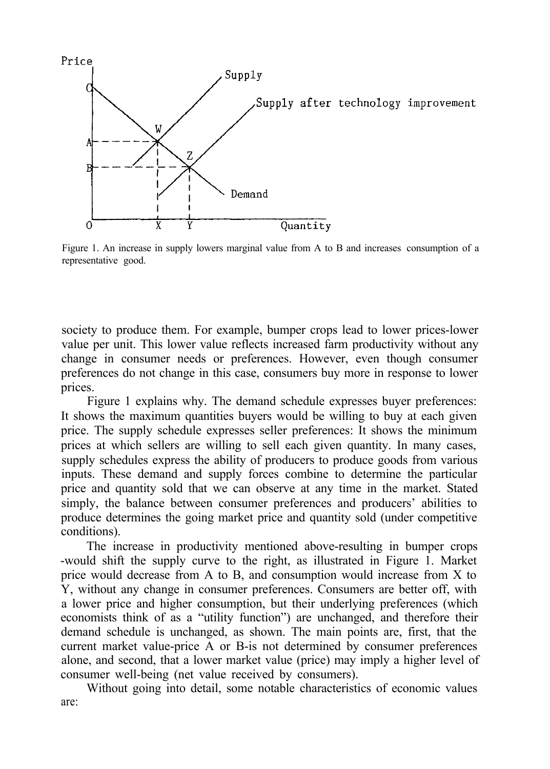

Figure 1. An increase in supply lowers marginal value from A to B and increases consumption of a representative good.

society to produce them. For example, bumper crops lead to lower prices-lower value per unit. This lower value reflects increased farm productivity without any change in consumer needs or preferences. However, even though consumer preferences do not change in this case, consumers buy more in response to lower prices.

Figure 1 explains why. The demand schedule expresses buyer preferences: It shows the maximum quantities buyers would be willing to buy at each given price. The supply schedule expresses seller preferences: It shows the minimum prices at which sellers are willing to sell each given quantity. In many cases, supply schedules express the ability of producers to produce goods from various inputs. These demand and supply forces combine to determine the particular price and quantity sold that we can observe at any time in the market. Stated simply, the balance between consumer preferences and producers' abilities to produce determines the going market price and quantity sold (under competitive conditions).

The increase in productivity mentioned above-resulting in bumper crops -would shift the supply curve to the right, as illustrated in Figure 1. Market price would decrease from A to B, and consumption would increase from X to Y, without any change in consumer preferences. Consumers are better off, with a lower price and higher consumption, but their underlying preferences (which economists think of as a "utility function") are unchanged, and therefore their demand schedule is unchanged, as shown. The main points are, first, that the current market value-price A or B-is not determined by consumer preferences alone, and second, that a lower market value (price) may imply a higher level of consumer well-being (net value received by consumers).

Without going into detail, some notable characteristics of economic values are: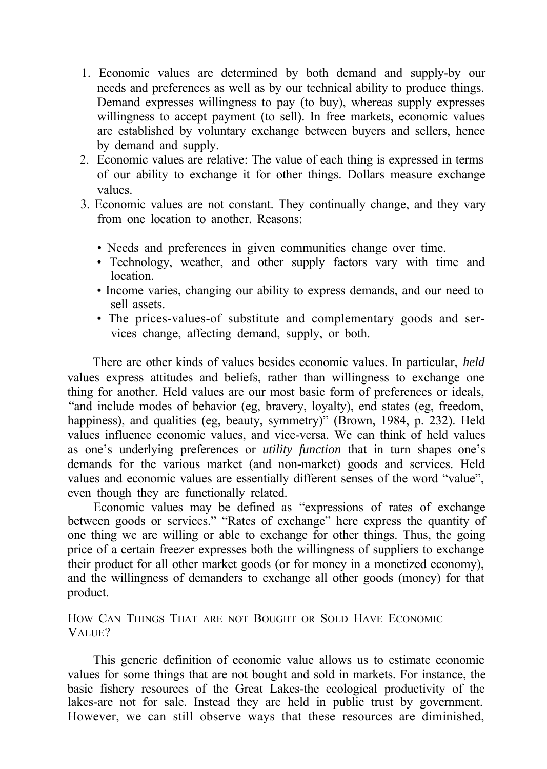- <span id="page-12-0"></span>1. Economic values are determined by both demand and supply-by our needs and preferences as well as by our technical ability to produce things. Demand expresses willingness to pay (to buy), whereas supply expresses willingness to accept payment (to sell). In free markets, economic values are established by voluntary exchange between buyers and sellers, hence by demand and supply.
- 2. Economic values are relative: The value of each thing is expressed in terms of our ability to exchange it for other things. Dollars measure exchange values.
- 3. Economic values are not constant. They continually change, and they vary from one location to another. Reasons:
	- Needs and preferences in given communities change over time.
	- Technology, weather, and other supply factors vary with time and location.
	- Income varies, changing our ability to express demands, and our need to sell assets.
	- The prices-values-of substitute and complementary goods and services change, affecting demand, supply, or both.

There are other kinds of values besides economic values. In particular, *held* values express attitudes and beliefs, rather than willingness to exchange one thing for another. Held values are our most basic form of preferences or ideals, "and include modes of behavior (eg, bravery, loyalty), end states (eg, freedom, happiness), and qualities (eg, beauty, symmetry)" (Brown, 1984, p. 232). Held values influence economic values, and vice-versa. We can think of held values as one's underlying preferences or *utility function* that in turn shapes one's demands for the various market (and non-market) goods and services. Held values and economic values are essentially different senses of the word "value", even though they are functionally related.

Economic values may be defined as "expressions of rates of exchange between goods or services." "Rates of exchange" here express the quantity of one thing we are willing or able to exchange for other things. Thus, the going price of a certain freezer expresses both the willingness of suppliers to exchange their product for all other market goods (or for money in a monetized economy), and the willingness of demanders to exchange all other goods (money) for that product.

HOW CAN THINGS THAT ARE NOT BOUGHT OR SOLD HAVE ECONOMIC VALUE?

This generic definition of economic value allows us to estimate economic values for some things that are not bought and sold in markets. For instance, the basic fishery resources of the Great Lakes-the ecological productivity of the lakes-are not for sale. Instead they are held in public trust by government. However, we can still observe ways that these resources are diminished,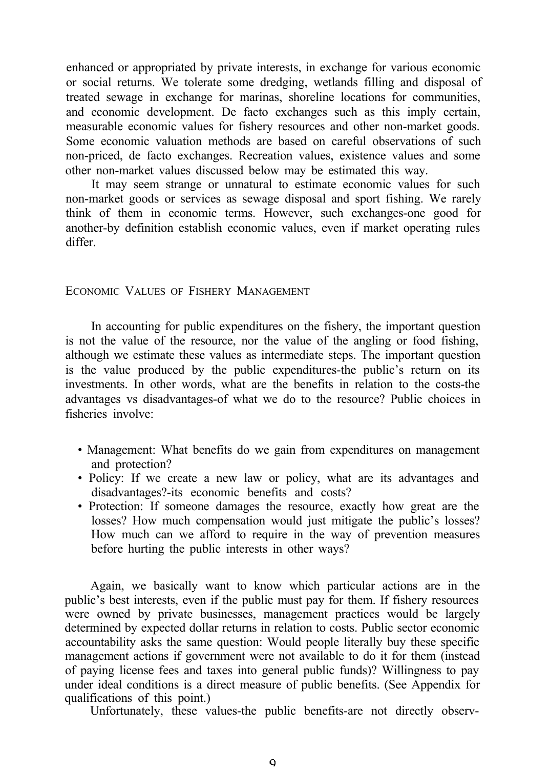<span id="page-13-0"></span>enhanced or appropriated by private interests, in exchange for various economic or social returns. We tolerate some dredging, wetlands filling and disposal of treated sewage in exchange for marinas, shoreline locations for communities, and economic development. De facto exchanges such as this imply certain, measurable economic values for fishery resources and other non-market goods. Some economic valuation methods are based on careful observations of such non-priced, de facto exchanges. Recreation values, existence values and some other non-market values discussed below may be estimated this way.

It may seem strange or unnatural to estimate economic values for such non-market goods or services as sewage disposal and sport fishing. We rarely think of them in economic terms. However, such exchanges-one good for another-by definition establish economic values, even if market operating rules differ.

### ECONOMIC VALUES OF FISHERY MANAGEMENT

In accounting for public expenditures on the fishery, the important question is not the value of the resource, nor the value of the angling or food fishing, although we estimate these values as intermediate steps. The important question is the value produced by the public expenditures-the public's return on its investments. In other words, what are the benefits in relation to the costs-the advantages vs disadvantages-of what we do to the resource? Public choices in fisheries involve:

- Management: What benefits do we gain from expenditures on management and protection?
- Policy: If we create a new law or policy, what are its advantages and disadvantages?-its economic benefits and costs?
- Protection: If someone damages the resource, exactly how great are the losses? How much compensation would just mitigate the public's losses? How much can we afford to require in the way of prevention measures before hurting the public interests in other ways?

Again, we basically want to know which particular actions are in the public's best interests, even if the public must pay for them. If fishery resources were owned by private businesses, management practices would be largely determined by expected dollar returns in relation to costs. Public sector economic accountability asks the same question: Would people literally buy these specific management actions if government were not available to do it for them (instead of paying license fees and taxes into general public funds)? Willingness to pay under ideal conditions is a direct measure of public benefits. (See Appendix for qualifications of this point.)

Unfortunately, these values-the public benefits-are not directly observ-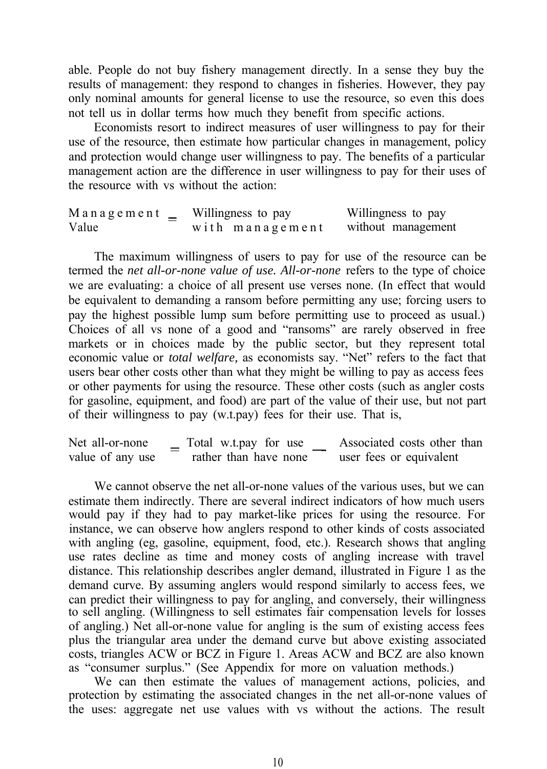able. People do not buy fishery management directly. In a sense they buy the results of management: they respond to changes in fisheries. However, they pay only nominal amounts for general license to use the resource, so even this does not tell us in dollar terms how much they benefit from specific actions.

Economists resort to indirect measures of user willingness to pay for their use of the resource, then estimate how particular changes in management, policy and protection would change user willingness to pay. The benefits of a particular management action are the difference in user willingness to pay for their uses of the resource with vs without the action:

| Management | Willingness to pay | Willingness to pay |
|------------|--------------------|--------------------|
| Value      | with management    | without management |

The maximum willingness of users to pay for use of the resource can be termed the *net all-or-none value of use. All-or-none* refers to the type of choice we are evaluating: a choice of all present use verses none. (In effect that would be equivalent to demanding a ransom before permitting any use; forcing users to pay the highest possible lump sum before permitting use to proceed as usual.) Choices of all vs none of a good and "ransoms" are rarely observed in free markets or in choices made by the public sector, but they represent total economic value or *total welfare,* as economists say. "Net" refers to the fact that users bear other costs other than what they might be willing to pay as access fees or other payments for using the resource. These other costs (such as angler costs for gasoline, equipment, and food) are part of the value of their use, but not part of their willingness to pay (w.t.pay) fees for their use. That is,

Net all-or-none  $=$  Total w.t.pay for use  $-$  Associated costs other than value of any use rather than have none user fees or equivalent

We cannot observe the net all-or-none values of the various uses, but we can estimate them indirectly. There are several indirect indicators of how much users would pay if they had to pay market-like prices for using the resource. For instance, we can observe how anglers respond to other kinds of costs associated with angling (eg, gasoline, equipment, food, etc.). Research shows that angling use rates decline as time and money costs of angling increase with travel distance. This relationship describes angler demand, illustrated in Figure 1 as the demand curve. By assuming anglers would respond similarly to access fees, we can predict their willingness to pay for angling, and conversely, their willingness to sell angling. (Willingness to sell estimates fair compensation levels for losses of angling.) Net all-or-none value for angling is the sum of existing access fees plus the triangular area under the demand curve but above existing associated costs, triangles ACW or BCZ in Figure 1. Areas ACW and BCZ are also known as "consumer surplus." (See Appendix for more on valuation methods.)

We can then estimate the values of management actions, policies, and protection by estimating the associated changes in the net all-or-none values of the uses: aggregate net use values with vs without the actions. The result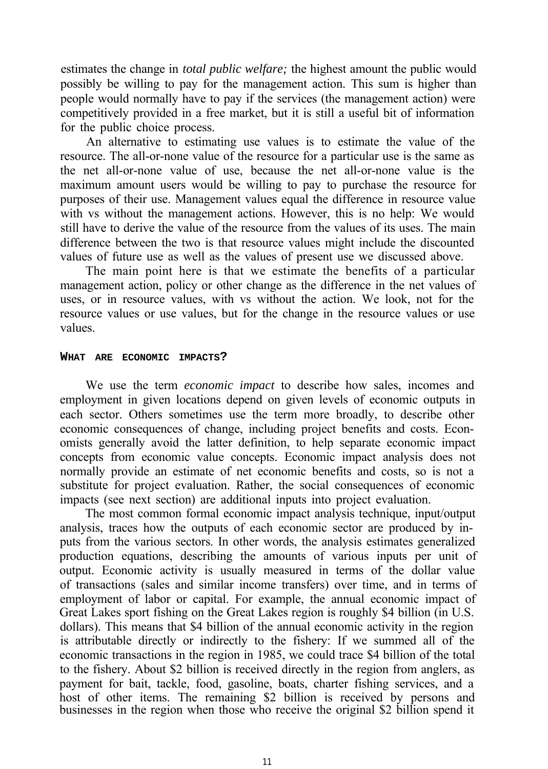<span id="page-15-0"></span>estimates the change in *total public welfare;* the highest amount the public would possibly be willing to pay for the management action. This sum is higher than people would normally have to pay if the services (the management action) were competitively provided in a free market, but it is still a useful bit of information for the public choice process.

An alternative to estimating use values is to estimate the value of the resource. The all-or-none value of the resource for a particular use is the same as the net all-or-none value of use, because the net all-or-none value is the maximum amount users would be willing to pay to purchase the resource for purposes of their use. Management values equal the difference in resource value with vs without the management actions. However, this is no help: We would still have to derive the value of the resource from the values of its uses. The main difference between the two is that resource values might include the discounted values of future use as well as the values of present use we discussed above.

The main point here is that we estimate the benefits of a particular management action, policy or other change as the difference in the net values of uses, or in resource values, with vs without the action. We look, not for the resource values or use values, but for the change in the resource values or use values.

#### **WHAT ARE ECONOMIC IMPACTS?**

We use the term *economic impact* to describe how sales, incomes and employment in given locations depend on given levels of economic outputs in each sector. Others sometimes use the term more broadly, to describe other economic consequences of change, including project benefits and costs. Economists generally avoid the latter definition, to help separate economic impact concepts from economic value concepts. Economic impact analysis does not normally provide an estimate of net economic benefits and costs, so is not a substitute for project evaluation. Rather, the social consequences of economic impacts (see next section) are additional inputs into project evaluation.

The most common formal economic impact analysis technique, input/output analysis, traces how the outputs of each economic sector are produced by inputs from the various sectors. In other words, the analysis estimates generalized production equations, describing the amounts of various inputs per unit of output. Economic activity is usually measured in terms of the dollar value of transactions (sales and similar income transfers) over time, and in terms of employment of labor or capital. For example, the annual economic impact of Great Lakes sport fishing on the Great Lakes region is roughly \$4 billion (in U.S. dollars). This means that \$4 billion of the annual economic activity in the region is attributable directly or indirectly to the fishery: If we summed all of the economic transactions in the region in 1985, we could trace \$4 billion of the total to the fishery. About \$2 billion is received directly in the region from anglers, as payment for bait, tackle, food, gasoline, boats, charter fishing services, and a host of other items. The remaining \$2 billion is received by persons and businesses in the region when those who receive the original \$2 billion spend it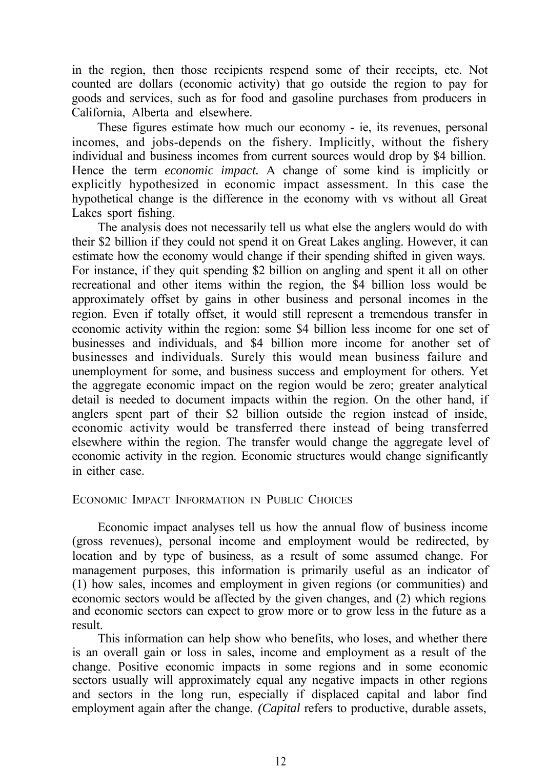<span id="page-16-0"></span>in the region, then those recipients respend some of their receipts, etc. Not counted are dollars (economic activity) that go outside the region to pay for goods and services, such as for food and gasoline purchases from producers in California, Alberta and elsewhere.

These figures estimate how much our economy - ie, its revenues, personal incomes, and jobs-depends on the fishery. Implicitly, without the fishery individual and business incomes from current sources would drop by \$4 billion. Hence the term *economic impact.* A change of some kind is implicitly or explicitly hypothesized in economic impact assessment. In this case the hypothetical change is the difference in the economy with vs without all Great Lakes sport fishing.

The analysis does not necessarily tell us what else the anglers would do with their \$2 billion if they could not spend it on Great Lakes angling. However, it can estimate how the economy would change if their spending shifted in given ways. For instance, if they quit spending \$2 billion on angling and spent it all on other recreational and other items within the region, the \$4 billion loss would be approximately offset by gains in other business and personal incomes in the region. Even if totally offset, it would still represent a tremendous transfer in economic activity within the region: some \$4 billion less income for one set of businesses and individuals, and \$4 billion more income for another set of businesses and individuals. Surely this would mean business failure and unemployment for some, and business success and employment for others. Yet the aggregate economic impact on the region would be zero; greater analytical detail is needed to document impacts within the region. On the other hand, if anglers spent part of their \$2 billion outside the region instead of inside, economic activity would be transferred there instead of being transferred elsewhere within the region. The transfer would change the aggregate level of economic activity in the region. Economic structures would change significantly in either case.

#### ECONOMIC IMPACT INFORMATION IN PUBLIC CHOICES

Economic impact analyses tell us how the annual flow of business income (gross revenues), personal income and employment would be redirected, by location and by type of business, as a result of some assumed change. For management purposes, this information is primarily useful as an indicator of (1) how sales, incomes and employment in given regions (or communities) and economic sectors would be affected by the given changes, and (2) which regions and economic sectors can expect to grow more or to grow less in the future as a result.

This information can help show who benefits, who loses, and whether there is an overall gain or loss in sales, income and employment as a result of the change. Positive economic impacts in some regions and in some economic sectors usually will approximately equal any negative impacts in other regions and sectors in the long run, especially if displaced capital and labor find employment again after the change. *(Capital refers to productive, durable assets,*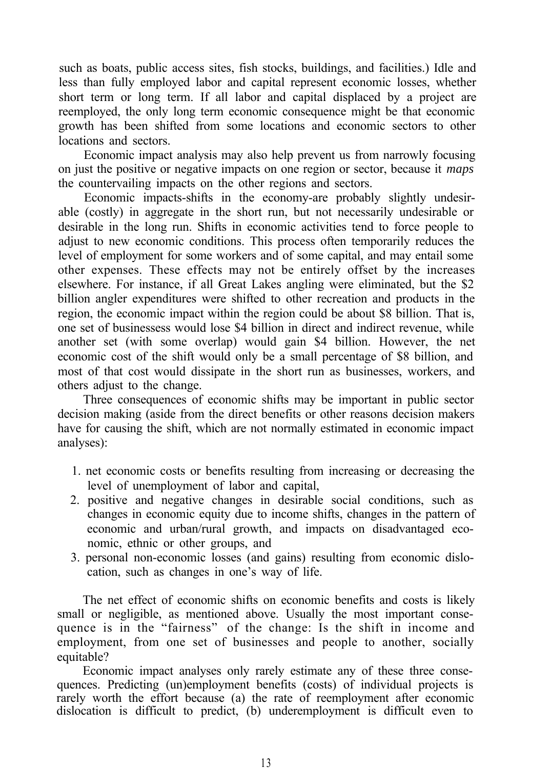such as boats, public access sites, fish stocks, buildings, and facilities.) Idle and less than fully employed labor and capital represent economic losses, whether short term or long term. If all labor and capital displaced by a project are reemployed, the only long term economic consequence might be that economic growth has been shifted from some locations and economic sectors to other locations and sectors.

Economic impact analysis may also help prevent us from narrowly focusing on just the positive or negative impacts on one region or sector, because it *maps* the countervailing impacts on the other regions and sectors.

Economic impacts-shifts in the economy-are probably slightly undesirable (costly) in aggregate in the short run, but not necessarily undesirable or desirable in the long run. Shifts in economic activities tend to force people to adjust to new economic conditions. This process often temporarily reduces the level of employment for some workers and of some capital, and may entail some other expenses. These effects may not be entirely offset by the increases elsewhere. For instance, if all Great Lakes angling were eliminated, but the \$2 billion angler expenditures were shifted to other recreation and products in the region, the economic impact within the region could be about \$8 billion. That is, one set of businessess would lose \$4 billion in direct and indirect revenue, while another set (with some overlap) would gain \$4 billion. However, the net economic cost of the shift would only be a small percentage of \$8 billion, and most of that cost would dissipate in the short run as businesses, workers, and others adjust to the change.

Three consequences of economic shifts may be important in public sector decision making (aside from the direct benefits or other reasons decision makers have for causing the shift, which are not normally estimated in economic impact analyses):

- 1. net economic costs or benefits resulting from increasing or decreasing the level of unemployment of labor and capital,
- 2. positive and negative changes in desirable social conditions, such as changes in economic equity due to income shifts, changes in the pattern of economic and urban/rural growth, and impacts on disadvantaged economic, ethnic or other groups, and
- 3. personal non-economic losses (and gains) resulting from economic dislocation, such as changes in one's way of life.

The net effect of economic shifts on economic benefits and costs is likely small or negligible, as mentioned above. Usually the most important consequence is in the "fairness" of the change: Is the shift in income and employment, from one set of businesses and people to another, socially equitable?

Economic impact analyses only rarely estimate any of these three consequences. Predicting (un)employment benefits (costs) of individual projects is rarely worth the effort because (a) the rate of reemployment after economic dislocation is difficult to predict, (b) underemployment is difficult even to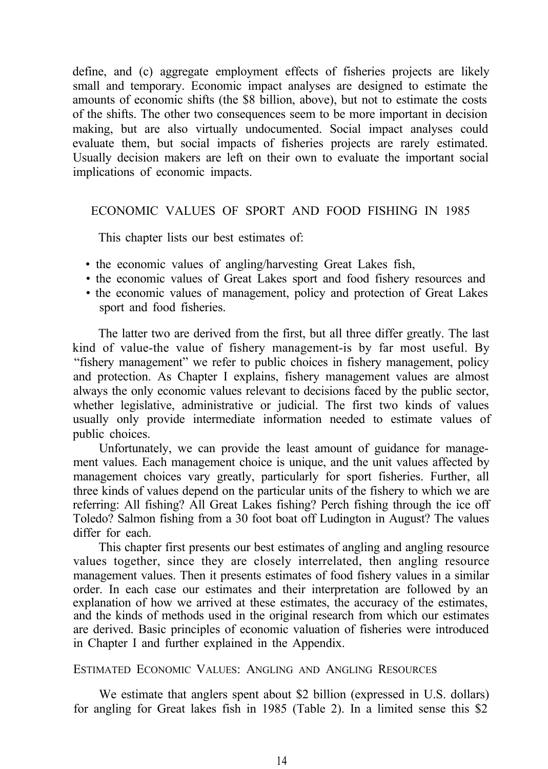<span id="page-18-0"></span>define, and (c) aggregate employment effects of fisheries projects are likely small and temporary. Economic impact analyses are designed to estimate the amounts of economic shifts (the \$8 billion, above), but not to estimate the costs of the shifts. The other two consequences seem to be more important in decision making, but are also virtually undocumented. Social impact analyses could evaluate them, but social impacts of fisheries projects are rarely estimated. Usually decision makers are left on their own to evaluate the important social implications of economic impacts.

## ECONOMIC VALUES OF SPORT AND FOOD FISHING IN 1985

This chapter lists our best estimates of:

- the economic values of angling/harvesting Great Lakes fish,
- the economic values of Great Lakes sport and food fishery resources and
- the economic values of management, policy and protection of Great Lakes sport and food fisheries.

The latter two are derived from the first, but all three differ greatly. The last kind of value-the value of fishery management-is by far most useful. By "fishery management" we refer to public choices in fishery management, policy and protection. As Chapter I explains, fishery management values are almost always the only economic values relevant to decisions faced by the public sector, whether legislative, administrative or judicial. The first two kinds of values usually only provide intermediate information needed to estimate values of public choices.

Unfortunately, we can provide the least amount of guidance for management values. Each management choice is unique, and the unit values affected by management choices vary greatly, particularly for sport fisheries. Further, all three kinds of values depend on the particular units of the fishery to which we are referring: All fishing? All Great Lakes fishing? Perch fishing through the ice off Toledo? Salmon fishing from a 30 foot boat off Ludington in August? The values differ for each.

This chapter first presents our best estimates of angling and angling resource values together, since they are closely interrelated, then angling resource management values. Then it presents estimates of food fishery values in a similar order. In each case our estimates and their interpretation are followed by an explanation of how we arrived at these estimates, the accuracy of the estimates, and the kinds of methods used in the original research from which our estimates are derived. Basic principles of economic valuation of fisheries were introduced in Chapter I and further explained in the Appendix.

#### ESTIMATED ECONOMIC VALUES: ANGLING AND ANGLING RESOURCES

We estimate that anglers spent about \$2 billion (expressed in U.S. dollars) for angling for Great lakes fish in 1985 (Table 2). In a limited sense this \$2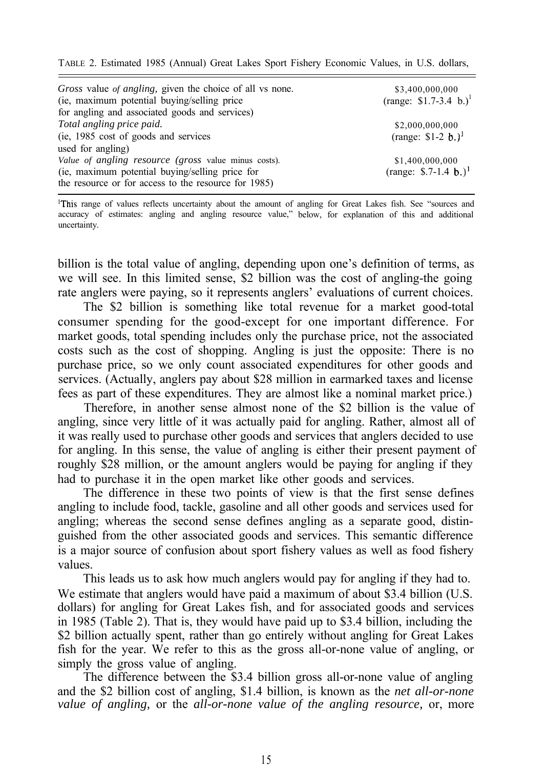TABLE 2. Estimated 1985 (Annual) Great Lakes Sport Fishery Economic Values, in U.S. dollars,

| Gross value of angling, given the choice of all vs none.<br>(ie, maximum potential buying/selling price)<br>for angling and associated goods and services) | \$3,400,000,000<br>(range: $$1.7-3.4$ b.) <sup>1</sup> |
|------------------------------------------------------------------------------------------------------------------------------------------------------------|--------------------------------------------------------|
| Total angling price paid.<br>(ie, 1985 cost of goods and services                                                                                          | \$2,000,000,000<br>(range: $$1-2 b.$ ) <sup>1</sup>    |
| used for angling)<br>Value of angling resource (gross value minus costs).<br>(ie, maximum potential buying/selling price for                               | \$1,400,000,000<br>(range: $$.7-1.4$ b.) <sup>1</sup>  |
| the resource or for access to the resource for 1985)                                                                                                       |                                                        |

IThis range of values reflects uncertainty about the amount of angling for Great Lakes fish. See "sources and accuracy of estimates: angling and angling resource value," below, for explanation of this and additional uncertainty.

billion is the total value of angling, depending upon one's definition of terms, as we will see. In this limited sense, \$2 billion was the cost of angling-the going rate anglers were paying, so it represents anglers' evaluations of current choices.

The \$2 billion is something like total revenue for a market good-total consumer spending for the good-except for one important difference. For market goods, total spending includes only the purchase price, not the associated costs such as the cost of shopping. Angling is just the opposite: There is no purchase price, so we only count associated expenditures for other goods and services. (Actually, anglers pay about \$28 million in earmarked taxes and license fees as part of these expenditures. They are almost like a nominal market price.)

Therefore, in another sense almost none of the \$2 billion is the value of angling, since very little of it was actually paid for angling. Rather, almost all of it was really used to purchase other goods and services that anglers decided to use for angling. In this sense, the value of angling is either their present payment of roughly \$28 million, or the amount anglers would be paying for angling if they had to purchase it in the open market like other goods and services.

The difference in these two points of view is that the first sense defines angling to include food, tackle, gasoline and all other goods and services used for angling; whereas the second sense defines angling as a separate good, distinguished from the other associated goods and services. This semantic difference is a major source of confusion about sport fishery values as well as food fishery values.

This leads us to ask how much anglers would pay for angling if they had to. We estimate that anglers would have paid a maximum of about \$3.4 billion (U.S.) dollars) for angling for Great Lakes fish, and for associated goods and services in 1985 (Table 2). That is, they would have paid up to \$3.4 billion, including the \$2 billion actually spent, rather than go entirely without angling for Great Lakes fish for the year. We refer to this as the gross all-or-none value of angling, or simply the gross value of angling.

The difference between the \$3.4 billion gross all-or-none value of angling and the \$2 billion cost of angling, \$1.4 billion, is known as the *net all-or-none value of angling,* or the *all-or-none value of the angling resource,* or, more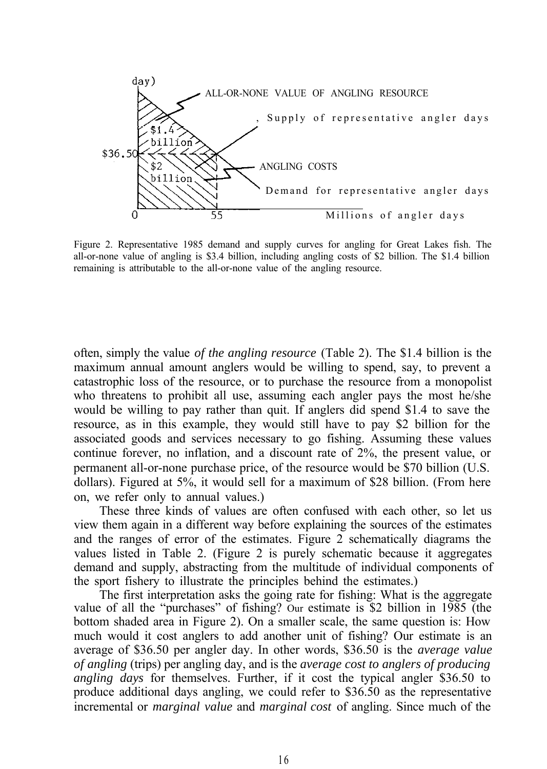

Figure 2. Representative 1985 demand and supply curves for angling for Great Lakes fish. The all-or-none value of angling is \$3.4 billion, including angling costs of \$2 billion. The \$1.4 billion remaining is attributable to the all-or-none value of the angling resource.

often, simply the value *of the angling resource* (Table 2). The \$1.4 billion is the maximum annual amount anglers would be willing to spend, say, to prevent a catastrophic loss of the resource, or to purchase the resource from a monopolist who threatens to prohibit all use, assuming each angler pays the most he/she would be willing to pay rather than quit. If anglers did spend \$1.4 to save the resource, as in this example, they would still have to pay \$2 billion for the associated goods and services necessary to go fishing. Assuming these values continue forever, no inflation, and a discount rate of 2%, the present value, or permanent all-or-none purchase price, of the resource would be \$70 billion (U.S. dollars). Figured at 5%, it would sell for a maximum of \$28 billion. (From here on, we refer only to annual values.)

These three kinds of values are often confused with each other, so let us view them again in a different way before explaining the sources of the estimates and the ranges of error of the estimates. Figure 2 schematically diagrams the values listed in Table 2. (Figure 2 is purely schematic because it aggregates demand and supply, abstracting from the multitude of individual components of the sport fishery to illustrate the principles behind the estimates.)

The first interpretation asks the going rate for fishing: What is the aggregate value of all the "purchases" of fishing? Our estimate is \$2 billion in 1985 (the bottom shaded area in Figure 2). On a smaller scale, the same question is: How much would it cost anglers to add another unit of fishing? Our estimate is an average of \$36.50 per angler day. In other words, \$36.50 is the *average value of angling* (trips) per angling day, and is the *average cost to anglers of producing angling days* for themselves. Further, if it cost the typical angler \$36.50 to produce additional days angling, we could refer to \$36.50 as the representative incremental or *marginal value* and *marginal cost* of angling. Since much of the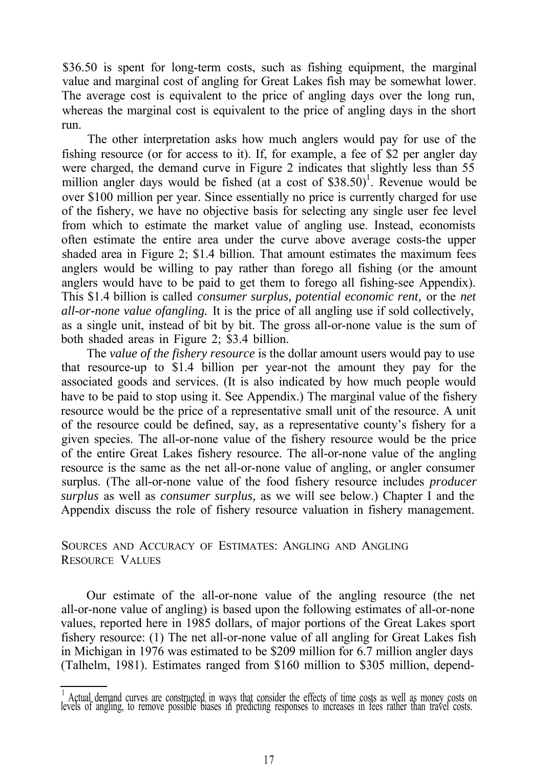<span id="page-21-0"></span>\$36.50 is spent for long-term costs, such as fishing equipment, the marginal value and marginal cost of angling for Great Lakes fish may be somewhat lower. The average cost is equivalent to the price of angling days over the long run, whereas the marginal cost is equivalent to the price of angling days in the short run.

The other interpretation asks how much anglers would pay for use of the fishing resource (or for access to it). If, for example, a fee of \$2 per angler day were charged, the demand curve in Figure 2 indicates that slightly less than 55 million angler days would be fished (at a cost of  $$38.50$ )<sup>1</sup>. Revenue would be over \$100 million per year. Since essentially no price is currently charged for use of the fishery, we have no objective basis for selecting any single user fee level from which to estimate the market value of angling use. Instead, economists often estimate the entire area under the curve above average costs-the upper shaded area in Figure 2; \$1.4 billion. That amount estimates the maximum fees anglers would be willing to pay rather than forego all fishing (or the amount anglers would have to be paid to get them to forego all fishing-see Appendix). This \$1.4 billion is called *consumer surplus, potential economic rent,* or the *net all-or-none value ofangling.* It is the price of all angling use if sold collectively, as a single unit, instead of bit by bit. The gross all-or-none value is the sum of both shaded areas in Figure 2; \$3.4 billion.

The *value of the fishery resource* is the dollar amount users would pay to use that resource-up to \$1.4 billion per year-not the amount they pay for the associated goods and services. (It is also indicated by how much people would have to be paid to stop using it. See Appendix.) The marginal value of the fishery resource would be the price of a representative small unit of the resource. A unit of the resource could be defined, say, as a representative county's fishery for a given species. The all-or-none value of the fishery resource would be the price of the entire Great Lakes fishery resource. The all-or-none value of the angling resource is the same as the net all-or-none value of angling, or angler consumer surplus. (The all-or-none value of the food fishery resource includes *producer surplus* as well as *consumer surplus,* as we will see below.) Chapter I and the Appendix discuss the role of fishery resource valuation in fishery management.

## SOURCES AND ACCURACY OF ESTIMATES: ANGLING AND ANGLING RESOURCE VALUES

Our estimate of the all-or-none value of the angling resource (the net all-or-none value of angling) is based upon the following estimates of all-or-none values, reported here in 1985 dollars, of major portions of the Great Lakes sport fishery resource: (1) The net all-or-none value of all angling for Great Lakes fish in Michigan in 1976 was estimated to be \$209 million for 6.7 million angler days (Talhelm, 1981). Estimates ranged from \$160 million to \$305 million, depend-

<sup>&</sup>lt;sup>1</sup> Actual demand curves are constructed in ways that consider the effects of time costs as well as money costs on levels of angling, to remove possible biases in predicting responses to increases in fees rather than trave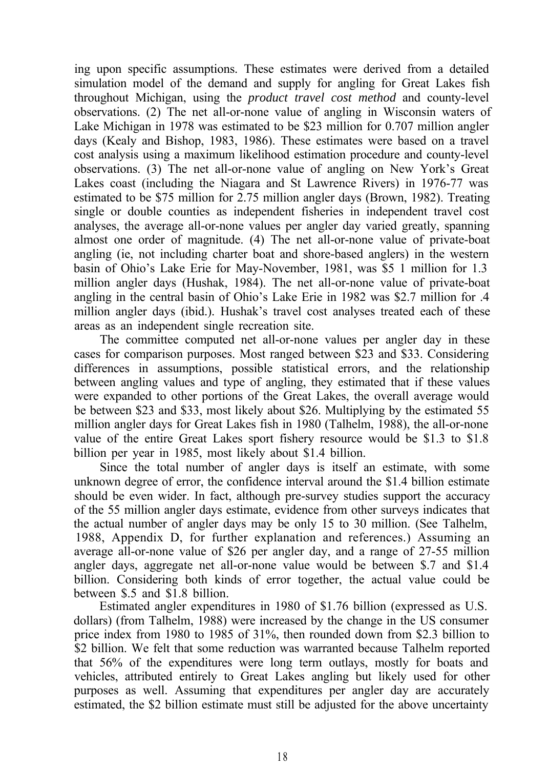ing upon specific assumptions. These estimates were derived from a detailed simulation model of the demand and supply for angling for Great Lakes fish throughout Michigan, using the *product travel cost method* and county-level observations. (2) The net all-or-none value of angling in Wisconsin waters of Lake Michigan in 1978 was estimated to be \$23 million for 0.707 million angler days (Kealy and Bishop, 1983, 1986). These estimates were based on a travel cost analysis using a maximum likelihood estimation procedure and county-level observations. (3) The net all-or-none value of angling on New York's Great Lakes coast (including the Niagara and St Lawrence Rivers) in 1976-77 was estimated to be \$75 million for 2.75 million angler days (Brown, 1982). Treating single or double counties as independent fisheries in independent travel cost analyses, the average all-or-none values per angler day varied greatly, spanning almost one order of magnitude. (4) The net all-or-none value of private-boat angling (ie, not including charter boat and shore-based anglers) in the western basin of Ohio's Lake Erie for May-November, 1981, was \$5 1 million for 1.3 million angler days (Hushak, 1984). The net all-or-none value of private-boat angling in the central basin of Ohio's Lake Erie in 1982 was \$2.7 million for .4 million angler days (ibid.). Hushak's travel cost analyses treated each of these areas as an independent single recreation site.

The committee computed net all-or-none values per angler day in these cases for comparison purposes. Most ranged between \$23 and \$33. Considering differences in assumptions, possible statistical errors, and the relationship between angling values and type of angling, they estimated that if these values were expanded to other portions of the Great Lakes, the overall average would be between \$23 and \$33, most likely about \$26. Multiplying by the estimated 55 million angler days for Great Lakes fish in 1980 (Talhelm, 1988), the all-or-none value of the entire Great Lakes sport fishery resource would be \$1.3 to \$1.8 billion per year in 1985, most likely about \$1.4 billion.

Since the total number of angler days is itself an estimate, with some unknown degree of error, the confidence interval around the \$1.4 billion estimate should be even wider. In fact, although pre-survey studies support the accuracy of the 55 million angler days estimate, evidence from other surveys indicates that the actual number of angler days may be only 15 to 30 million. (See Talhelm, 1988, Appendix D, for further explanation and references.) Assuming an average all-or-none value of \$26 per angler day, and a range of 27-55 million angler days, aggregate net all-or-none value would be between \$.7 and \$1.4 billion. Considering both kinds of error together, the actual value could be between \$.5 and \$1.8 billion.

Estimated angler expenditures in 1980 of \$1.76 billion (expressed as U.S. dollars) (from Talhelm, 1988) were increased by the change in the US consumer price index from 1980 to 1985 of 31%, then rounded down from \$2.3 billion to \$2 billion. We felt that some reduction was warranted because Talhelm reported that 56% of the expenditures were long term outlays, mostly for boats and vehicles, attributed entirely to Great Lakes angling but likely used for other purposes as well. Assuming that expenditures per angler day are accurately estimated, the \$2 billion estimate must still be adjusted for the above uncertainty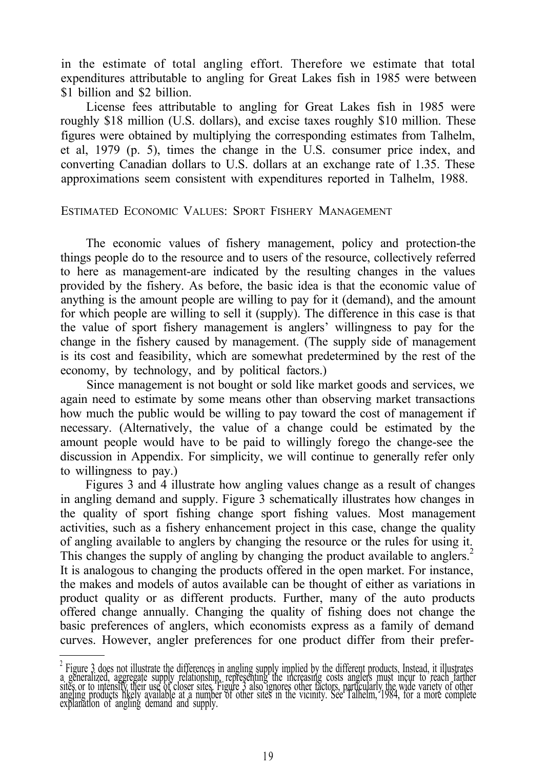<span id="page-23-0"></span>in the estimate of total angling effort. Therefore we estimate that total expenditures attributable to angling for Great Lakes fish in 1985 were between \$1 billion and \$2 billion.

License fees attributable to angling for Great Lakes fish in 1985 were roughly \$18 million (U.S. dollars), and excise taxes roughly \$10 million. These figures were obtained by multiplying the corresponding estimates from Talhelm, et al, 1979 (p. 5), times the change in the U.S. consumer price index, and converting Canadian dollars to U.S. dollars at an exchange rate of 1.35. These approximations seem consistent with expenditures reported in Talhelm, 1988.

#### ESTIMATED ECONOMIC VALUES: SPORT FISHERY MANAGEMENT

The economic values of fishery management, policy and protection-the things people do to the resource and to users of the resource, collectively referred to here as management-are indicated by the resulting changes in the values provided by the fishery. As before, the basic idea is that the economic value of anything is the amount people are willing to pay for it (demand), and the amount for which people are willing to sell it (supply). The difference in this case is that the value of sport fishery management is anglers' willingness to pay for the change in the fishery caused by management. (The supply side of management is its cost and feasibility, which are somewhat predetermined by the rest of the economy, by technology, and by political factors.)

Since management is not bought or sold like market goods and services, we again need to estimate by some means other than observing market transactions how much the public would be willing to pay toward the cost of management if necessary. (Alternatively, the value of a change could be estimated by the amount people would have to be paid to willingly forego the change-see the discussion in Appendix. For simplicity, we will continue to generally refer only to willingness to pay.)

Figures 3 and 4 illustrate how angling values change as a result of changes in angling demand and supply. Figure 3 schematically illustrates how changes in the quality of sport fishing change sport fishing values. Most management activities, such as a fishery enhancement project in this case, change the quality of angling available to anglers by changing the resource or the rules for using it. This changes the supply of angling by changing the product available to anglers.<sup>2</sup> It is analogous to changing the products offered in the open market. For instance, the makes and models of autos available can be thought of either as variations in product quality or as different products. Further, many of the auto products offered change annually. Changing the quality of fishing does not change the basic preferences of anglers, which economists express as a family of demand curves. However, angler preferences for one product differ from their prefer-

Figure 3 does not illustrate the differences in angling supply implied by the different products. Instead, it illustrates a generalized, aggregate supply relationship, representing the increasing costs anglers must incur t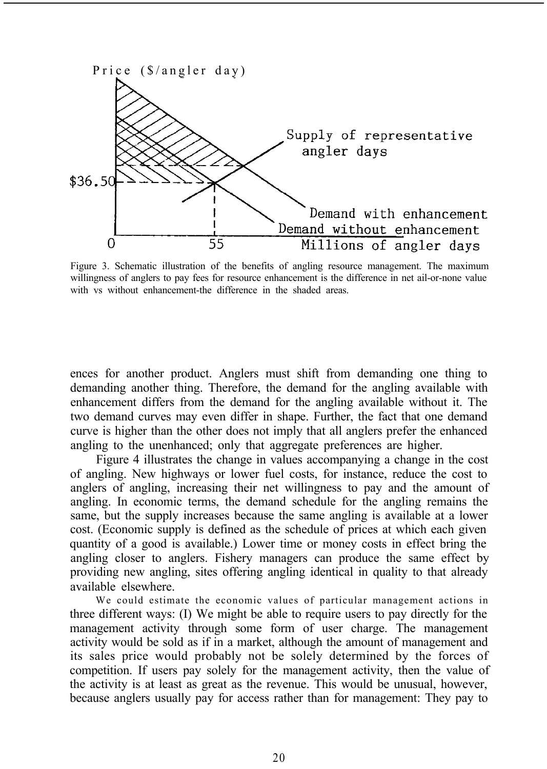

Figure 3. Schematic illustration of the benefits of angling resource management. The maximum willingness of anglers to pay fees for resource enhancement is the difference in net ail-or-none value with vs without enhancement-the difference in the shaded areas.

ences for another product. Anglers must shift from demanding one thing to demanding another thing. Therefore, the demand for the angling available with enhancement differs from the demand for the angling available without it. The two demand curves may even differ in shape. Further, the fact that one demand curve is higher than the other does not imply that all anglers prefer the enhanced angling to the unenhanced; only that aggregate preferences are higher.

Figure 4 illustrates the change in values accompanying a change in the cost of angling. New highways or lower fuel costs, for instance, reduce the cost to anglers of angling, increasing their net willingness to pay and the amount of angling. In economic terms, the demand schedule for the angling remains the same, but the supply increases because the same angling is available at a lower cost. (Economic supply is defined as the schedule of prices at which each given quantity of a good is available.) Lower time or money costs in effect bring the angling closer to anglers. Fishery managers can produce the same effect by providing new angling, sites offering angling identical in quality to that already available elsewhere.

We could estimate the economic values of particular management actions in three different ways: (I) We might be able to require users to pay directly for the management activity through some form of user charge. The management activity would be sold as if in a market, although the amount of management and its sales price would probably not be solely determined by the forces of competition. If users pay solely for the management activity, then the value of the activity is at least as great as the revenue. This would be unusual, however, because anglers usually pay for access rather than for management: They pay to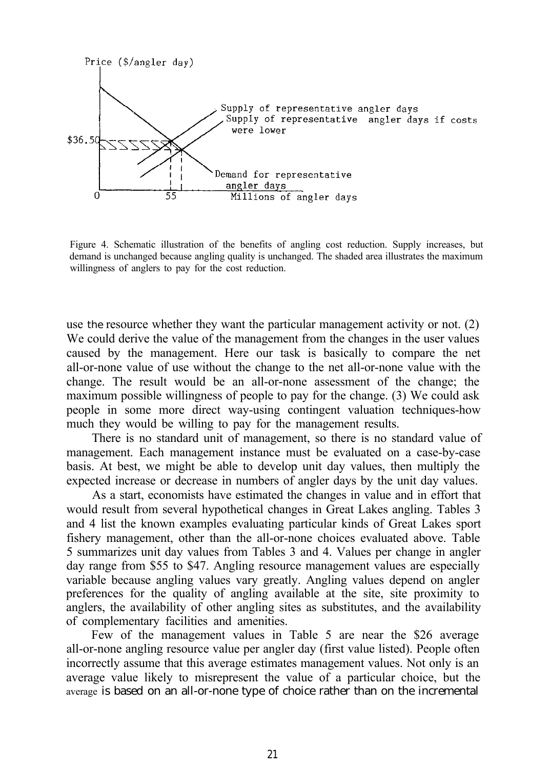

Figure 4. Schematic illustration of the benefits of angling cost reduction. Supply increases, but demand is unchanged because angling quality is unchanged. The shaded area illustrates the maximum willingness of anglers to pay for the cost reduction.

use the resource whether they want the particular management activity or not. (2) We could derive the value of the management from the changes in the user values caused by the management. Here our task is basically to compare the net all-or-none value of use without the change to the net all-or-none value with the change. The result would be an all-or-none assessment of the change; the maximum possible willingness of people to pay for the change. (3) We could ask people in some more direct way-using contingent valuation techniques-how much they would be willing to pay for the management results.

There is no standard unit of management, so there is no standard value of management. Each management instance must be evaluated on a case-by-case basis. At best, we might be able to develop unit day values, then multiply the expected increase or decrease in numbers of angler days by the unit day values.

As a start, economists have estimated the changes in value and in effort that would result from several hypothetical changes in Great Lakes angling. Tables 3 and 4 list the known examples evaluating particular kinds of Great Lakes sport fishery management, other than the all-or-none choices evaluated above. Table 5 summarizes unit day values from Tables 3 and 4. Values per change in angler day range from \$55 to \$47. Angling resource management values are especially variable because angling values vary greatly. Angling values depend on angler preferences for the quality of angling available at the site, site proximity to anglers, the availability of other angling sites as substitutes, and the availability of complementary facilities and amenities.

Few of the management values in Table 5 are near the \$26 average all-or-none angling resource value per angler day (first value listed). People often incorrectly assume that this average estimates management values. Not only is an average value likely to misrepresent the value of a particular choice, but the average is based on an all-or-none type of choice rather than on the incremental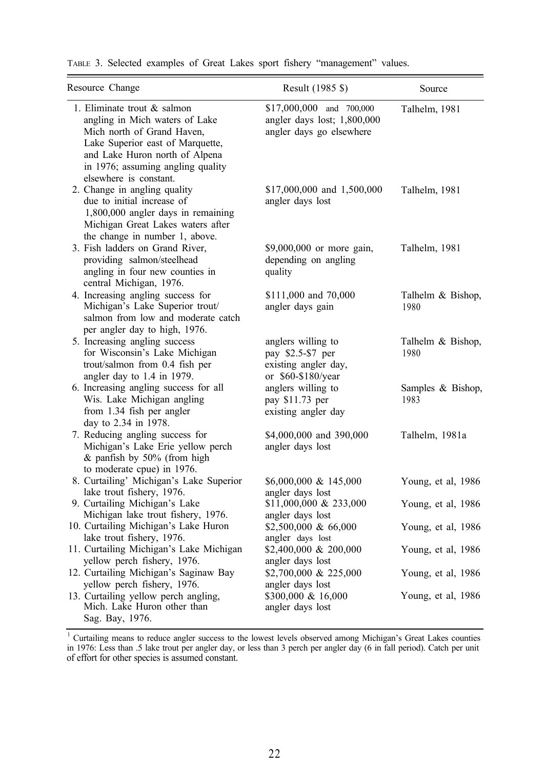| Resource Change                                                                                                                                                                                                                  | Result (1985 \$)                                                                      | Source                    |
|----------------------------------------------------------------------------------------------------------------------------------------------------------------------------------------------------------------------------------|---------------------------------------------------------------------------------------|---------------------------|
| 1. Eliminate trout & salmon<br>angling in Mich waters of Lake<br>Mich north of Grand Haven,<br>Lake Superior east of Marquette,<br>and Lake Huron north of Alpena<br>in 1976; assuming angling quality<br>elsewhere is constant. | \$17,000,000 and 700,000<br>angler days lost; 1,800,000<br>angler days go elsewhere   | Talhelm, 1981             |
| 2. Change in angling quality<br>due to initial increase of<br>1,800,000 angler days in remaining<br>Michigan Great Lakes waters after<br>the change in number 1, above.                                                          | \$17,000,000 and 1,500,000<br>angler days lost                                        | Talhelm, 1981             |
| 3. Fish ladders on Grand River,<br>providing salmon/steelhead<br>angling in four new counties in<br>central Michigan, 1976.                                                                                                      | \$9,000,000 or more gain,<br>depending on angling<br>quality                          | Talhelm, 1981             |
| 4. Increasing angling success for<br>Michigan's Lake Superior trout/<br>salmon from low and moderate catch<br>per angler day to high, 1976.                                                                                      | \$111,000 and 70,000<br>angler days gain                                              | Talhelm & Bishop,<br>1980 |
| 5. Increasing angling success<br>for Wisconsin's Lake Michigan<br>trout/salmon from 0.4 fish per<br>angler day to 1.4 in 1979.                                                                                                   | anglers willing to<br>pay \$2.5-\$7 per<br>existing angler day,<br>or \$60-\$180/year | Talhelm & Bishop,<br>1980 |
| 6. Increasing angling success for all<br>Wis. Lake Michigan angling<br>from 1.34 fish per angler<br>day to 2.34 in 1978.                                                                                                         | anglers willing to<br>pay \$11.73 per<br>existing angler day                          | Samples & Bishop,<br>1983 |
| 7. Reducing angling success for<br>Michigan's Lake Erie yellow perch<br>$\&$ panfish by 50% (from high<br>to moderate cpue) in 1976.                                                                                             | \$4,000,000 and 390,000<br>angler days lost                                           | Talhelm, 1981a            |
| 8. Curtailing' Michigan's Lake Superior<br>lake trout fishery, 1976.                                                                                                                                                             | $$6,000,000 \& 145,000$<br>angler days lost                                           | Young, et al, 1986        |
| 9. Curtailing Michigan's Lake<br>Michigan lake trout fishery, 1976.                                                                                                                                                              | \$11,000,000 $& 233,000$<br>angler days lost                                          | Young, et al, 1986        |
| 10. Curtailing Michigan's Lake Huron<br>lake trout fishery, 1976.                                                                                                                                                                | \$2,500,000 & 66,000<br>angler days lost                                              | Young, et al, 1986        |
| 11. Curtailing Michigan's Lake Michigan<br>yellow perch fishery, 1976.                                                                                                                                                           | \$2,400,000 & 200,000<br>angler days lost                                             | Young, et al, 1986        |
| 12. Curtailing Michigan's Saginaw Bay<br>yellow perch fishery, 1976.                                                                                                                                                             | \$2,700,000 & 225,000<br>angler days lost                                             | Young, et al, 1986        |
| 13. Curtailing yellow perch angling,<br>Mich. Lake Huron other than                                                                                                                                                              | \$300,000 & 16,000<br>angler days lost                                                | Young, et al, 1986        |

TABLE 3. Selected examples of Great Lakes sport fishery "management" values.

<sup>1</sup> Curtailing means to reduce angler success to the lowest levels observed among Michigan's Great Lakes counties in 1976: Less than .5 lake trout per angler day, or less than 3 perch per angler day (6 in fall period). Cat

Sag. Bay, 1976.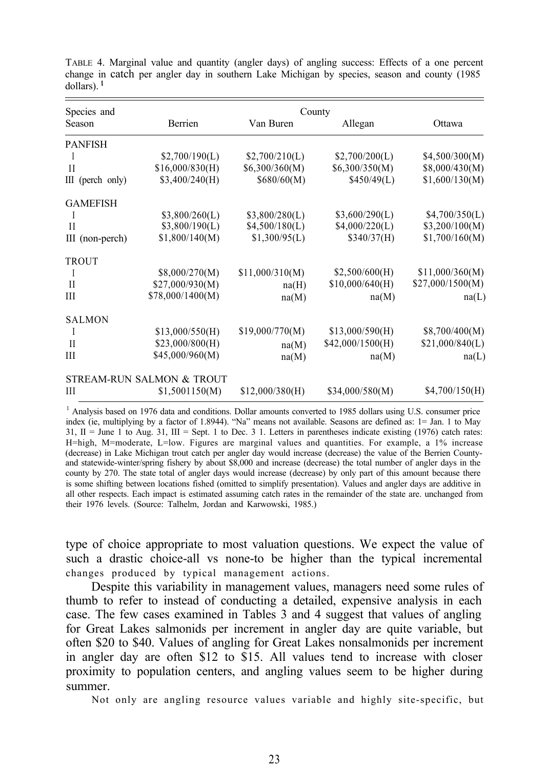| Species and        | County                    |                 |                  |                  |
|--------------------|---------------------------|-----------------|------------------|------------------|
| Season             | Berrien                   | Van Buren       | Allegan          | Ottawa           |
| <b>PANFISH</b>     |                           |                 |                  |                  |
|                    | \$2,700/190(L)            | \$2,700/210(L)  | \$2,700/200(L)   | \$4,500/300(M)   |
| H                  | \$16,000/830(H)           | \$6,300/360(M)  | \$6,300/350(M)   | \$8,000/430(M)   |
| $III$ (perch only) | \$3,400/240(H)            | \$680/60(M)     | \$450/49(L)      | \$1,600/130(M)   |
| <b>GAMEFISH</b>    |                           |                 |                  |                  |
|                    | \$3,800/260(L)            | \$3,800/280(L)  | \$3,600/290(L)   | \$4,700/350(L)   |
| H                  | \$3,800/190(L)            | \$4,500/180(L)  | \$4,000/220(L)   | \$3,200/100(M)   |
| III (non-perch)    | \$1,800/140(M)            | \$1,300/95(L)   | \$340/37(H)      | \$1,700/160(M)   |
| <b>TROUT</b>       |                           |                 |                  |                  |
| I                  | \$8,000/270(M)            | \$11,000/310(M) | \$2,500/600(H)   | \$11,000/360(M)  |
| $\mathbf{I}$       | \$27,000/930(M)           | na(H)           | \$10,000/640(H)  | \$27,000/1500(M) |
| Ш                  | \$78,000/1400(M)          | na(M)           | na(M)            | na(L)            |
| <b>SALMON</b>      |                           |                 |                  |                  |
| I                  | \$13,000/550(H)           | \$19,000/770(M) | \$13,000/590(H)  | \$8,700/400(M)   |
| H                  | \$23,000/800(H)           | na(M)           | \$42,000/1500(H) | \$21,000/840(L)  |
| Ш                  | \$45,000/960(M)           | na(M)           | na(M)            | na(L)            |
|                    | STREAM-RUN SALMON & TROUT |                 |                  |                  |
| Ш                  | \$1,5001150(M)            | \$12,000/380(H) | \$34,000/580(M)  | \$4,700/150(H)   |

TABLE 4. Marginal value and quantity (angler days) of angling success: Effects of a one percent change in catch per angler day in southern Lake Michigan by species, season and county (1985  $d$ ollars).<sup>1</sup>

<sup>1</sup> Analysis based on 1976 data and conditions. Dollar amounts converted to 1985 dollars using U.S. consumer price index (ie, multiplying by a factor of 1.8944). "Na" means not available. Seasons are defined as: 1= Jan. 1 to May 31,  $II =$  June 1 to Aug. 31,  $III =$  Sept. 1 to Dec. 3 1. Letters in parentheses indicate existing (1976) catch rates: H=high, M=moderate, L=low. Figures are marginal values and quantities. For example, a 1% increase (decrease) in Lake Michigan trout catch per angler day would increase (decrease) the value of the Berrien Countyand statewide-winter/spring fishery by about \$8,000 and increase (decrease) the total number of angler days in the county by 270. The state total of angler days would increase (decrease) by only part of this amount because there is some shifting between locations fished (omitted to simplify presentation). Values and angler days are additive in all other respects. Each impact is estimated assuming catch rates in the remainder of the state are. unchanged from their 1976 levels. (Source: Talhelm, Jordan and Karwowski, 1985.)

type of choice appropriate to most valuation questions. We expect the value of such a drastic choice-all vs none-to be higher than the typical incremental changes produced by typical management actions.

Despite this variability in management values, managers need some rules of thumb to refer to instead of conducting a detailed, expensive analysis in each case. The few cases examined in Tables 3 and 4 suggest that values of angling for Great Lakes salmonids per increment in angler day are quite variable, but often \$20 to \$40. Values of angling for Great Lakes nonsalmonids per increment in angler day are often \$12 to \$15. All values tend to increase with closer proximity to population centers, and angling values seem to be higher during summer.

Not only are angling resource values variable and highly site-specific, but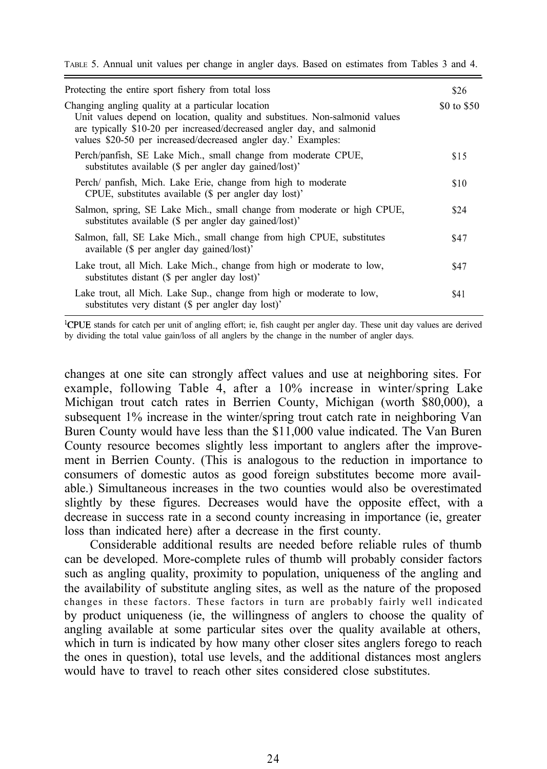TABLE 5. Annual unit values per change in angler days. Based on estimates from Tables 3 and 4.

| Protecting the entire sport fishery from total loss                                                                                                                                                                                                                         | \$26        |
|-----------------------------------------------------------------------------------------------------------------------------------------------------------------------------------------------------------------------------------------------------------------------------|-------------|
| Changing angling quality at a particular location<br>Unit values depend on location, quality and substitues. Non-salmonid values<br>are typically \$10-20 per increased/decreased angler day, and salmonid<br>values \$20-50 per increased/decreased angler day.' Examples: | \$0 to \$50 |
| Perch/panfish, SE Lake Mich., small change from moderate CPUE,<br>substitutes available (\$ per angler day gained/lost)'                                                                                                                                                    | \$15        |
| Perch/ panfish, Mich. Lake Erie, change from high to moderate<br>CPUE, substitutes available (\$ per angler day lost)'                                                                                                                                                      | \$10        |
| Salmon, spring, SE Lake Mich., small change from moderate or high CPUE,<br>substitutes available (\$ per angler day gained/lost)'                                                                                                                                           | \$24        |
| Salmon, fall, SE Lake Mich., small change from high CPUE, substitutes<br>available (\$ per angler day gained/lost)'                                                                                                                                                         | \$47        |
| Lake trout, all Mich. Lake Mich., change from high or moderate to low,<br>substitutes distant (\$ per angler day lost)'                                                                                                                                                     | \$47        |
| Lake trout, all Mich. Lake Sup., change from high or moderate to low,<br>substitutes very distant (\$ per angler day lost)'                                                                                                                                                 | \$41        |

'CPUE stands for catch per unit of angling effort; ie, fish caught per angler day. These unit day values are derived by dividing the total value gain/loss of all anglers by the change in the number of angler days.

changes at one site can strongly affect values and use at neighboring sites. For example, following Table 4, after a 10% increase in winter/spring Lake Michigan trout catch rates in Berrien County, Michigan (worth \$80,000), a subsequent 1% increase in the winter/spring trout catch rate in neighboring Van Buren County would have less than the \$11,000 value indicated. The Van Buren County resource becomes slightly less important to anglers after the improvement in Berrien County. (This is analogous to the reduction in importance to consumers of domestic autos as good foreign substitutes become more available.) Simultaneous increases in the two counties would also be overestimated slightly by these figures. Decreases would have the opposite effect, with a decrease in success rate in a second county increasing in importance (ie, greater loss than indicated here) after a decrease in the first county.

Considerable additional results are needed before reliable rules of thumb can be developed. More-complete rules of thumb will probably consider factors such as angling quality, proximity to population, uniqueness of the angling and the availability of substitute angling sites, as well as the nature of the proposed changes in these factors. These factors in turn are probably fairly well indicated by product uniqueness (ie, the willingness of anglers to choose the quality of angling available at some particular sites over the quality available at others, which in turn is indicated by how many other closer sites anglers forego to reach the ones in question), total use levels, and the additional distances most anglers would have to travel to reach other sites considered close substitutes.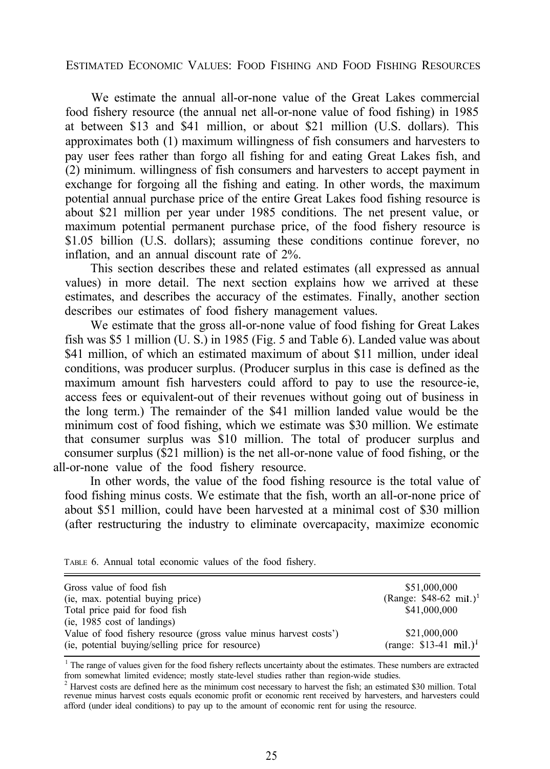<span id="page-29-0"></span>ESTIMATED ECONOMIC VALUES: FOOD FISHING AND FOOD FISHING RESOURCES

We estimate the annual all-or-none value of the Great Lakes commercial food fishery resource (the annual net all-or-none value of food fishing) in 1985 at between \$13 and \$41 million, or about \$21 million (U.S. dollars). This approximates both (1) maximum willingness of fish consumers and harvesters to pay user fees rather than forgo all fishing for and eating Great Lakes fish, and (2) minimum. willingness of fish consumers and harvesters to accept payment in exchange for forgoing all the fishing and eating. In other words, the maximum potential annual purchase price of the entire Great Lakes food fishing resource is about \$21 million per year under 1985 conditions. The net present value, or maximum potential permanent purchase price, of the food fishery resource is \$1.05 billion (U.S. dollars); assuming these conditions continue forever, no inflation, and an annual discount rate of 2%.

This section describes these and related estimates (all expressed as annual values) in more detail. The next section explains how we arrived at these estimates, and describes the accuracy of the estimates. Finally, another section describes our estimates of food fishery management values.

We estimate that the gross all-or-none value of food fishing for Great Lakes fish was \$5 1 million (U. S.) in 1985 (Fig. 5 and Table 6). Landed value was about \$41 million, of which an estimated maximum of about \$11 million, under ideal conditions, was producer surplus. (Producer surplus in this case is defined as the maximum amount fish harvesters could afford to pay to use the resource-ie, access fees or equivalent-out of their revenues without going out of business in the long term.) The remainder of the \$41 million landed value would be the minimum cost of food fishing, which we estimate was \$30 million. We estimate that consumer surplus was \$10 million. The total of producer surplus and consumer surplus (\$21 million) is the net all-or-none value of food fishing, or the all-or-none value of the food fishery resource.

In other words, the value of the food fishing resource is the total value of food fishing minus costs. We estimate that the fish, worth an all-or-none price of about \$51 million, could have been harvested at a minimal cost of \$30 million (after restructuring the industry to eliminate overcapacity, maximize economic

| Gross value of food fish                                          | \$51,000,000                        |
|-------------------------------------------------------------------|-------------------------------------|
| (ie, max. potential buying price)                                 | (Range: $$48-62$ mil.) <sup>1</sup> |
| Total price paid for food fish                                    | \$41,000,000                        |
| (ie, 1985 cost of landings)                                       |                                     |
| Value of food fishery resource (gross value minus harvest costs') | \$21,000,000                        |
| (ie, potential buying/selling price for resource)                 | (range: $$13-41$ mil.) <sup>1</sup> |

TABLE 6. Annual total economic values of the food fishery.

<sup>1</sup> The range of values given for the food fishery reflects uncertainty about the estimates. These numbers are extracted from somewhat limited evidence; mostly state-level studies rather than region-wide studies.

<sup>2</sup> Harvest costs are defined here as the minimum cost necessary to harvest the fish; an estimated \$30 million. Total revenue minus harvest costs equals economic profit or economic rent received by harvesters, and harvesters could afford (under ideal conditions) to pay up to the amount of economic rent for using the resource.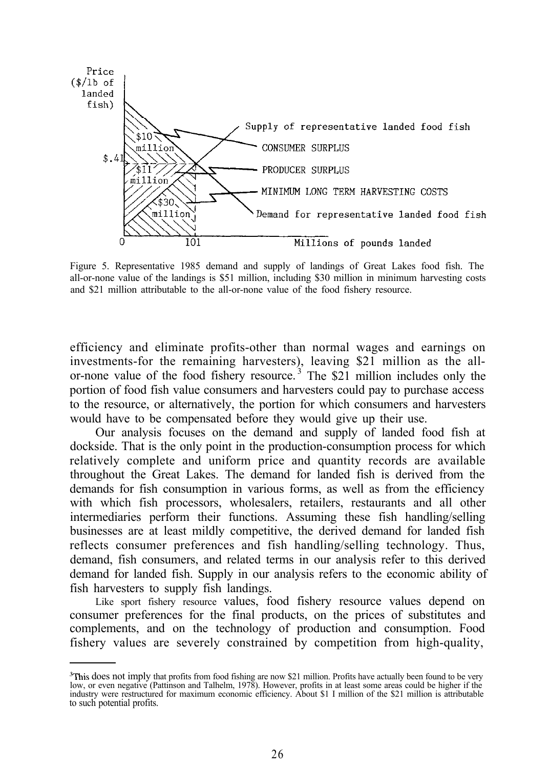

Figure 5. Representative 1985 demand and supply of landings of Great Lakes food fish. The all-or-none value of the landings is \$51 million, including \$30 million in minimum harvesting costs and \$21 million attributable to the all-or-none value of the food fishery resource.

efficiency and eliminate profits-other than normal wages and earnings on investments-for the remaining harvesters), leaving \$21 million as the allor-none value of the food fishery resource.<sup>3</sup> The \$21 million includes only the portion of food fish value consumers and harvesters could pay to purchase access to the resource, or alternatively, the portion for which consumers and harvesters would have to be compensated before they would give up their use.

Our analysis focuses on the demand and supply of landed food fish at dockside. That is the only point in the production-consumption process for which relatively complete and uniform price and quantity records are available throughout the Great Lakes. The demand for landed fish is derived from the demands for fish consumption in various forms, as well as from the efficiency with which fish processors, wholesalers, retailers, restaurants and all other intermediaries perform their functions. Assuming these fish handling/selling businesses are at least mildly competitive, the derived demand for landed fish reflects consumer preferences and fish handling/selling technology. Thus, demand, fish consumers, and related terms in our analysis refer to this derived demand for landed fish. Supply in our analysis refers to the economic ability of fish harvesters to supply fish landings.

Like sport fishery resource values, food fishery resource values depend on consumer preferences for the final products, on the prices of substitutes and complements, and on the technology of production and consumption. Food fishery values are severely constrained by competition from high-quality,

 ${}^{3}$ This does not imply that profits from food fishing are now \$21 million. Profits have actually been found to be very low, or even negative (Pattinson and Talhelm, 1978). However, profits in at least some areas could be higher if the industry were restructured for maximum economic efficiency. About \$1 I million of the \$21 million is attributable to such potential profits.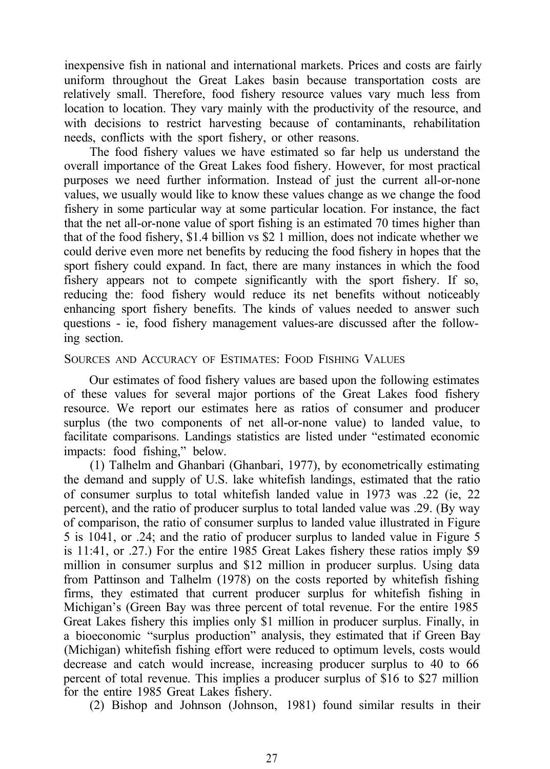<span id="page-31-0"></span>inexpensive fish in national and international markets. Prices and costs are fairly uniform throughout the Great Lakes basin because transportation costs are relatively small. Therefore, food fishery resource values vary much less from location to location. They vary mainly with the productivity of the resource, and with decisions to restrict harvesting because of contaminants, rehabilitation needs, conflicts with the sport fishery, or other reasons.

The food fishery values we have estimated so far help us understand the overall importance of the Great Lakes food fishery. However, for most practical purposes we need further information. Instead of just the current all-or-none values, we usually would like to know these values change as we change the food fishery in some particular way at some particular location. For instance, the fact that the net all-or-none value of sport fishing is an estimated 70 times higher than that of the food fishery, \$1.4 billion vs \$2 1 million, does not indicate whether we could derive even more net benefits by reducing the food fishery in hopes that the sport fishery could expand. In fact, there are many instances in which the food fishery appears not to compete significantly with the sport fishery. If so, reducing the: food fishery would reduce its net benefits without noticeably enhancing sport fishery benefits. The kinds of values needed to answer such questions - ie, food fishery management values-are discussed after the following section.

#### SOURCES AND ACCURACY OF ESTIMATES: FOOD FISHING VALUES

Our estimates of food fishery values are based upon the following estimates of these values for several major portions of the Great Lakes food fishery resource. We report our estimates here as ratios of consumer and producer surplus (the two components of net all-or-none value) to landed value, to facilitate comparisons. Landings statistics are listed under "estimated economic impacts: food fishing," below.

(1) Talhelm and Ghanbari (Ghanbari, 1977), by econometrically estimating the demand and supply of U.S. lake whitefish landings, estimated that the ratio of consumer surplus to total whitefish landed value in 1973 was .22 (ie, 22 percent), and the ratio of producer surplus to total landed value was .29. (By way of comparison, the ratio of consumer surplus to landed value illustrated in Figure 5 is 1041, or .24; and the ratio of producer surplus to landed value in Figure 5 is 11:41, or .27.) For the entire 1985 Great Lakes fishery these ratios imply \$9 million in consumer surplus and \$12 million in producer surplus. Using data from Pattinson and Talhelm (1978) on the costs reported by whitefish fishing firms, they estimated that current producer surplus for whitefish fishing in Michigan's (Green Bay was three percent of total revenue. For the entire 1985 Great Lakes fishery this implies only \$1 million in producer surplus. Finally, in a bioeconomic "surplus production" analysis, they estimated that if Green Bay (Michigan) whitefish fishing effort were reduced to optimum levels, costs would decrease and catch would increase, increasing producer surplus to 40 to 66 percent of total revenue. This implies a producer surplus of \$16 to \$27 million for the entire 1985 Great Lakes fishery.

(2) Bishop and Johnson (Johnson, 1981) found similar results in their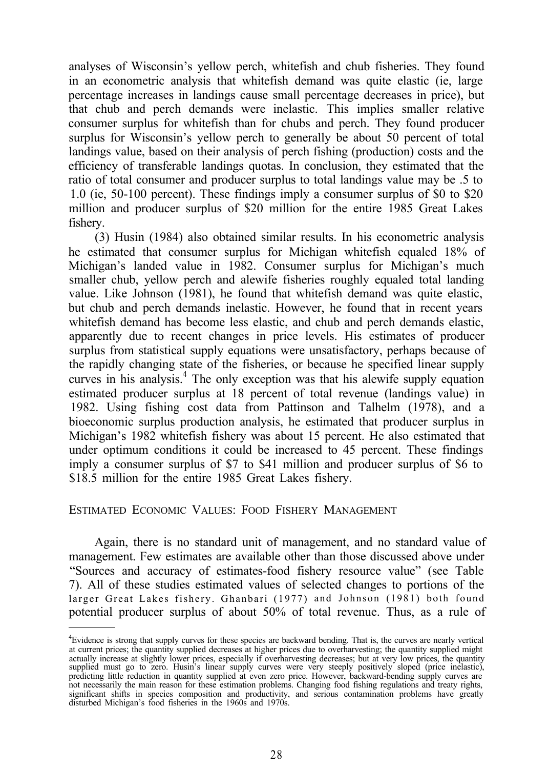<span id="page-32-0"></span>analyses of Wisconsin's yellow perch, whitefish and chub fisheries. They found in an econometric analysis that whitefish demand was quite elastic (ie, large percentage increases in landings cause small percentage decreases in price), but that chub and perch demands were inelastic. This implies smaller relative consumer surplus for whitefish than for chubs and perch. They found producer surplus for Wisconsin's yellow perch to generally be about 50 percent of total landings value, based on their analysis of perch fishing (production) costs and the efficiency of transferable landings quotas. In conclusion, they estimated that the ratio of total consumer and producer surplus to total landings value may be .5 to 1.0 (ie, 50-100 percent). These findings imply a consumer surplus of \$0 to \$20 million and producer surplus of \$20 million for the entire 1985 Great Lakes fishery.

(3) Husin (1984) also obtained similar results. In his econometric analysis he estimated that consumer surplus for Michigan whitefish equaled 18% of Michigan's landed value in 1982. Consumer surplus for Michigan's much smaller chub, yellow perch and alewife fisheries roughly equaled total landing value. Like Johnson (1981), he found that whitefish demand was quite elastic, but chub and perch demands inelastic. However, he found that in recent years whitefish demand has become less elastic, and chub and perch demands elastic, apparently due to recent changes in price levels. His estimates of producer surplus from statistical supply equations were unsatisfactory, perhaps because of the rapidly changing state of the fisheries, or because he specified linear supply curves in his analysis.<sup>4</sup> The only exception was that his alewife supply equation estimated producer surplus at 18 percent of total revenue (landings value) in 1982. Using fishing cost data from Pattinson and Talhelm (1978), and a bioeconomic surplus production analysis, he estimated that producer surplus in Michigan's 1982 whitefish fishery was about 15 percent. He also estimated that under optimum conditions it could be increased to 45 percent. These findings imply a consumer surplus of \$7 to \$41 million and producer surplus of \$6 to \$18.5 million for the entire 1985 Great Lakes fishery.

### ESTIMATED ECONOMIC VALUES: FOOD FISHERY MANAGEMENT

Again, there is no standard unit of management, and no standard value of management. Few estimates are available other than those discussed above under "Sources and accuracy of estimates-food fishery resource value" (see Table 7). All of these studies estimated values of selected changes to portions of the larger Great Lakes fishery. Ghanbari (1977) and Johnson (1981) both found potential producer surplus of about 50% of total revenue. Thus, as a rule of

<sup>4</sup> Evidence is strong that supply curves for these species are backward bending. That is, the curves are nearly vertical at current prices; the quantity supplied decreases at higher prices due to overharvesting; the quantity supplied might<br>actually increase at slightly lower prices, especially if overharvesting decreases; but at very low pri not necessarily the main reason for these estimation problems. Changing food fishing regulations and treaty rights, significant shifts in species composition and productivity, and serious contamination problems have greatly disturbed Michigan's food fisheries in the 1960s and 1970s.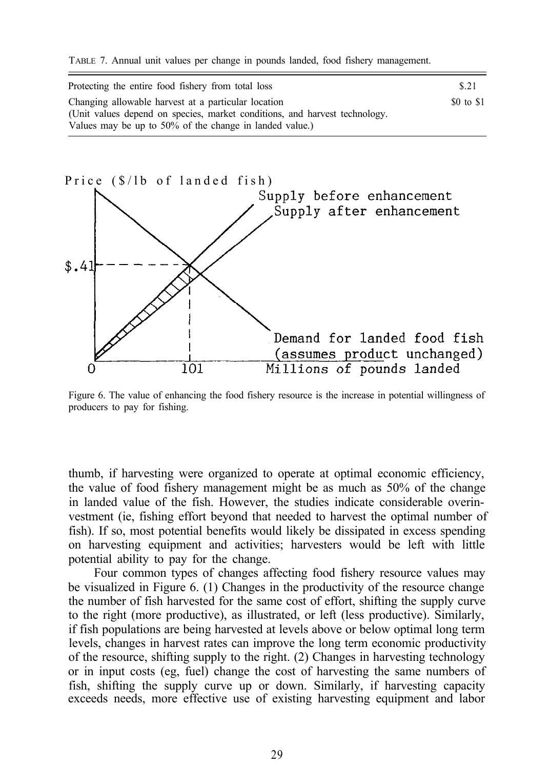TABLE 7. Annual unit values per change in pounds landed, food fishery management.

| Protecting the entire food fishery from total loss                         | S.21       |
|----------------------------------------------------------------------------|------------|
| Changing allowable harvest at a particular location                        | \$0 to \$1 |
| (Unit values depend on species, market conditions, and harvest technology. |            |
| Values may be up to 50% of the change in landed value.)                    |            |



Figure 6. The value of enhancing the food fishery resource is the increase in potential willingness of producers to pay for fishing.

thumb, if harvesting were organized to operate at optimal economic efficiency, the value of food fishery management might be as much as 50% of the change in landed value of the fish. However, the studies indicate considerable overinvestment (ie, fishing effort beyond that needed to harvest the optimal number of fish). If so, most potential benefits would likely be dissipated in excess spending on harvesting equipment and activities; harvesters would be left with little potential ability to pay for the change.

Four common types of changes affecting food fishery resource values may be visualized in Figure 6. (1) Changes in the productivity of the resource change the number of fish harvested for the same cost of effort, shifting the supply curve to the right (more productive), as illustrated, or left (less productive). Similarly, if fish populations are being harvested at levels above or below optimal long term levels, changes in harvest rates can improve the long term economic productivity of the resource, shifting supply to the right. (2) Changes in harvesting technology or in input costs (eg, fuel) change the cost of harvesting the same numbers of fish, shifting the supply curve up or down. Similarly, if harvesting capacity exceeds needs, more effective use of existing harvesting equipment and labor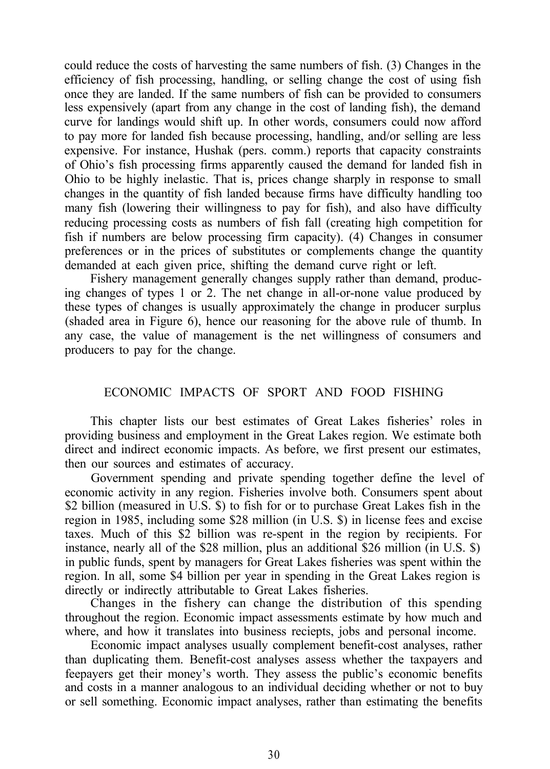<span id="page-34-0"></span>could reduce the costs of harvesting the same numbers of fish. (3) Changes in the efficiency of fish processing, handling, or selling change the cost of using fish once they are landed. If the same numbers of fish can be provided to consumers less expensively (apart from any change in the cost of landing fish), the demand curve for landings would shift up. In other words, consumers could now afford to pay more for landed fish because processing, handling, and/or selling are less expensive. For instance, Hushak (pers. comm.) reports that capacity constraints of Ohio's fish processing firms apparently caused the demand for landed fish in Ohio to be highly inelastic. That is, prices change sharply in response to small changes in the quantity of fish landed because firms have difficulty handling too many fish (lowering their willingness to pay for fish), and also have difficulty reducing processing costs as numbers of fish fall (creating high competition for fish if numbers are below processing firm capacity). (4) Changes in consumer preferences or in the prices of substitutes or complements change the quantity demanded at each given price, shifting the demand curve right or left.

Fishery management generally changes supply rather than demand, producing changes of types 1 or 2. The net change in all-or-none value produced by these types of changes is usually approximately the change in producer surplus (shaded area in Figure 6), hence our reasoning for the above rule of thumb. In any case, the value of management is the net willingness of consumers and producers to pay for the change.

## ECONOMIC IMPACTS OF SPORT AND FOOD FISHING

This chapter lists our best estimates of Great Lakes fisheries' roles in providing business and employment in the Great Lakes region. We estimate both direct and indirect economic impacts. As before, we first present our estimates, then our sources and estimates of accuracy.

Government spending and private spending together define the level of economic activity in any region. Fisheries involve both. Consumers spent about \$2 billion (measured in U.S. \$) to fish for or to purchase Great Lakes fish in the region in 1985, including some \$28 million (in U.S. \$) in license fees and excise taxes. Much of this \$2 billion was re-spent in the region by recipients. For instance, nearly all of the \$28 million, plus an additional \$26 million (in U.S. \$) in public funds, spent by managers for Great Lakes fisheries was spent within the region. In all, some \$4 billion per year in spending in the Great Lakes region is directly or indirectly attributable to Great Lakes fisheries.

Changes in the fishery can change the distribution of this spending throughout the region. Economic impact assessments estimate by how much and where, and how it translates into business reciepts, jobs and personal income.

Economic impact analyses usually complement benefit-cost analyses, rather than duplicating them. Benefit-cost analyses assess whether the taxpayers and feepayers get their money's worth. They assess the public's economic benefits and costs in a manner analogous to an individual deciding whether or not to buy or sell something. Economic impact analyses, rather than estimating the benefits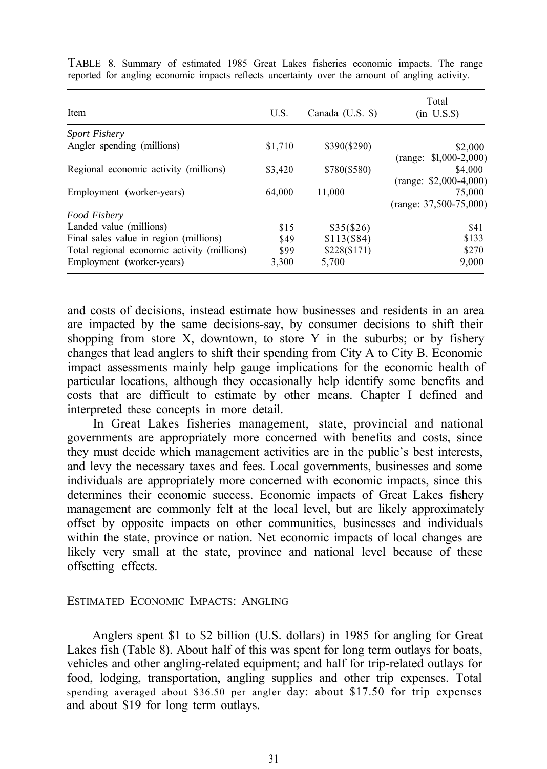| Item                                        | U.S.    | Canada (U.S. \$) | Total<br>$(in$ U.S. $\})$                                     |
|---------------------------------------------|---------|------------------|---------------------------------------------------------------|
| <b>Sport Fishery</b>                        |         |                  |                                                               |
| Angler spending (millions)                  | \$1,710 | \$390(\$290)     | \$2,000                                                       |
|                                             |         |                  | $(range: $1,000-2,000)$                                       |
| Regional economic activity (millions)       | \$3,420 | \$780(\$580)     | \$4,000                                                       |
| Employment (worker-years)                   | 64,000  | 11,000           | $(range: $2,000-4,000)$<br>75,000<br>$(range: 37,500-75,000)$ |
| Food Fishery                                |         |                  |                                                               |
| Landed value (millions)                     | \$15    | \$35(S26)        | \$41                                                          |
| Final sales value in region (millions)      | \$49    | $$113($ \$84)    | \$133                                                         |
| Total regional economic activity (millions) | \$99    | \$228(S171)      | \$270                                                         |
| Employment (worker-years)                   | 3,300   | 5,700            | 9,000                                                         |

<span id="page-35-0"></span>TABLE 8. Summary of estimated 1985 Great Lakes fisheries economic impacts. The range reported for angling economic impacts reflects uncertainty over the amount of angling activity.

and costs of decisions, instead estimate how businesses and residents in an area are impacted by the same decisions-say, by consumer decisions to shift their shopping from store X, downtown, to store Y in the suburbs; or by fishery changes that lead anglers to shift their spending from City A to City B. Economic impact assessments mainly help gauge implications for the economic health of particular locations, although they occasionally help identify some benefits and costs that are difficult to estimate by other means. Chapter I defined and interpreted these concepts in more detail.

In Great Lakes fisheries management, state, provincial and national governments are appropriately more concerned with benefits and costs, since they must decide which management activities are in the public's best interests, and levy the necessary taxes and fees. Local governments, businesses and some individuals are appropriately more concerned with economic impacts, since this determines their economic success. Economic impacts of Great Lakes fishery management are commonly felt at the local level, but are likely approximately offset by opposite impacts on other communities, businesses and individuals within the state, province or nation. Net economic impacts of local changes are likely very small at the state, province and national level because of these offsetting effects.

#### ESTIMATED ECONOMIC IMPACTS: ANGLING

Anglers spent \$1 to \$2 billion (U.S. dollars) in 1985 for angling for Great Lakes fish (Table 8). About half of this was spent for long term outlays for boats, vehicles and other angling-related equipment; and half for trip-related outlays for food, lodging, transportation, angling supplies and other trip expenses. Total spending averaged about \$36.50 per angler day: about \$17.50 for trip expenses and about \$19 for long term outlays.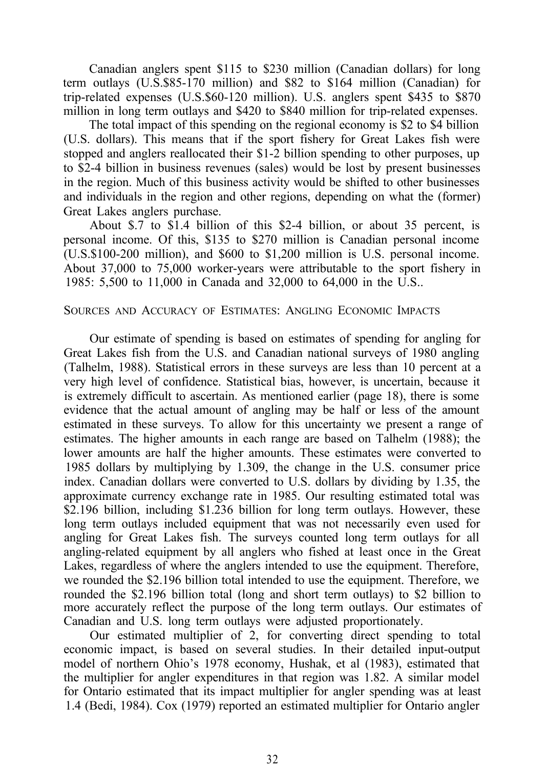<span id="page-36-0"></span>Canadian anglers spent \$115 to \$230 million (Canadian dollars) for long term outlays (U.S.\$85-170 million) and \$82 to \$164 million (Canadian) for trip-related expenses (U.S.\$60-120 million). U.S. anglers spent \$435 to \$870 million in long term outlays and \$420 to \$840 million for trip-related expenses.

The total impact of this spending on the regional economy is \$2 to \$4 billion (U.S. dollars). This means that if the sport fishery for Great Lakes fish were stopped and anglers reallocated their \$1-2 billion spending to other purposes, up to \$2-4 billion in business revenues (sales) would be lost by present businesses in the region. Much of this business activity would be shifted to other businesses and individuals in the region and other regions, depending on what the (former) Great Lakes anglers purchase.

About \$.7 to \$1.4 billion of this \$2-4 billion, or about 35 percent, is personal income. Of this, \$135 to \$270 million is Canadian personal income (U.S.\$100-200 million), and \$600 to \$1,200 million is U.S. personal income. About 37,000 to 75,000 worker-years were attributable to the sport fishery in 1985: 5,500 to 11,000 in Canada and 32,000 to 64,000 in the U.S..

#### SOURCES AND ACCURACY OF ESTIMATES: ANGLING ECONOMIC IMPACTS

Our estimate of spending is based on estimates of spending for angling for Great Lakes fish from the U.S. and Canadian national surveys of 1980 angling (Talhelm, 1988). Statistical errors in these surveys are less than 10 percent at a very high level of confidence. Statistical bias, however, is uncertain, because it is extremely difficult to ascertain. As mentioned earlier (page 18), there is some evidence that the actual amount of angling may be half or less of the amount estimated in these surveys. To allow for this uncertainty we present a range of estimates. The higher amounts in each range are based on Talhelm (1988); the lower amounts are half the higher amounts. These estimates were converted to 1985 dollars by multiplying by 1.309, the change in the U.S. consumer price index. Canadian dollars were converted to U.S. dollars by dividing by 1.35, the approximate currency exchange rate in 1985. Our resulting estimated total was \$2.196 billion, including \$1.236 billion for long term outlays. However, these long term outlays included equipment that was not necessarily even used for angling for Great Lakes fish. The surveys counted long term outlays for all angling-related equipment by all anglers who fished at least once in the Great Lakes, regardless of where the anglers intended to use the equipment. Therefore, we rounded the \$2.196 billion total intended to use the equipment. Therefore, we rounded the \$2.196 billion total (long and short term outlays) to \$2 billion to more accurately reflect the purpose of the long term outlays. Our estimates of Canadian and U.S. long term outlays were adjusted proportionately.

Our estimated multiplier of 2, for converting direct spending to total economic impact, is based on several studies. In their detailed input-output model of northern Ohio's 1978 economy, Hushak, et al (1983), estimated that the multiplier for angler expenditures in that region was 1.82. A similar model for Ontario estimated that its impact multiplier for angler spending was at least 1.4 (Bedi, 1984). Cox (1979) reported an estimated multiplier for Ontario angler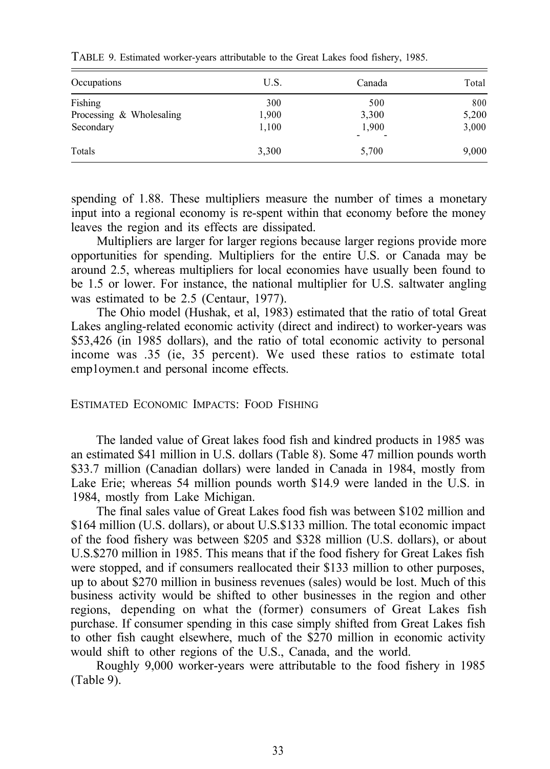| Occupations              | U.S.  | Canada          | Total |
|--------------------------|-------|-----------------|-------|
| Fishing                  | 300   | 500             | 800   |
| Processing & Wholesaling | 1,900 | 3,300           | 5,200 |
| Secondary                | 1,100 | 1,900<br>۰<br>- | 3,000 |
| Totals                   | 3,300 | 5,700           | 9,000 |

<span id="page-37-0"></span>TABLE 9. Estimated worker-years attributable to the Great Lakes food fishery, 1985.

spending of 1.88. These multipliers measure the number of times a monetary input into a regional economy is re-spent within that economy before the money leaves the region and its effects are dissipated.

Multipliers are larger for larger regions because larger regions provide more opportunities for spending. Multipliers for the entire U.S. or Canada may be around 2.5, whereas multipliers for local economies have usually been found to be 1.5 or lower. For instance, the national multiplier for U.S. saltwater angling was estimated to be 2.5 (Centaur, 1977).

The Ohio model (Hushak, et al, 1983) estimated that the ratio of total Great Lakes angling-related economic activity (direct and indirect) to worker-years was \$53,426 (in 1985 dollars), and the ratio of total economic activity to personal income was .35 (ie, 35 percent). We used these ratios to estimate total emp1oymen.t and personal income effects.

ESTIMATED ECONOMIC IMPACTS: FOOD FISHING

The landed value of Great lakes food fish and kindred products in 1985 was an estimated \$41 million in U.S. dollars (Table 8). Some 47 million pounds worth \$33.7 million (Canadian dollars) were landed in Canada in 1984, mostly from Lake Erie; whereas 54 million pounds worth \$14.9 were landed in the U.S. in 1984, mostly from Lake Michigan.

The final sales value of Great Lakes food fish was between \$102 million and \$164 million (U.S. dollars), or about U.S.\$133 million. The total economic impact of the food fishery was between \$205 and \$328 million (U.S. dollars), or about U.S.\$270 million in 1985. This means that if the food fishery for Great Lakes fish were stopped, and if consumers reallocated their \$133 million to other purposes, up to about \$270 million in business revenues (sales) would be lost. Much of this business activity would be shifted to other businesses in the region and other regions, depending on what the (former) consumers of Great Lakes fish purchase. If consumer spending in this case simply shifted from Great Lakes fish to other fish caught elsewhere, much of the \$270 million in economic activity would shift to other regions of the U.S., Canada, and the world.

Roughly 9,000 worker-years were attributable to the food fishery in 1985 (Table 9).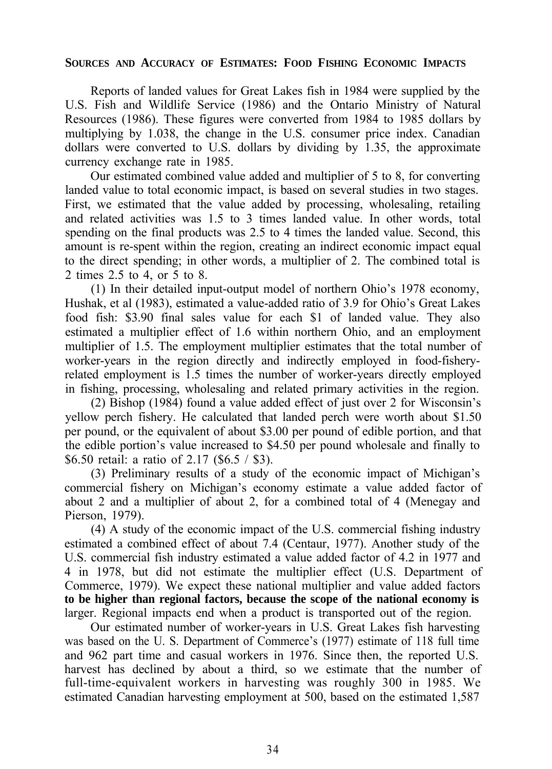#### <span id="page-38-0"></span>**SOURCES AND ACCURACY OF ESTIMATES: FOOD FISHING ECONOMIC IMPACTS**

Reports of landed values for Great Lakes fish in 1984 were supplied by the U.S. Fish and Wildlife Service (1986) and the Ontario Ministry of Natural Resources (1986). These figures were converted from 1984 to 1985 dollars by multiplying by 1.038, the change in the U.S. consumer price index. Canadian dollars were converted to U.S. dollars by dividing by 1.35, the approximate currency exchange rate in 1985.

Our estimated combined value added and multiplier of 5 to 8, for converting landed value to total economic impact, is based on several studies in two stages. First, we estimated that the value added by processing, wholesaling, retailing and related activities was 1.5 to 3 times landed value. In other words, total spending on the final products was 2.5 to 4 times the landed value. Second, this amount is re-spent within the region, creating an indirect economic impact equal to the direct spending; in other words, a multiplier of 2. The combined total is 2 times 2.5 to 4, or 5 to 8.

(1) In their detailed input-output model of northern Ohio's 1978 economy, Hushak, et al (1983), estimated a value-added ratio of 3.9 for Ohio's Great Lakes food fish: \$3.90 final sales value for each \$1 of landed value. They also estimated a multiplier effect of 1.6 within northern Ohio, and an employment multiplier of 1.5. The employment multiplier estimates that the total number of worker-years in the region directly and indirectly employed in food-fisheryrelated employment is 1.5 times the number of worker-years directly employed in fishing, processing, wholesaling and related primary activities in the region.

(2) Bishop (1984) found a value added effect of just over 2 for Wisconsin's yellow perch fishery. He calculated that landed perch were worth about \$1.50 per pound, or the equivalent of about \$3.00 per pound of edible portion, and that the edible portion's value increased to \$4.50 per pound wholesale and finally to \$6.50 retail: a ratio of 2.17 (\$6.5 / \$3).

(3) Preliminary results of a study of the economic impact of Michigan's commercial fishery on Michigan's economy estimate a value added factor of about 2 and a multiplier of about 2, for a combined total of 4 (Menegay and Pierson, 1979).

(4) A study of the economic impact of the U.S. commercial fishing industry estimated a combined effect of about 7.4 (Centaur, 1977). Another study of the U.S. commercial fish industry estimated a value added factor of 4.2 in 1977 and 4 in 1978, but did not estimate the multiplier effect (U.S. Department of Commerce, 1979). We expect these national multiplier and value added factors **to be higher than regional factors, because the scope of the national economy is** larger. Regional impacts end when a product is transported out of the region.

Our estimated number of worker-years in U.S. Great Lakes fish harvesting was based on the U. S. Department of Commerce's (1977) estimate of 118 full time and 962 part time and casual workers in 1976. Since then, the reported U.S. harvest has declined by about a third, so we estimate that the number of full-time-equivalent workers in harvesting was roughly 300 in 1985. We estimated Canadian harvesting employment at 500, based on the estimated 1,587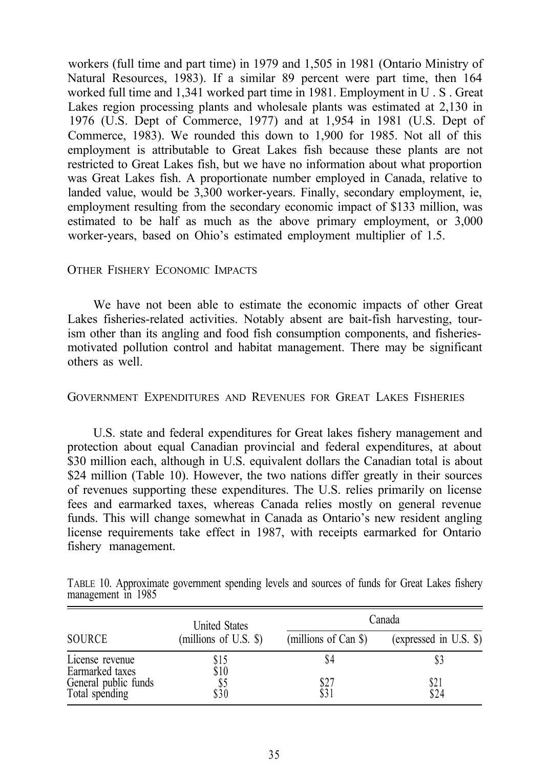<span id="page-39-0"></span>workers (full time and part time) in 1979 and 1,505 in 1981 (Ontario Ministry of Natural Resources, 1983). If a similar 89 percent were part time, then 164 worked full time and 1,341 worked part time in 1981. Employment in U . S . Great Lakes region processing plants and wholesale plants was estimated at 2,130 in 1976 (U.S. Dept of Commerce, 1977) and at 1,954 in 1981 (U.S. Dept of Commerce, 1983). We rounded this down to 1,900 for 1985. Not all of this employment is attributable to Great Lakes fish because these plants are not restricted to Great Lakes fish, but we have no information about what proportion was Great Lakes fish. A proportionate number employed in Canada, relative to landed value, would be 3,300 worker-years. Finally, secondary employment, ie, employment resulting from the secondary economic impact of \$133 million, was estimated to be half as much as the above primary employment, or 3,000 worker-years, based on Ohio's estimated employment multiplier of 1.5.

## OTHER FISHERY ECONOMIC IMPACTS

We have not been able to estimate the economic impacts of other Great Lakes fisheries-related activities. Notably absent are bait-fish harvesting, tourism other than its angling and food fish consumption components, and fisheriesmotivated pollution control and habitat management. There may be significant others as well.

## GOVERNMENT EXPENDITURES AND REVENUES FOR GREAT LAKES FISHERIES

U.S. state and federal expenditures for Great lakes fishery management and protection about equal Canadian provincial and federal expenditures, at about \$30 million each, although in U.S. equivalent dollars the Canadian total is about \$24 million (Table 10). However, the two nations differ greatly in their sources of revenues supporting these expenditures. The U.S. relies primarily on license fees and earmarked taxes, whereas Canada relies mostly on general revenue funds. This will change somewhat in Canada as Ontario's new resident angling license requirements take effect in 1987, with receipts earmarked for Ontario fishery management.

| TABLE 10. Approximate government spending levels and sources of funds for Great Lakes fishery |  |  |  |  |  |  |
|-----------------------------------------------------------------------------------------------|--|--|--|--|--|--|
| management in 1985                                                                            |  |  |  |  |  |  |

|                                        | <b>United States</b><br>(millions of U.S. $\$ ) | Canada               |                        |  |  |
|----------------------------------------|-------------------------------------------------|----------------------|------------------------|--|--|
| SOURCE                                 |                                                 | (millions of Can \$) | (expressed in U.S. \$) |  |  |
| License revenue<br>Earmarked taxes     | 515<br>$\overline{\$10}$                        | \$4                  |                        |  |  |
| General public funds<br>Total spending | \$5<br>}30                                      | \$27<br>\$31         | Ş21<br>\$24            |  |  |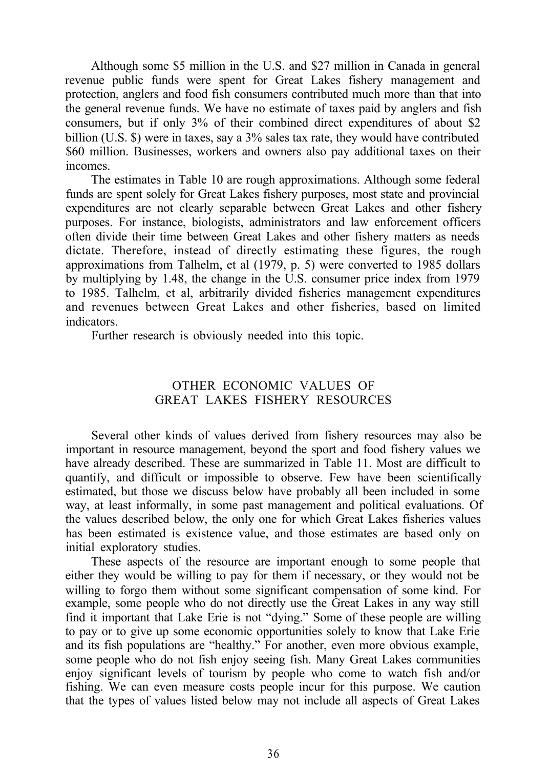<span id="page-40-0"></span>Although some \$5 million in the U.S. and \$27 million in Canada in general revenue public funds were spent for Great Lakes fishery management and protection, anglers and food fish consumers contributed much more than that into the general revenue funds. We have no estimate of taxes paid by anglers and fish consumers, but if only 3% of their combined direct expenditures of about \$2 billion (U.S. \$) were in taxes, say a 3% sales tax rate, they would have contributed \$60 million. Businesses, workers and owners also pay additional taxes on their incomes.

The estimates in Table 10 are rough approximations. Although some federal funds are spent solely for Great Lakes fishery purposes, most state and provincial expenditures are not clearly separable between Great Lakes and other fishery purposes. For instance, biologists, administrators and law enforcement officers often divide their time between Great Lakes and other fishery matters as needs dictate. Therefore, instead of directly estimating these figures, the rough approximations from Talhelm, et al (1979, p. 5) were converted to 1985 dollars by multiplying by 1.48, the change in the U.S. consumer price index from 1979 to 1985. Talhelm, et al, arbitrarily divided fisheries management expenditures and revenues between Great Lakes and other fisheries, based on limited indicators.

Further research is obviously needed into this topic.

## OTHER ECONOMIC VALUES OF GREAT LAKES FISHERY RESOURCES

Several other kinds of values derived from fishery resources may also be important in resource management, beyond the sport and food fishery values we have already described. These are summarized in Table 11. Most are difficult to quantify, and difficult or impossible to observe. Few have been scientifically estimated, but those we discuss below have probably all been included in some way, at least informally, in some past management and political evaluations. Of the values described below, the only one for which Great Lakes fisheries values has been estimated is existence value, and those estimates are based only on initial exploratory studies.

These aspects of the resource are important enough to some people that either they would be willing to pay for them if necessary, or they would not be willing to forgo them without some significant compensation of some kind. For example, some people who do not directly use the Great Lakes in any way still find it important that Lake Erie is not "dying." Some of these people are willing to pay or to give up some economic opportunities solely to know that Lake Erie and its fish populations are "healthy." For another, even more obvious example, some people who do not fish enjoy seeing fish. Many Great Lakes communities enjoy significant levels of tourism by people who come to watch fish and/or fishing. We can even measure costs people incur for this purpose. We caution that the types of values listed below may not include all aspects of Great Lakes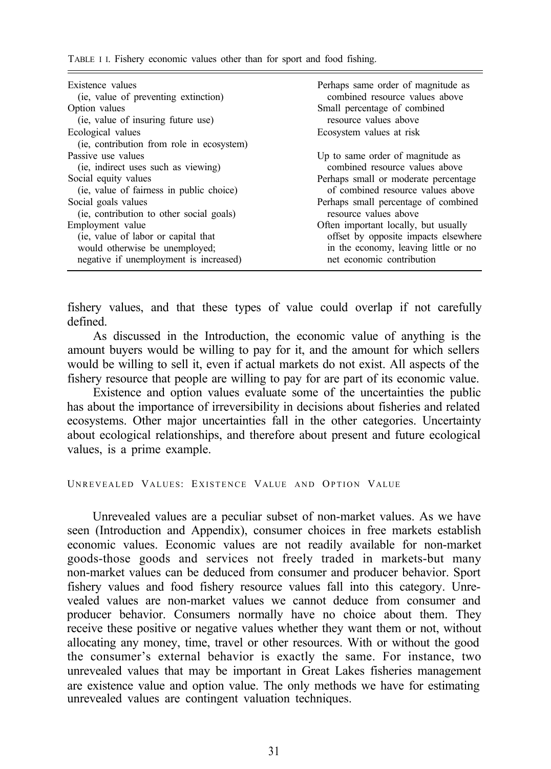<span id="page-41-0"></span>TABLE I I. Fishery economic values other than for sport and food fishing.

| Existence values                          | Perhaps same order of magnitude as   |
|-------------------------------------------|--------------------------------------|
| (ie, value of preventing extinction)      | combined resource values above       |
| Option values                             | Small percentage of combined         |
| (ie, value of insuring future use)        | resource values above                |
| Ecological values                         | Ecosystem values at risk             |
| (ie, contribution from role in ecosystem) |                                      |
| Passive use values                        | Up to same order of magnitude as     |
| (ie, indirect uses such as viewing)       | combined resource values above       |
| Social equity values                      | Perhaps small or moderate percentage |
| (ie, value of fairness in public choice)  | of combined resource values above    |
| Social goals values                       | Perhaps small percentage of combined |
| (ie, contribution to other social goals)  | resource values above                |
| Employment value                          | Often important locally, but usually |
| (ie, value of labor or capital that)      | offset by opposite impacts elsewhere |
| would otherwise be unemployed;            | in the economy, leaving little or no |
| negative if unemployment is increased)    | net economic contribution            |
|                                           |                                      |

fishery values, and that these types of value could overlap if not carefully defined.

As discussed in the Introduction, the economic value of anything is the amount buyers would be willing to pay for it, and the amount for which sellers would be willing to sell it, even if actual markets do not exist. All aspects of the fishery resource that people are willing to pay for are part of its economic value.

Existence and option values evaluate some of the uncertainties the public has about the importance of irreversibility in decisions about fisheries and related ecosystems. Other major uncertainties fall in the other categories. Uncertainty about ecological relationships, and therefore about present and future ecological values, is a prime example.

UNREVEALED VALUES: EXISTENCE VALUE AND OPTION VALUE

Unrevealed values are a peculiar subset of non-market values. As we have seen (Introduction and Appendix), consumer choices in free markets establish economic values. Economic values are not readily available for non-market goods-those goods and services not freely traded in markets-but many non-market values can be deduced from consumer and producer behavior. Sport fishery values and food fishery resource values fall into this category. Unrevealed values are non-market values we cannot deduce from consumer and producer behavior. Consumers normally have no choice about them. They receive these positive or negative values whether they want them or not, without allocating any money, time, travel or other resources. With or without the good the consumer's external behavior is exactly the same. For instance, two unrevealed values that may be important in Great Lakes fisheries management are existence value and option value. The only methods we have for estimating unrevealed values are contingent valuation techniques.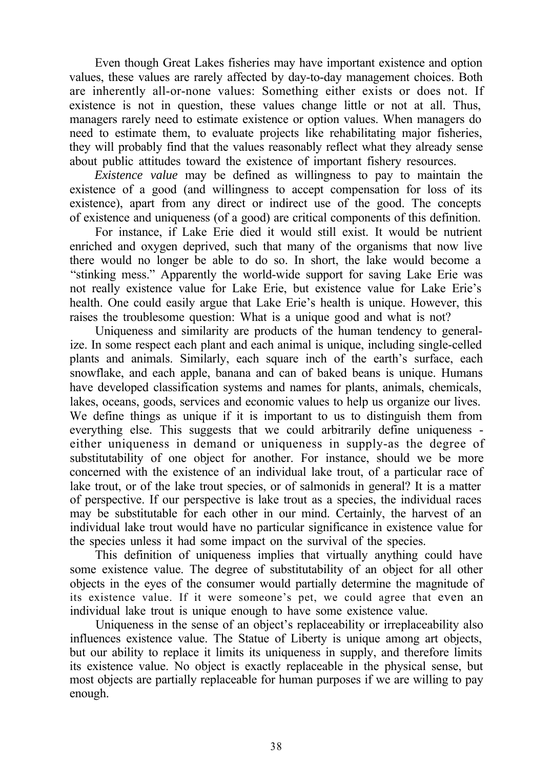Even though Great Lakes fisheries may have important existence and option values, these values are rarely affected by day-to-day management choices. Both are inherently all-or-none values: Something either exists or does not. If existence is not in question, these values change little or not at all. Thus, managers rarely need to estimate existence or option values. When managers do need to estimate them, to evaluate projects like rehabilitating major fisheries, they will probably find that the values reasonably reflect what they already sense about public attitudes toward the existence of important fishery resources.

*Existence value* may be defined as willingness to pay to maintain the existence of a good (and willingness to accept compensation for loss of its existence), apart from any direct or indirect use of the good. The concepts of existence and uniqueness (of a good) are critical components of this definition.

For instance, if Lake Erie died it would still exist. It would be nutrient enriched and oxygen deprived, such that many of the organisms that now live there would no longer be able to do so. In short, the lake would become a "stinking mess." Apparently the world-wide support for saving Lake Erie was not really existence value for Lake Erie, but existence value for Lake Erie's health. One could easily argue that Lake Erie's health is unique. However, this raises the troublesome question: What is a unique good and what is not?

Uniqueness and similarity are products of the human tendency to generalize. In some respect each plant and each animal is unique, including single-celled plants and animals. Similarly, each square inch of the earth's surface, each snowflake, and each apple, banana and can of baked beans is unique. Humans have developed classification systems and names for plants, animals, chemicals, lakes, oceans, goods, services and economic values to help us organize our lives. We define things as unique if it is important to us to distinguish them from everything else. This suggests that we could arbitrarily define uniqueness either uniqueness in demand or uniqueness in supply-as the degree of substitutability of one object for another. For instance, should we be more concerned with the existence of an individual lake trout, of a particular race of lake trout, or of the lake trout species, or of salmonids in general? It is a matter of perspective. If our perspective is lake trout as a species, the individual races may be substitutable for each other in our mind. Certainly, the harvest of an individual lake trout would have no particular significance in existence value for the species unless it had some impact on the survival of the species.

This definition of uniqueness implies that virtually anything could have some existence value. The degree of substitutability of an object for all other objects in the eyes of the consumer would partially determine the magnitude of its existence value. If it were someone's pet, we could agree that even an individual lake trout is unique enough to have some existence value.

Uniqueness in the sense of an object's replaceability or irreplaceability also influences existence value. The Statue of Liberty is unique among art objects, but our ability to replace it limits its uniqueness in supply, and therefore limits its existence value. No object is exactly replaceable in the physical sense, but most objects are partially replaceable for human purposes if we are willing to pay enough.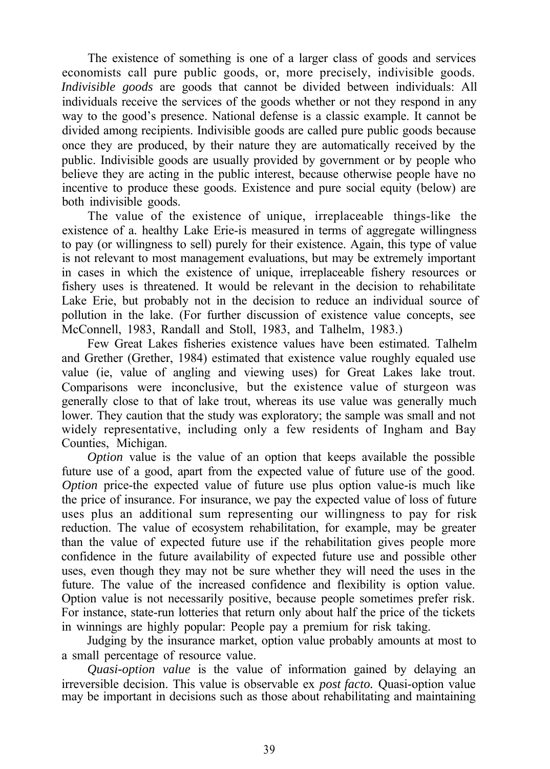The existence of something is one of a larger class of goods and services economists call pure public goods, or, more precisely, indivisible goods. *Indivisible goods* are goods that cannot be divided between individuals: All individuals receive the services of the goods whether or not they respond in any way to the good's presence. National defense is a classic example. It cannot be divided among recipients. Indivisible goods are called pure public goods because once they are produced, by their nature they are automatically received by the public. Indivisible goods are usually provided by government or by people who believe they are acting in the public interest, because otherwise people have no incentive to produce these goods. Existence and pure social equity (below) are both indivisible goods.

The value of the existence of unique, irreplaceable things-like the existence of a. healthy Lake Erie-is measured in terms of aggregate willingness to pay (or willingness to sell) purely for their existence. Again, this type of value is not relevant to most management evaluations, but may be extremely important in cases in which the existence of unique, irreplaceable fishery resources or fishery uses is threatened. It would be relevant in the decision to rehabilitate Lake Erie, but probably not in the decision to reduce an individual source of pollution in the lake. (For further discussion of existence value concepts, see McConnell, 1983, Randall and Stoll, 1983, and Talhelm, 1983.)

Few Great Lakes fisheries existence values have been estimated. Talhelm and Grether (Grether, 1984) estimated that existence value roughly equaled use value (ie, value of angling and viewing uses) for Great Lakes lake trout. Comparisons were inconclusive, but the existence value of sturgeon was generally close to that of lake trout, whereas its use value was generally much lower. They caution that the study was exploratory; the sample was small and not widely representative, including only a few residents of Ingham and Bay Counties, Michigan.

*Option* value is the value of an option that keeps available the possible future use of a good, apart from the expected value of future use of the good. *Option* price-the expected value of future use plus option value-is much like the price of insurance. For insurance, we pay the expected value of loss of future uses plus an additional sum representing our willingness to pay for risk reduction. The value of ecosystem rehabilitation, for example, may be greater than the value of expected future use if the rehabilitation gives people more confidence in the future availability of expected future use and possible other uses, even though they may not be sure whether they will need the uses in the future. The value of the increased confidence and flexibility is option value. Option value is not necessarily positive, because people sometimes prefer risk. For instance, state-run lotteries that return only about half the price of the tickets in winnings are highly popular: People pay a premium for risk taking.

Judging by the insurance market, option value probably amounts at most to a small percentage of resource value.

*Quasi-option value* is the value of information gained by delaying an irreversible decision. This value is observable ex *post facto.* Quasi-option value may be important in decisions such as those about rehabilitating and maintaining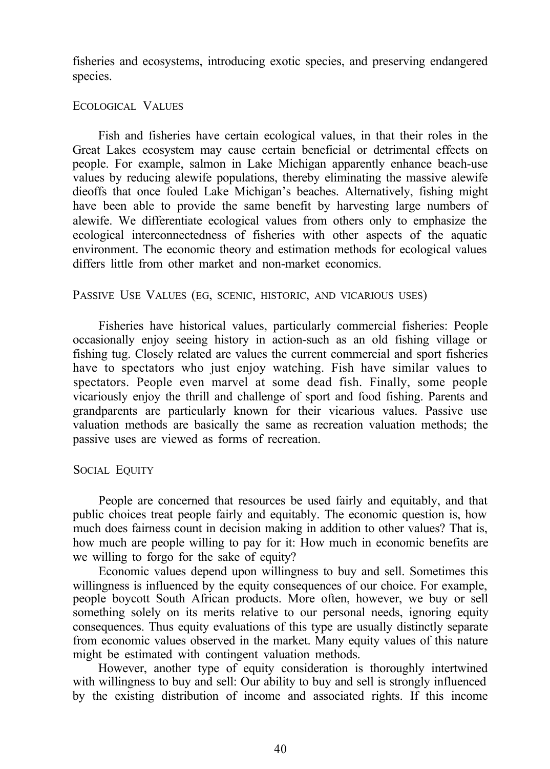<span id="page-44-0"></span>fisheries and ecosystems, introducing exotic species, and preserving endangered species.

### ECOLOGICAL VALUES

Fish and fisheries have certain ecological values, in that their roles in the Great Lakes ecosystem may cause certain beneficial or detrimental effects on people. For example, salmon in Lake Michigan apparently enhance beach-use values by reducing alewife populations, thereby eliminating the massive alewife dieoffs that once fouled Lake Michigan's beaches. Alternatively, fishing might have been able to provide the same benefit by harvesting large numbers of alewife. We differentiate ecological values from others only to emphasize the ecological interconnectedness of fisheries with other aspects of the aquatic environment. The economic theory and estimation methods for ecological values differs little from other market and non-market economics.

#### PASSIVE USE VALUES (EG, SCENIC, HISTORIC, AND VICARIOUS USES)

Fisheries have historical values, particularly commercial fisheries: People occasionally enjoy seeing history in action-such as an old fishing village or fishing tug. Closely related are values the current commercial and sport fisheries have to spectators who just enjoy watching. Fish have similar values to spectators. People even marvel at some dead fish. Finally, some people vicariously enjoy the thrill and challenge of sport and food fishing. Parents and grandparents are particularly known for their vicarious values. Passive use valuation methods are basically the same as recreation valuation methods; the passive uses are viewed as forms of recreation.

## SOCIAL EQUITY

People are concerned that resources be used fairly and equitably, and that public choices treat people fairly and equitably. The economic question is, how much does fairness count in decision making in addition to other values? That is, how much are people willing to pay for it: How much in economic benefits are we willing to forgo for the sake of equity?

Economic values depend upon willingness to buy and sell. Sometimes this willingness is influenced by the equity consequences of our choice. For example, people boycott South African products. More often, however, we buy or sell something solely on its merits relative to our personal needs, ignoring equity consequences. Thus equity evaluations of this type are usually distinctly separate from economic values observed in the market. Many equity values of this nature might be estimated with contingent valuation methods.

However, another type of equity consideration is thoroughly intertwined with willingness to buy and sell: Our ability to buy and sell is strongly influenced by the existing distribution of income and associated rights. If this income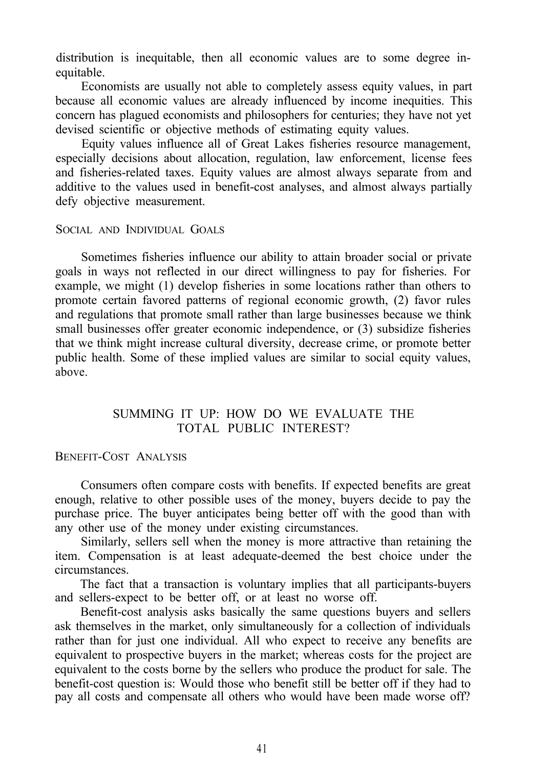<span id="page-45-0"></span>distribution is inequitable, then all economic values are to some degree inequitable.

Economists are usually not able to completely assess equity values, in part because all economic values are already influenced by income inequities. This concern has plagued economists and philosophers for centuries; they have not yet devised scientific or objective methods of estimating equity values.

Equity values influence all of Great Lakes fisheries resource management, especially decisions about allocation, regulation, law enforcement, license fees and fisheries-related taxes. Equity values are almost always separate from and additive to the values used in benefit-cost analyses, and almost always partially defy objective measurement.

## SOCIAL AND INDIVIDUAL GOALS

Sometimes fisheries influence our ability to attain broader social or private goals in ways not reflected in our direct willingness to pay for fisheries. For example, we might (1) develop fisheries in some locations rather than others to promote certain favored patterns of regional economic growth, (2) favor rules and regulations that promote small rather than large businesses because we think small businesses offer greater economic independence, or (3) subsidize fisheries that we think might increase cultural diversity, decrease crime, or promote better public health. Some of these implied values are similar to social equity values, above.

## SUMMING IT UP: HOW DO WE EVALUATE THE TOTAL PUBLIC INTEREST?

#### BENEFIT-COST ANALYSIS

Consumers often compare costs with benefits. If expected benefits are great enough, relative to other possible uses of the money, buyers decide to pay the purchase price. The buyer anticipates being better off with the good than with any other use of the money under existing circumstances.

Similarly, sellers sell when the money is more attractive than retaining the item. Compensation is at least adequate-deemed the best choice under the circumstances.

The fact that a transaction is voluntary implies that all participants-buyers and sellers-expect to be better off, or at least no worse off.

Benefit-cost analysis asks basically the same questions buyers and sellers ask themselves in the market, only simultaneously for a collection of individuals rather than for just one individual. All who expect to receive any benefits are equivalent to prospective buyers in the market; whereas costs for the project are equivalent to the costs borne by the sellers who produce the product for sale. The benefit-cost question is: Would those who benefit still be better off if they had to pay all costs and compensate all others who would have been made worse off?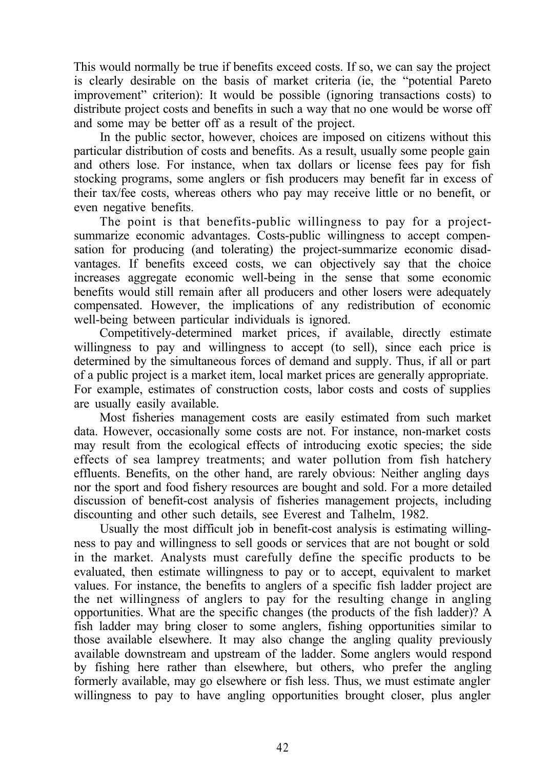This would normally be true if benefits exceed costs. If so, we can say the project is clearly desirable on the basis of market criteria (ie, the "potential Pareto improvement" criterion): It would be possible (ignoring transactions costs) to distribute project costs and benefits in such a way that no one would be worse off and some may be better off as a result of the project.

In the public sector, however, choices are imposed on citizens without this particular distribution of costs and benefits. As a result, usually some people gain and others lose. For instance, when tax dollars or license fees pay for fish stocking programs, some anglers or fish producers may benefit far in excess of their tax/fee costs, whereas others who pay may receive little or no benefit, or even negative benefits.

The point is that benefits-public willingness to pay for a projectsummarize economic advantages. Costs-public willingness to accept compensation for producing (and tolerating) the project-summarize economic disadvantages. If benefits exceed costs, we can objectively say that the choice increases aggregate economic well-being in the sense that some economic benefits would still remain after all producers and other losers were adequately compensated. However, the implications of any redistribution of economic well-being between particular individuals is ignored.

Competitively-determined market prices, if available, directly estimate willingness to pay and willingness to accept (to sell), since each price is determined by the simultaneous forces of demand and supply. Thus, if all or part of a public project is a market item, local market prices are generally appropriate. For example, estimates of construction costs, labor costs and costs of supplies are usually easily available.

Most fisheries management costs are easily estimated from such market data. However, occasionally some costs are not. For instance, non-market costs may result from the ecological effects of introducing exotic species; the side effects of sea lamprey treatments; and water pollution from fish hatchery effluents. Benefits, on the other hand, are rarely obvious: Neither angling days nor the sport and food fishery resources are bought and sold. For a more detailed discussion of benefit-cost analysis of fisheries management projects, including discounting and other such details, see Everest and Talhelm, 1982.

Usually the most difficult job in benefit-cost analysis is estimating willingness to pay and willingness to sell goods or services that are not bought or sold in the market. Analysts must carefully define the specific products to be evaluated, then estimate willingness to pay or to accept, equivalent to market values. For instance, the benefits to anglers of a specific fish ladder project are the net willingness of anglers to pay for the resulting change in angling opportunities. What are the specific changes (the products of the fish ladder)? A fish ladder may bring closer to some anglers, fishing opportunities similar to those available elsewhere. It may also change the angling quality previously available downstream and upstream of the ladder. Some anglers would respond by fishing here rather than elsewhere, but others, who prefer the angling formerly available, may go elsewhere or fish less. Thus, we must estimate angler willingness to pay to have angling opportunities brought closer, plus angler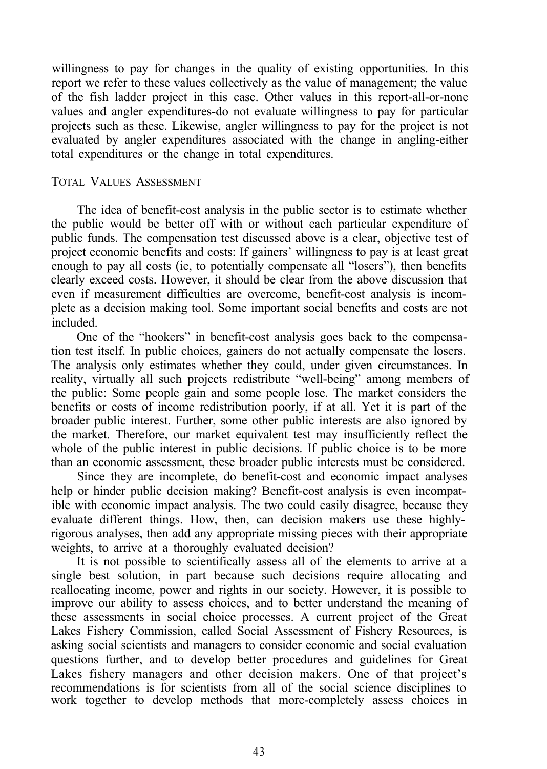<span id="page-47-0"></span>willingness to pay for changes in the quality of existing opportunities. In this report we refer to these values collectively as the value of management; the value of the fish ladder project in this case. Other values in this report-all-or-none values and angler expenditures-do not evaluate willingness to pay for particular projects such as these. Likewise, angler willingness to pay for the project is not evaluated by angler expenditures associated with the change in angling-either total expenditures or the change in total expenditures.

#### TOTAL VALUES ASSESSMENT

The idea of benefit-cost analysis in the public sector is to estimate whether the public would be better off with or without each particular expenditure of public funds. The compensation test discussed above is a clear, objective test of project economic benefits and costs: If gainers' willingness to pay is at least great enough to pay all costs (ie, to potentially compensate all "losers"), then benefits clearly exceed costs. However, it should be clear from the above discussion that even if measurement difficulties are overcome, benefit-cost analysis is incomplete as a decision making tool. Some important social benefits and costs are not included.

One of the "hookers" in benefit-cost analysis goes back to the compensation test itself. In public choices, gainers do not actually compensate the losers. The analysis only estimates whether they could, under given circumstances. In reality, virtually all such projects redistribute "well-being" among members of the public: Some people gain and some people lose. The market considers the benefits or costs of income redistribution poorly, if at all. Yet it is part of the broader public interest. Further, some other public interests are also ignored by the market. Therefore, our market equivalent test may insufficiently reflect the whole of the public interest in public decisions. If public choice is to be more than an economic assessment, these broader public interests must be considered.

Since they are incomplete, do benefit-cost and economic impact analyses help or hinder public decision making? Benefit-cost analysis is even incompatible with economic impact analysis. The two could easily disagree, because they evaluate different things. How, then, can decision makers use these highlyrigorous analyses, then add any appropriate missing pieces with their appropriate weights, to arrive at a thoroughly evaluated decision?

It is not possible to scientifically assess all of the elements to arrive at a single best solution, in part because such decisions require allocating and reallocating income, power and rights in our society. However, it is possible to improve our ability to assess choices, and to better understand the meaning of these assessments in social choice processes. A current project of the Great Lakes Fishery Commission, called Social Assessment of Fishery Resources, is asking social scientists and managers to consider economic and social evaluation questions further, and to develop better procedures and guidelines for Great Lakes fishery managers and other decision makers. One of that project's recommendations is for scientists from all of the social science disciplines to work together to develop methods that more-completely assess choices in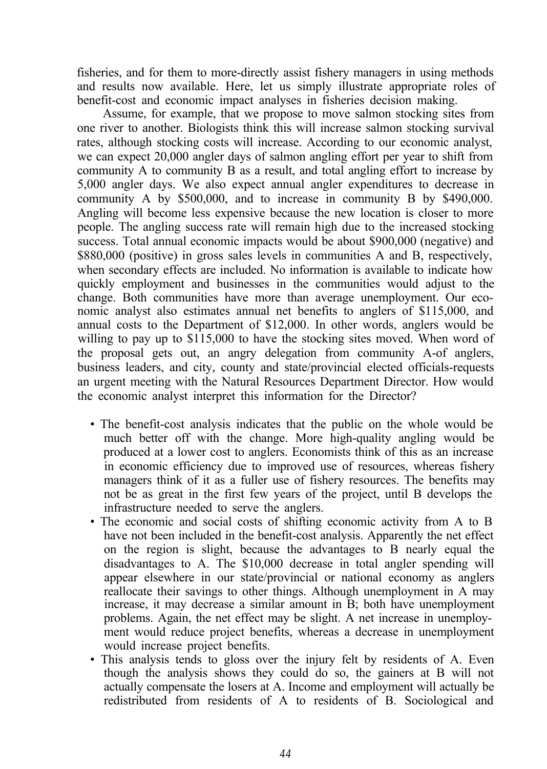fisheries, and for them to more-directly assist fishery managers in using methods and results now available. Here, let us simply illustrate appropriate roles of benefit-cost and economic impact analyses in fisheries decision making.

Assume, for example, that we propose to move salmon stocking sites from one river to another. Biologists think this will increase salmon stocking survival rates, although stocking costs will increase. According to our economic analyst, we can expect 20,000 angler days of salmon angling effort per year to shift from community A to community B as a result, and total angling effort to increase by 5,000 angler days. We also expect annual angler expenditures to decrease in community A by \$500,000, and to increase in community B by \$490,000. Angling will become less expensive because the new location is closer to more people. The angling success rate will remain high due to the increased stocking success. Total annual economic impacts would be about \$900,000 (negative) and \$880,000 (positive) in gross sales levels in communities A and B, respectively, when secondary effects are included. No information is available to indicate how quickly employment and businesses in the communities would adjust to the change. Both communities have more than average unemployment. Our economic analyst also estimates annual net benefits to anglers of \$115,000, and annual costs to the Department of \$12,000. In other words, anglers would be willing to pay up to \$115,000 to have the stocking sites moved. When word of the proposal gets out, an angry delegation from community A-of anglers, business leaders, and city, county and state/provincial elected officials-requests an urgent meeting with the Natural Resources Department Director. How would the economic analyst interpret this information for the Director?

- The benefit-cost analysis indicates that the public on the whole would be much better off with the change. More high-quality angling would be produced at a lower cost to anglers. Economists think of this as an increase in economic efficiency due to improved use of resources, whereas fishery managers think of it as a fuller use of fishery resources. The benefits may not be as great in the first few years of the project, until B develops the infrastructure needed to serve the anglers.
- The economic and social costs of shifting economic activity from A to B have not been included in the benefit-cost analysis. Apparently the net effect on the region is slight, because the advantages to B nearly equal the disadvantages to A. The \$10,000 decrease in total angler spending will appear elsewhere in our state/provincial or national economy as anglers reallocate their savings to other things. Although unemployment in A may increase, it may decrease a similar amount in B; both have unemployment problems. Again, the net effect may be slight. A net increase in unemployment would reduce project benefits, whereas a decrease in unemployment would increase project benefits.
- This analysis tends to gloss over the injury felt by residents of A. Even though the analysis shows they could do so, the gainers at B will not actually compensate the losers at A. Income and employment will actually be redistributed from residents of A to residents of B. Sociological and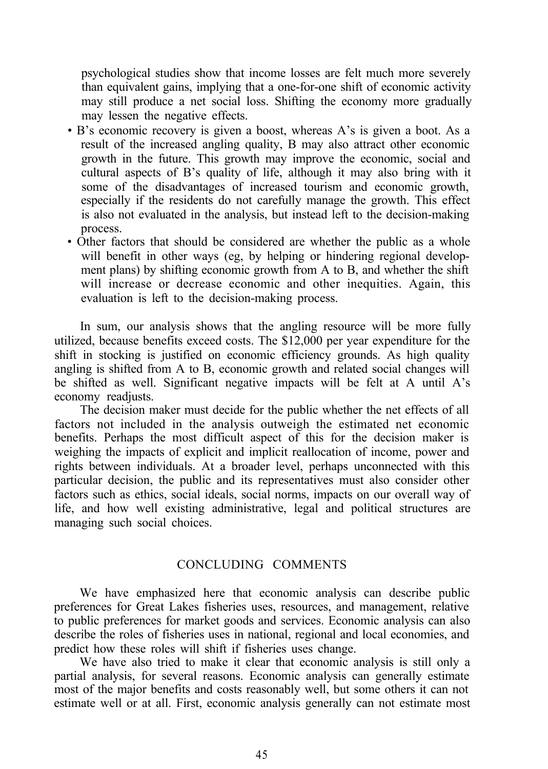<span id="page-49-0"></span>psychological studies show that income losses are felt much more severely than equivalent gains, implying that a one-for-one shift of economic activity may still produce a net social loss. Shifting the economy more gradually may lessen the negative effects.

- B's economic recovery is given a boost, whereas A's is given a boot. As a result of the increased angling quality, B may also attract other economic growth in the future. This growth may improve the economic, social and cultural aspects of B's quality of life, although it may also bring with it some of the disadvantages of increased tourism and economic growth. especially if the residents do not carefully manage the growth. This effect is also not evaluated in the analysis, but instead left to the decision-making process.
- Other factors that should be considered are whether the public as a whole will benefit in other ways (eg, by helping or hindering regional development plans) by shifting economic growth from A to B, and whether the shift will increase or decrease economic and other inequities. Again, this evaluation is left to the decision-making process.

In sum, our analysis shows that the angling resource will be more fully utilized, because benefits exceed costs. The \$12,000 per year expenditure for the shift in stocking is justified on economic efficiency grounds. As high quality angling is shifted from A to B, economic growth and related social changes will be shifted as well. Significant negative impacts will be felt at A until A's economy readjusts.

The decision maker must decide for the public whether the net effects of all factors not included in the analysis outweigh the estimated net economic benefits. Perhaps the most difficult aspect of this for the decision maker is weighing the impacts of explicit and implicit reallocation of income, power and rights between individuals. At a broader level, perhaps unconnected with this particular decision, the public and its representatives must also consider other factors such as ethics, social ideals, social norms, impacts on our overall way of life, and how well existing administrative, legal and political structures are managing such social choices.

## CONCLUDING COMMENTS

We have emphasized here that economic analysis can describe public preferences for Great Lakes fisheries uses, resources, and management, relative to public preferences for market goods and services. Economic analysis can also describe the roles of fisheries uses in national, regional and local economies, and predict how these roles will shift if fisheries uses change.

We have also tried to make it clear that economic analysis is still only a partial analysis, for several reasons. Economic analysis can generally estimate most of the major benefits and costs reasonably well, but some others it can not estimate well or at all. First, economic analysis generally can not estimate most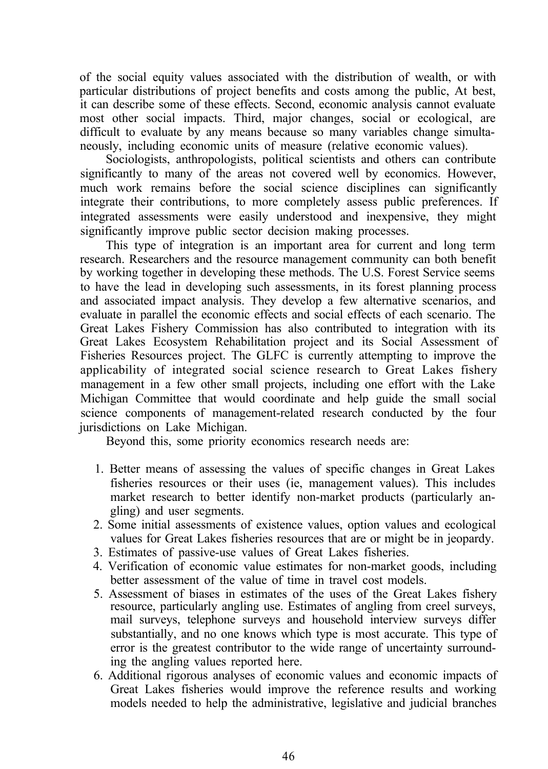of the social equity values associated with the distribution of wealth, or with particular distributions of project benefits and costs among the public, At best, it can describe some of these effects. Second, economic analysis cannot evaluate most other social impacts. Third, major changes, social or ecological, are difficult to evaluate by any means because so many variables change simultaneously, including economic units of measure (relative economic values).

Sociologists, anthropologists, political scientists and others can contribute significantly to many of the areas not covered well by economics. However, much work remains before the social science disciplines can significantly integrate their contributions, to more completely assess public preferences. If integrated assessments were easily understood and inexpensive, they might significantly improve public sector decision making processes.

This type of integration is an important area for current and long term research. Researchers and the resource management community can both benefit by working together in developing these methods. The U.S. Forest Service seems to have the lead in developing such assessments, in its forest planning process and associated impact analysis. They develop a few alternative scenarios, and evaluate in parallel the economic effects and social effects of each scenario. The Great Lakes Fishery Commission has also contributed to integration with its Great Lakes Ecosystem Rehabilitation project and its Social Assessment of Fisheries Resources project. The GLFC is currently attempting to improve the applicability of integrated social science research to Great Lakes fishery management in a few other small projects, including one effort with the Lake Michigan Committee that would coordinate and help guide the small social science components of management-related research conducted by the four jurisdictions on Lake Michigan.

Beyond this, some priority economics research needs are:

- 1. Better means of assessing the values of specific changes in Great Lakes fisheries resources or their uses (ie, management values). This includes market research to better identify non-market products (particularly angling) and user segments.
- 2. Some initial assessments of existence values, option values and ecological values for Great Lakes fisheries resources that are or might be in jeopardy.
- 3. Estimates of passive-use values of Great Lakes fisheries.
- 4. Verification of economic value estimates for non-market goods, including better assessment of the value of time in travel cost models.
- 5. Assessment of biases in estimates of the uses of the Great Lakes fishery resource, particularly angling use. Estimates of angling from creel surveys, mail surveys, telephone surveys and household interview surveys differ substantially, and no one knows which type is most accurate. This type of error is the greatest contributor to the wide range of uncertainty surrounding the angling values reported here.
- 6. Additional rigorous analyses of economic values and economic impacts of Great Lakes fisheries would improve the reference results and working models needed to help the administrative, legislative and judicial branches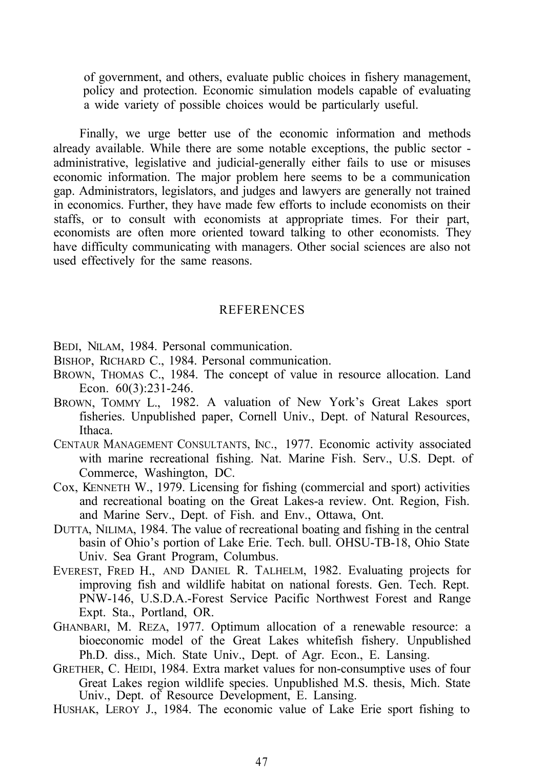<span id="page-51-0"></span>of government, and others, evaluate public choices in fishery management, policy and protection. Economic simulation models capable of evaluating a wide variety of possible choices would be particularly useful.

Finally, we urge better use of the economic information and methods already available. While there are some notable exceptions, the public sector administrative, legislative and judicial-generally either fails to use or misuses economic information. The major problem here seems to be a communication gap. Administrators, legislators, and judges and lawyers are generally not trained in economics. Further, they have made few efforts to include economists on their staffs, or to consult with economists at appropriate times. For their part, economists are often more oriented toward talking to other economists. They have difficulty communicating with managers. Other social sciences are also not used effectively for the same reasons.

#### **REFERENCES**

BEDI, NILAM, 1984. Personal communication.

- BISHOP, RICHARD C., 1984. Personal communication.
- BROWN, THOMAS C., 1984. The concept of value in resource allocation. Land Econ. 60(3):231-246.
- BROWN, TOMMY L., 1982. A valuation of New York's Great Lakes sport fisheries. Unpublished paper, Cornell Univ., Dept. of Natural Resources, Ithaca.
- CENTAUR MANAGEMENT CONSULTANTS, INC., 1977. Economic activity associated with marine recreational fishing. Nat. Marine Fish. Serv., U.S. Dept. of Commerce, Washington, DC.
- Cox, KENNETH W., 1979. Licensing for fishing (commercial and sport) activities and recreational boating on the Great Lakes-a review. Ont. Region, Fish. and Marine Serv., Dept. of Fish. and Env., Ottawa, Ont.
- DUTTA, NILIMA, 1984. The value of recreational boating and fishing in the central basin of Ohio's portion of Lake Erie. Tech. bull. OHSU-TB-18, Ohio State Univ. Sea Grant Program, Columbus.
- EVEREST, FRED H., AND DANIEL R. TALHELM, 1982. Evaluating projects for improving fish and wildlife habitat on national forests. Gen. Tech. Rept. PNW-146, U.S.D.A.-Forest Service Pacific Northwest Forest and Range Expt. Sta., Portland, OR.
- GHANBARI, M. REZA, 1977. Optimum allocation of a renewable resource: a bioeconomic model of the Great Lakes whitefish fishery. Unpublished Ph.D. diss., Mich. State Univ., Dept. of Agr. Econ., E. Lansing.
- GRETHER, C. HEIDI, 1984. Extra market values for non-consumptive uses of four Great Lakes region wildlife species. Unpublished M.S. thesis, Mich. State Univ., Dept. of Resource Development, E. Lansing.

HUSHAK, LEROY J., 1984. The economic value of Lake Erie sport fishing to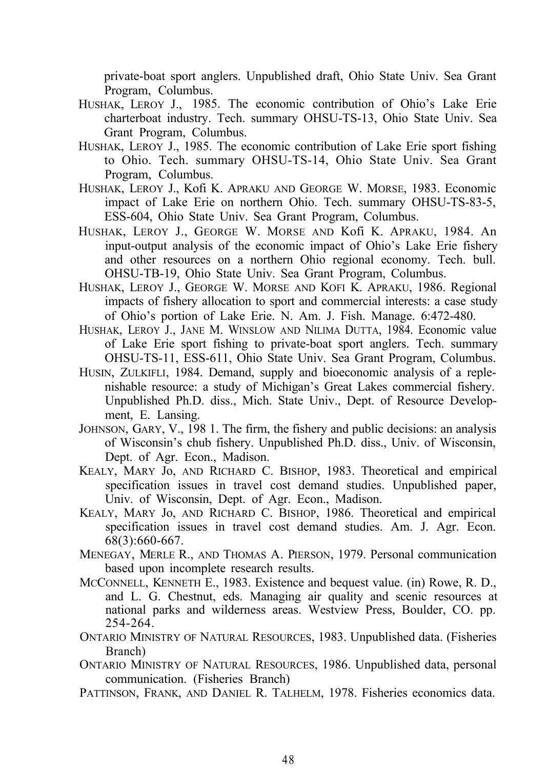private-boat sport anglers. Unpublished draft, Ohio State Univ. Sea Grant Program, Columbus.

- HUSHAK, LEROY J., 1985. The economic contribution of Ohio's Lake Erie charterboat industry. Tech. summary OHSU-TS-13, Ohio State Univ. Sea Grant Program, Columbus.
- HUSHAK, LEROY J., 1985. The economic contribution of Lake Erie sport fishing to Ohio. Tech. summary OHSU-TS-14, Ohio State Univ. Sea Grant Program, Columbus.
- HUSHAK, LEROY J., Kofi K. APRAKU AND GEORGE W. MORSE, 1983. Economic impact of Lake Erie on northern Ohio. Tech. summary OHSU-TS-83-5, ESS-604, Ohio State Univ. Sea Grant Program, Columbus.
- HUSHAK, LEROY J., GEORGE W. MORSE AND Kofi K. APRAKU, 1984. An input-output analysis of the economic impact of Ohio's Lake Erie fishery and other resources on a northern Ohio regional economy. Tech. bull. OHSU-TB-19, Ohio State Univ. Sea Grant Program, Columbus.
- HUSHAK, LEROY J., GEORGE W. MORSE AND KOFI K. APRAKU, 1986. Regional impacts of fishery allocation to sport and commercial interests: a case study of Ohio's portion of Lake Erie. N. Am. J. Fish. Manage. 6:472-480.
- HUSHAK, LEROY J., JANE M. WINSLOW AND NILIMA DUTTA, 1984. Economic value of Lake Erie sport fishing to private-boat sport anglers. Tech. summary OHSU-TS-11, ESS-611, Ohio State Univ. Sea Grant Program, Columbus.
- HUSIN, ZULKIFLI, 1984. Demand, supply and bioeconomic analysis of a replenishable resource: a study of Michigan's Great Lakes commercial fishery. Unpublished Ph.D. diss., Mich. State Univ., Dept. of Resource Development, E. Lansing.
- JOHNSON, GARY, V., 198 1. The firm, the fishery and public decisions: an analysis of Wisconsin's chub fishery. Unpublished Ph.D. diss., Univ. of Wisconsin, Dept. of Agr. Econ., Madison.
- KEALY, MARY Jo, AND RICHARD C. BISHOP, 1983. Theoretical and empirical specification issues in travel cost demand studies. Unpublished paper, Univ. of Wisconsin, Dept. of Agr. Econ., Madison.
- KEALY, MARY Jo, AND RICHARD C. BISHOP, 1986. Theoretical and empirical specification issues in travel cost demand studies. Am. J. Agr. Econ. 68(3):660-667.
- MENEGAY, MERLE R., AND THOMAS A. PIERSON, 1979. Personal communication based upon incomplete research results.
- MCCONNELL, KENNETH E., 1983. Existence and bequest value. (in) Rowe, R. D., and L. G. Chestnut, eds. Managing air quality and scenic resources at national parks and wilderness areas. Westview Press, Boulder, CO. pp. 254-264.
- ONTARIO MINISTRY OF NATURAL RESOURCES, 1983. Unpublished data. (Fisheries Branch)
- ONTARIO MINISTRY OF NATURAL RESOURCES, 1986. Unpublished data, personal communication. (Fisheries Branch)
- PATTINSON, FRANK, AND DANIEL R. TALHELM, 1978. Fisheries economics data.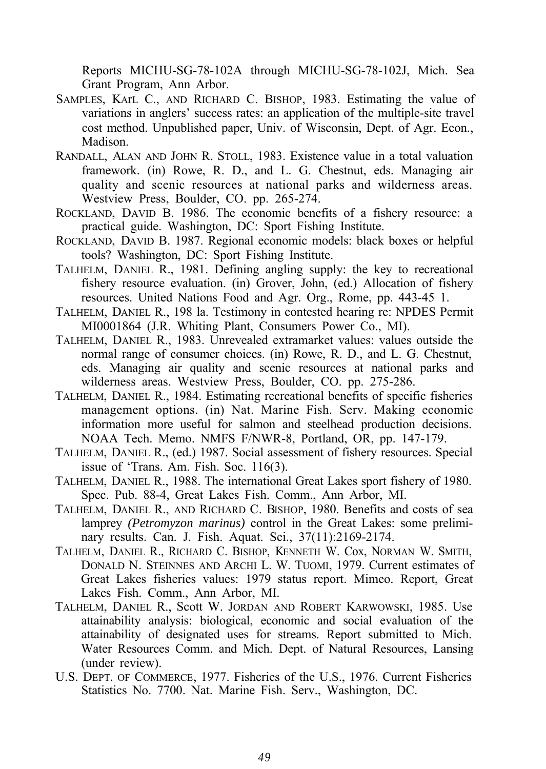Reports MICHU-SG-78-102A through MICHU-SG-78-102J, Mich. Sea Grant Program, Ann Arbor.

- SAMPLES, KArL C., AND RICHARD C. BISHOP, 1983. Estimating the value of variations in anglers' success rates: an application of the multiple-site travel cost method. Unpublished paper, Univ. of Wisconsin, Dept. of Agr. Econ., Madison.
- RANDALL, ALAN AND JOHN R. STOLL, 1983. Existence value in a total valuation framework. (in) Rowe, R. D., and L. G. Chestnut, eds. Managing air quality and scenic resources at national parks and wilderness areas. Westview Press, Boulder, CO. pp. 265-274.
- ROCKLAND, DAVID B. 1986. The economic benefits of a fishery resource: a practical guide. Washington, DC: Sport Fishing Institute.
- ROCKLAND, DAVID B. 1987. Regional economic models: black boxes or helpful tools? Washington, DC: Sport Fishing Institute.
- TALHELM, DANIEL R., 1981. Defining angling supply: the key to recreational fishery resource evaluation. (in) Grover, John, (ed.) Allocation of fishery resources. United Nations Food and Agr. Org., Rome, pp. 443-45 1.
- TALHELM, DANIEL R., 198 la. Testimony in contested hearing re: NPDES Permit MI0001864 (J.R. Whiting Plant, Consumers Power Co., MI).
- TALHELM, DANIEL R., 1983. Unrevealed extramarket values: values outside the normal range of consumer choices. (in) Rowe, R. D., and L. G. Chestnut, eds. Managing air quality and scenic resources at national parks and wilderness areas. Westview Press, Boulder, CO. pp. 275-286.
- TALHELM, DANIEL R., 1984. Estimating recreational benefits of specific fisheries management options. (in) Nat. Marine Fish. Serv. Making economic information more useful for salmon and steelhead production decisions. NOAA Tech. Memo. NMFS F/NWR-8, Portland, OR, pp. 147-179.
- TALHELM, DANIEL R., (ed.) 1987. Social assessment of fishery resources. Special issue of 'Trans. Am. Fish. Soc. 116(3).
- TALHELM, DANIEL R., 1988. The international Great Lakes sport fishery of 1980. Spec. Pub. 88-4, Great Lakes Fish. Comm., Ann Arbor, MI.
- TALHELM, DANIEL R., AND RICHARD C. BISHOP, 1980. Benefits and costs of sea lamprey *(Petromyzon marinus)* control in the Great Lakes: some preliminary results. Can. J. Fish. Aquat. Sci., 37(11):2169-2174.
- TALHELM, DANIEL R., RICHARD C. BISHOP, KENNETH W. Cox, NORMAN W. SMITH, DONALD N. STEINNES AND ARCHI L. W. TUOMI, 1979. Current estimates of Great Lakes fisheries values: 1979 status report. Mimeo. Report, Great Lakes Fish. Comm., Ann Arbor, MI.
- TALHELM, DANIEL R., Scott W. JORDAN AND ROBERT KARWOWSKI, 1985. Use attainability analysis: biological, economic and social evaluation of the attainability of designated uses for streams. Report submitted to Mich. Water Resources Comm. and Mich. Dept. of Natural Resources, Lansing (under review).
- U.S. DEPT. OF COMMERCE, 1977. Fisheries of the U.S., 1976. Current Fisheries Statistics No. 7700. Nat. Marine Fish. Serv., Washington, DC.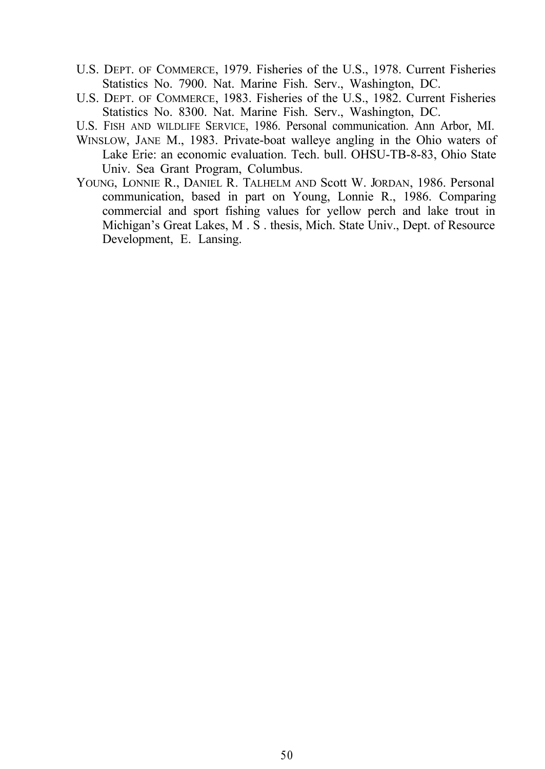- U.S. DEPT. OF COMMERCE, 1979. Fisheries of the U.S., 1978. Current Fisheries Statistics No. 7900. Nat. Marine Fish. Serv., Washington, DC.
- U.S. DEPT. OF COMMERCE, 1983. Fisheries of the U.S., 1982. Current Fisheries Statistics No. 8300. Nat. Marine Fish. Serv., Washington, DC.
- U.S. FISH AND WILDLIFE SERVICE, 1986. Personal communication. Ann Arbor, MI.
- WINSLOW, JANE M., 1983. Private-boat walleye angling in the Ohio waters of Lake Erie: an economic evaluation. Tech. bull. OHSU-TB-8-83, Ohio State Univ. Sea Grant Program, Columbus.
- YOUNG, LONNIE R., DANIEL R. TALHELM AND Scott W. JORDAN, 1986. Personal communication, based in part on Young, Lonnie R., 1986. Comparing commercial and sport fishing values for yellow perch and lake trout in Michigan's Great Lakes, M . S . thesis, Mich. State Univ., Dept. of Resource Development, E. Lansing.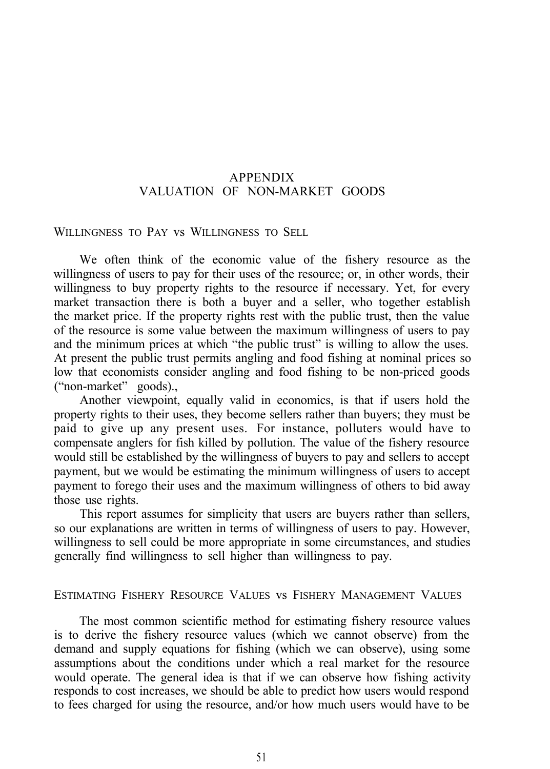## <span id="page-55-0"></span>APPENDIX VALUATION OF NON-MARKET GOODS

WILLINGNESS TO PAY vs WILLINGNESS TO SELL

We often think of the economic value of the fishery resource as the willingness of users to pay for their uses of the resource; or, in other words, their willingness to buy property rights to the resource if necessary. Yet, for every market transaction there is both a buyer and a seller, who together establish the market price. If the property rights rest with the public trust, then the value of the resource is some value between the maximum willingness of users to pay and the minimum prices at which "the public trust" is willing to allow the uses. At present the public trust permits angling and food fishing at nominal prices so low that economists consider angling and food fishing to be non-priced goods ("non-market" goods).,

Another viewpoint, equally valid in economics, is that if users hold the property rights to their uses, they become sellers rather than buyers; they must be paid to give up any present uses. For instance, polluters would have to compensate anglers for fish killed by pollution. The value of the fishery resource would still be established by the willingness of buyers to pay and sellers to accept payment, but we would be estimating the minimum willingness of users to accept payment to forego their uses and the maximum willingness of others to bid away those use rights.

This report assumes for simplicity that users are buyers rather than sellers, so our explanations are written in terms of willingness of users to pay. However, willingness to sell could be more appropriate in some circumstances, and studies generally find willingness to sell higher than willingness to pay.

#### ESTIMATING FISHERY RESOURCE VALUES vs FISHERY MANAGEMENT VALUES

The most common scientific method for estimating fishery resource values is to derive the fishery resource values (which we cannot observe) from the demand and supply equations for fishing (which we can observe), using some assumptions about the conditions under which a real market for the resource would operate. The general idea is that if we can observe how fishing activity responds to cost increases, we should be able to predict how users would respond to fees charged for using the resource, and/or how much users would have to be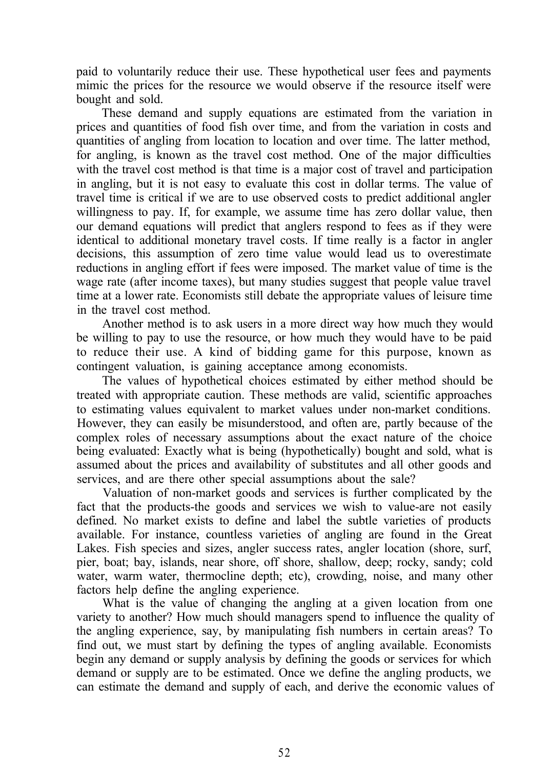paid to voluntarily reduce their use. These hypothetical user fees and payments mimic the prices for the resource we would observe if the resource itself were bought and sold.

These demand and supply equations are estimated from the variation in prices and quantities of food fish over time, and from the variation in costs and quantities of angling from location to location and over time. The latter method, for angling, is known as the travel cost method. One of the major difficulties with the travel cost method is that time is a major cost of travel and participation in angling, but it is not easy to evaluate this cost in dollar terms. The value of travel time is critical if we are to use observed costs to predict additional angler willingness to pay. If, for example, we assume time has zero dollar value, then our demand equations will predict that anglers respond to fees as if they were identical to additional monetary travel costs. If time really is a factor in angler decisions, this assumption of zero time value would lead us to overestimate reductions in angling effort if fees were imposed. The market value of time is the wage rate (after income taxes), but many studies suggest that people value travel time at a lower rate. Economists still debate the appropriate values of leisure time in the travel cost method.

Another method is to ask users in a more direct way how much they would be willing to pay to use the resource, or how much they would have to be paid to reduce their use. A kind of bidding game for this purpose, known as contingent valuation, is gaining acceptance among economists.

The values of hypothetical choices estimated by either method should be treated with appropriate caution. These methods are valid, scientific approaches to estimating values equivalent to market values under non-market conditions. However, they can easily be misunderstood, and often are, partly because of the complex roles of necessary assumptions about the exact nature of the choice being evaluated: Exactly what is being (hypothetically) bought and sold, what is assumed about the prices and availability of substitutes and all other goods and services, and are there other special assumptions about the sale?

Valuation of non-market goods and services is further complicated by the fact that the products-the goods and services we wish to value-are not easily defined. No market exists to define and label the subtle varieties of products available. For instance, countless varieties of angling are found in the Great Lakes. Fish species and sizes, angler success rates, angler location (shore, surf, pier, boat; bay, islands, near shore, off shore, shallow, deep; rocky, sandy; cold water, warm water, thermocline depth; etc), crowding, noise, and many other factors help define the angling experience.

What is the value of changing the angling at a given location from one variety to another? How much should managers spend to influence the quality of the angling experience, say, by manipulating fish numbers in certain areas? To find out, we must start by defining the types of angling available. Economists begin any demand or supply analysis by defining the goods or services for which demand or supply are to be estimated. Once we define the angling products, we can estimate the demand and supply of each, and derive the economic values of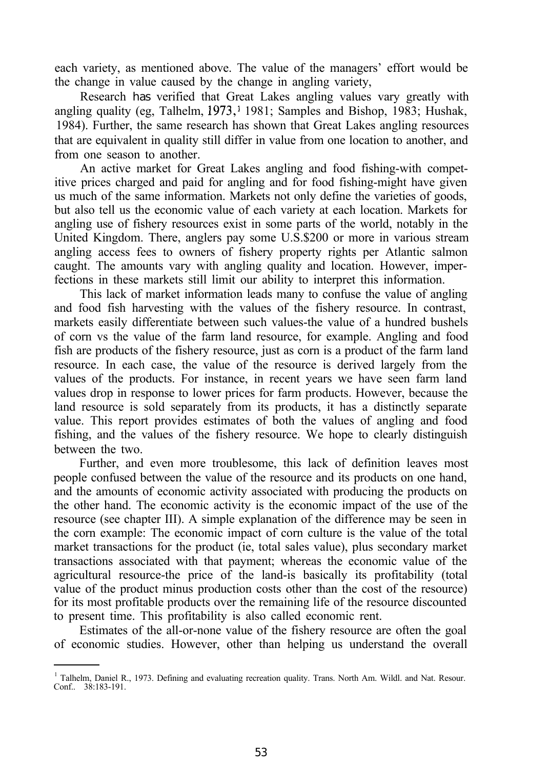each variety, as mentioned above. The value of the managers' effort would be the change in value caused by the change in angling variety,

Research has verified that Great Lakes angling values vary greatly with angling quality (eg, Talhelm, 1973,' 1981; Samples and Bishop, 1983; Hushak, 1984). Further, the same research has shown that Great Lakes angling resources that are equivalent in quality still differ in value from one location to another, and from one season to another.

An active market for Great Lakes angling and food fishing-with competitive prices charged and paid for angling and for food fishing-might have given us much of the same information. Markets not only define the varieties of goods, but also tell us the economic value of each variety at each location. Markets for angling use of fishery resources exist in some parts of the world, notably in the United Kingdom. There, anglers pay some U.S.\$200 or more in various stream angling access fees to owners of fishery property rights per Atlantic salmon caught. The amounts vary with angling quality and location. However, imperfections in these markets still limit our ability to interpret this information.

This lack of market information leads many to confuse the value of angling and food fish harvesting with the values of the fishery resource. In contrast, markets easily differentiate between such values-the value of a hundred bushels of corn vs the value of the farm land resource, for example. Angling and food fish are products of the fishery resource, just as corn is a product of the farm land resource. In each case, the value of the resource is derived largely from the values of the products. For instance, in recent years we have seen farm land values drop in response to lower prices for farm products. However, because the land resource is sold separately from its products, it has a distinctly separate value. This report provides estimates of both the values of angling and food fishing, and the values of the fishery resource. We hope to clearly distinguish between the two.

Further, and even more troublesome, this lack of definition leaves most people confused between the value of the resource and its products on one hand, and the amounts of economic activity associated with producing the products on the other hand. The economic activity is the economic impact of the use of the resource (see chapter III). A simple explanation of the difference may be seen in the corn example: The economic impact of corn culture is the value of the total market transactions for the product (ie, total sales value), plus secondary market transactions associated with that payment; whereas the economic value of the agricultural resource-the price of the land-is basically its profitability (total value of the product minus production costs other than the cost of the resource) for its most profitable products over the remaining life of the resource discounted to present time. This profitability is also called economic rent.

Estimates of the all-or-none value of the fishery resource are often the goal of economic studies. However, other than helping us understand the overall

<sup>&</sup>lt;sup>1</sup> Talhelm, Daniel R., 1973. Defining and evaluating recreation quality. Trans. North Am. Wildl. and Nat. Resour. Conf.. 38:183-191.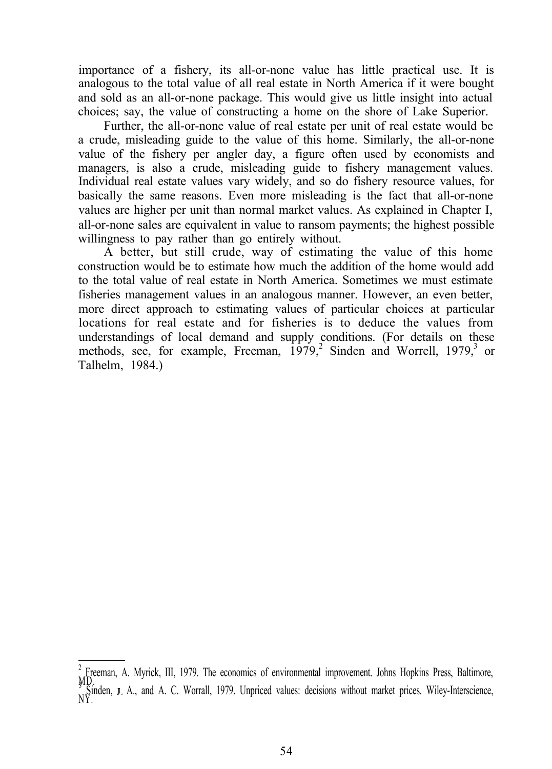importance of a fishery, its all-or-none value has little practical use. It is analogous to the total value of all real estate in North America if it were bought and sold as an all-or-none package. This would give us little insight into actual choices; say, the value of constructing a home on the shore of Lake Superior.

Further, the all-or-none value of real estate per unit of real estate would be a crude, misleading guide to the value of this home. Similarly, the all-or-none value of the fishery per angler day, a figure often used by economists and managers, is also a crude, misleading guide to fishery management values. Individual real estate values vary widely, and so do fishery resource values, for basically the same reasons. Even more misleading is the fact that all-or-none values are higher per unit than normal market values. As explained in Chapter I, all-or-none sales are equivalent in value to ransom payments; the highest possible willingness to pay rather than go entirely without.

A better, but still crude, way of estimating the value of this home construction would be to estimate how much the addition of the home would add to the total value of real estate in North America. Sometimes we must estimate fisheries management values in an analogous manner. However, an even better, more direct approach to estimating values of particular choices at particular locations for real estate and for fisheries is to deduce the values from understandings of local demand and supply conditions. (For details on these methods, see, for example, Freeman,  $1979$ , Sinden and Worrell, 1979, or Talhelm, 1984.)

<sup>2</sup> Freeman, A. Myrick, III, 1979. The economics of environmental improvement. Johns Hopkins Press, Baltimore, MD. <sup>3</sup> Sinden, 1. A., and A. C. Worrall, 1979. Unpriced values: decisions without market prices. Wiley-Interscience, NY.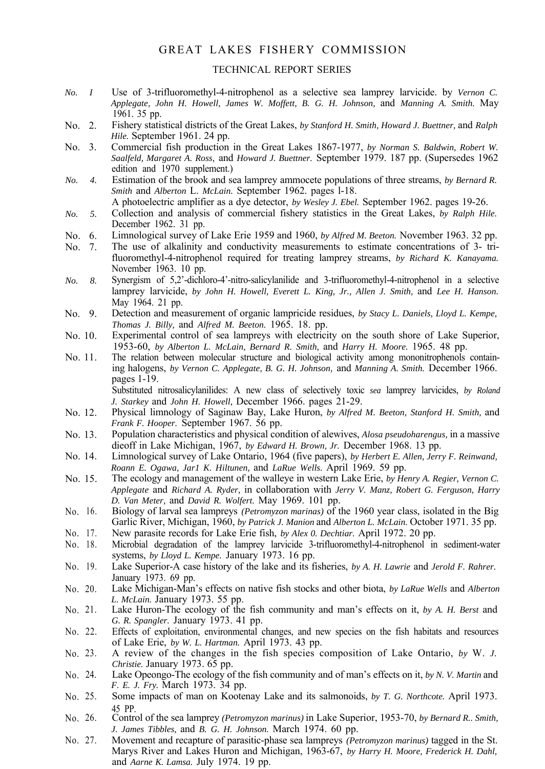#### GREAT LAKES FISHERY COMMISSION

#### TECHNICAL REPORT SERIES

- *No. I* Use of 3-trifluoromethyl-4-nitrophenol as a selective sea lamprey larvicide. by *Vernon C. Applegate, John H. Howell, James W. Moffett, B. G. H. Johnson,* and *Manning A. Smith.* May 1961. 35 pp.
- No. 2. Fishery statistical districts of the Great Lakes, *by Stanford H. Smith, Howard J. Buettner,* and *Ralph Hile.* September 1961. 24 pp.
- No. 3. Commercial fish production in the Great Lakes 1867-1977, *by Norman S. Baldwin, Robert W. Saalfeld, Margaret A. Ross,* and *Howard J. Buettner.* September 1979. 187 pp. (Supersedes 1962 edition and 1970 supplement.)
- *No. 4.* Estimation of the brook and sea lamprey ammocete populations of three streams, *by Bernard R. Smith* and *Alberton* L. *McLain.* September 1962. pages l-18.

A photoelectric amplifier as a dye detector, *by Wesley J. Ebel.* September 1962. pages 19-26.

- *No. 5.* Collection and analysis of commercial fishery statistics in the Great Lakes, *by Ralph Hile.* December 1962. 31 pp.
- No. 6. Limnological survey of Lake Erie 1959 and 1960, *by Alfred M. Beeton.* November 1963. 32 pp.
- No. 7. The use of alkalinity and conductivity measurements to estimate concentrations of 3- trifluoromethyl-4-nitrophenol required for treating lamprey streams, *by Richard K. Kanayama.* November 1963. 10 pp.
- *No. 8.* Synergism of 5,2'-dichloro-4'-nitro-salicylanilide and 3-trifluoromethyl-4-nitrophenol in a selective lamprey larvicide, *by John H. Howell, Everett L. King, Jr., Allen J. Smith,* and *Lee H. Hanson.* May 1964. 21 pp.
- No. 9. Detection and measurement of organic lampricide residues, *by Stacy L. Daniels, Lloyd L. Kempe, Thomas J. Billy,* and *Alfred M. Beeton.* 1965. 18. pp.
- No. 10. Experimental control of sea lampreys with electricity on the south shore of Lake Superior, 1953-60, *by Alberton L. McLain, Bernard R. Smith,* and *Harry H. Moore.* 1965. 48 pp.
- No. 11. The relation between molecular structure and biological activity among mononitrophenols containing halogens, *by Vernon C. Applegate, B. G. H. Johnson,* and *Manning A. Smith.* December 1966. pages 1-19.

Substituted nitrosalicylanilides: A new class of selectively toxic *sea* lamprey larvicides, *by Roland J. Starkey* and *John H. Howell,* December 1966. pages 21-29.

- No. 12. Physical limnology of Saginaw Bay, Lake Huron, *by Alfred M. Beeton, Stanford H. Smith,* and *Frank F. Hooper.* September 1967. 56 pp.
- No. 13. Population characteristics and physical condition of alewives, *Alosa pseudoharengus,* in a massive dieoff in Lake Michigan, 1967, *by Edward H. Brown, Jr.* December 1968. 13 pp.
- No. 14. Limnological survey of Lake Ontario, 1964 (five papers), *by Herbert E. Allen, Jerry F. Reinwand, Roann E. Ogawa, Jar1 K. Hiltunen,* and *LaRue Wells.* April 1969. 59 pp.
- No. 15. The ecology and management of the walleye in western Lake Erie, *by Henry A. Regier, Vernon C. Applegate* and *Richard A. Ryder,* in collaboration with *Jerry V. Manz, Robert G. Ferguson, Harry D. Van Meter,* and *David R. Wolfert.* May 1969. 101 pp.
- No. 16. Biology of larval sea lampreys *(Petromyzon marinas)* of the 1960 year class, isolated in the Big Garlic River, Michigan, 1960, *by Patrick J. Manion* and *Alberton L. McLain.* October 1971. 35 pp.
- No. 17. New parasite records for Lake Erie fish, *by Alex 0. Dechtiar.* April 1972. 20 pp.
- No. 18. Microbial degradation of the lamprey larvicide 3-trifluoromethyl-4-nitrophenol in sediment-water systems, *by Lloyd L. Kempe.* January 1973. 16 pp.
- No. 19. Lake Superior-A case history of the lake and its fisheries, *by A. H. Lawrie* and *Jerold F. Rahrer.* January 1973. 69 pp.
- No. 20. Lake Michigan-Man's effects on native fish stocks and other biota, *by LaRue Wells* and *Alberton L. McLain.* January 1973. 55 pp.
- No. 21. Lake Huron-The ecology of the fish community and man's effects on it, *by A. H. Berst* and *G. R. Spangler.* January 1973. 41 pp.
- No. 22. Effects of exploitation, environmental changes, and new species on the fish habitats and resources of Lake Erie, *by W. L. Hartman.* April 1973. 43 pp.
- No. 23. A review of the changes in the fish species composition of Lake Ontario, *by* W. *J. Christie.* January 1973. 65 pp.
- No. 24. Lake Opeongo-The ecology of the fish community and of man's effects on it, *by N. V. Martin* and *F. E. J. Fry.* March 1973. 34 pp.
- No. 25. Some impacts of man on Kootenay Lake and its salmonoids, *by T. G. Northcote.* April 1973. 45 PP.
- No. 26. Control of the sea lamprey *(Petromyzon marinus)* in Lake Superior, 1953-70, *by Bernard R.. Smith, J. James Tibbles,* and *B. G. H. Johnson.* March 1974. 60 pp.
- No. 27. Movement and recapture of parasitic-phase sea lampreys *(Petromyzon marinus)* tagged in the St. Marys River and Lakes Huron and Michigan, 1963-67, *by Harry H. Moore, Frederick H. Dahl,* and *Aarne K. Lamsa.* July 1974. 19 pp.